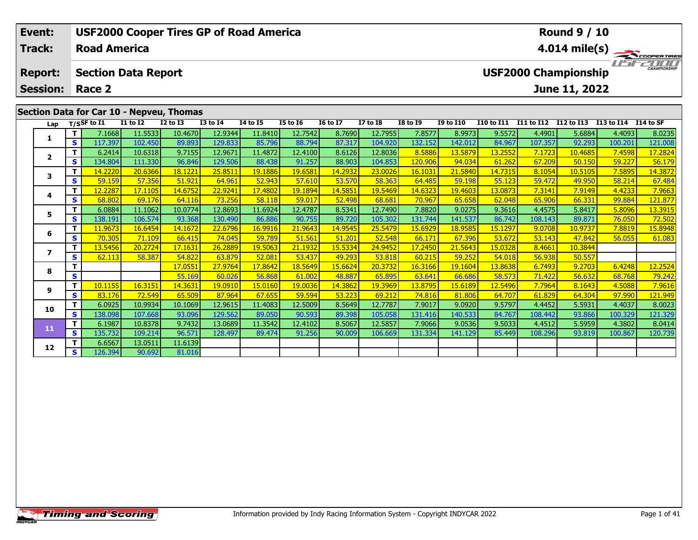| Event:                            |     |                     |                            |                                          |                 | <b>USF2000 Cooper Tires GP of Road America</b> |          |                 |                 |                 |                  |                   |            | <b>Round 9 / 10</b>                          |            |                         |
|-----------------------------------|-----|---------------------|----------------------------|------------------------------------------|-----------------|------------------------------------------------|----------|-----------------|-----------------|-----------------|------------------|-------------------|------------|----------------------------------------------|------------|-------------------------|
| <b>Track:</b>                     |     | <b>Road America</b> |                            |                                          |                 |                                                |          |                 |                 |                 |                  |                   |            |                                              |            | $4.014 \text{ mile(s)}$ |
| <b>Report:</b><br><b>Session:</b> |     | Race 2              | <b>Section Data Report</b> |                                          |                 |                                                |          |                 |                 |                 |                  |                   |            | <b>USF2000 Championship</b><br>June 11, 2022 |            | <b>CHAMPIONSHIP</b>     |
|                                   |     |                     |                            |                                          |                 |                                                |          |                 |                 |                 |                  |                   |            |                                              |            |                         |
|                                   |     |                     |                            | Section Data for Car 10 - Nepveu, Thomas |                 |                                                |          |                 |                 |                 |                  |                   |            |                                              |            |                         |
|                                   |     | Lap $T/SSF$ to I1   | <b>I1 to I2</b>            | $I2$ to $I3$                             | <b>I3 to I4</b> | <b>I4 to I5</b>                                | I5 to 16 | <b>16 to 17</b> | <b>I7 to I8</b> | <b>I8 to I9</b> | <b>I9 to I10</b> | <b>I10 to I11</b> | I11 to I12 | <b>I12 to I13</b>                            | I13 to I14 | <b>I14 to SF</b>        |
|                                   |     | 7.1668              | 11.5533                    | 10.4670                                  | 12.9344         | 11.8410                                        | 12.7542  | 8.7690          | 12.7955         | 7.8577          | 8.9973           | 9.5572            | 4.4901     | 5.6884                                       | 4.4093     | 8.0235                  |
|                                   | s l | 117.397             | 102.450                    | 89.893                                   | 129.833         | 85.796                                         | 88.794   | 87.317          | 104.920         | 132.152         | 142.012          | 84.967            | 107.357    | 92.293                                       | 100.201    | 121.008                 |
|                                   |     | 6.2414              | 10.6318                    | 9.7155                                   | 12.9671         | 11.4872                                        | 12.4100  | 8.6126          | 12.8036         | 8.5886          | 13.5879          | 13.2552           | 7.1723     | 10.4685                                      | 7.4598     | 17.2824                 |
| $\overline{2}$                    | S.  | 134.804             | 111.330                    | 96.846                                   | 129.506         | 88.438                                         | 91.257   | 88.903          | 104.853         | 120.906         | 94.034           | 61.262            | 67.209     | 50.150                                       | 59.227     | 56.179                  |

**<sup>T</sup>** 14.2220 20.6366 18.1221 25.8511 19.1886 19.6581 14.2932 23.0026 16.1031 21.5840 14.7315 8.1054 10.5105 7.5895 14.3872 **<sup>S</sup>** 59.159 57.356 51.921 64.961 52.943 57.610 53.570 58.363 64.485 59.198 55.123 59.472 49.950 58.214 67.484

**<sup>T</sup>** 12.2287 17.1105 14.6752 22.9241 17.4802 19.1894 14.5851 19.5469 14.6323 19.4603 13.0873 7.3141 7.9149 4.4233 7.9663 **<sup>S</sup>** 68.802 69.176 64.116 73.256 58.118 59.017 52.498 68.681 70.967 65.658 62.048 65.906 66.331 99.884 121.877

5 T | 6.0884 11.1062 10.0774 12.8693 11.6924 12.4787 8.5341 12.7490 7.8820 9.0275 9.3616 4.4575 5.8417 5.8096 13.3915<br>5 S 138.191 106.574 93.368 130.490 86.886 90.755 89.720 105.302 131.744 141.537 86.742 108.143 89.871 76

**<sup>T</sup>** 11.9673 16.6454 14.1672 22.6796 16.9916 21.9643 14.9545 25.5479 15.6929 18.9585 15.1297 9.0708 10.9737 7.8819 15.8948 **<sup>S</sup>** 70.305 71.109 66.415 74.045 59.789 51.561 51.201 52.548 66.171 67.396 53.672 53.143 47.842 56.055 61.083

**<sup>T</sup>** 17.0551 27.9764 17.8642 18.5649 15.6624 20.3732 16.3166 19.1604 13.8638 6.7493 9.2703 6.4248 12.2524 **<sup>S</sup>** 55.169 60.026 56.868 61.002 48.887 65.895 63.641 66.686 58.573 71.422 56.632 68.768 79.242

19.0910 11 10.1155| 16.3151| 14.3631| 19.0910| 15.0160| 19.0036| 14.3862| 19.3969| 13.8795| 15.6189| 12.5496| 7.7964| 8.1643| 4.5088| 7.9616| 7.9616|<br>Sina 19.990 121.949 12.549| 65.509| 87.964| 67.655| 59.594| 53.223| 69.2

0 | **T** | 6.0925| 10.9934| 10.1069| 12.9615| 11.4083| 12.5009| 8.5649| 12.7787| 7.9017| 9.0920| 9.5797| 4.4452| 5.5931| 4.4037| 8.0023<br>| S | 138.098| 107.668| 93.096| 129.562| 89.050| 90.593| 89.398| 105.058| 131.416| 140.

1 | 1 | 6.1987| 10.8378| 9.7432| 13.0689| 11.3542| 12.4102| 8.5067| 12.5857| 7.9066| 9.0536| 9.5033| 4.4512| 5.5959| 4.3802| 8.0414<br>- S 135.732| 109.214| 96.571| 128.497| 89.474| 91.256| 90.009| 106.669| 131.334| 141.129|

**<sup>T</sup>** 13.5456 20.2724 17.1631 26.2889 19.5063 21.1932 15.5334 24.9452 17.2450 21.5643 15.0328 8.4661 10.3844 **<sup>S</sup>** 62.113 58.387 54.822 63.879 52.081 53.437 49.293 53.818 60.215 59.252 54.018 56.938 50.557

**<sup>T</sup>** 6.6567 13.0511 11.6139 **<sup>S</sup>** 126.394 90.692 81.016

81.016

**3**

**4**

**5**

**6**

**7**

**8**

**9**

**10**

**11**

**12**

121.87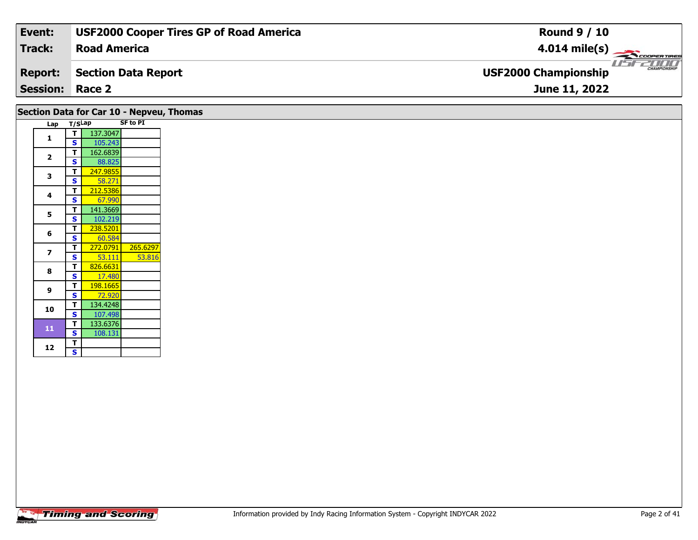| Event:                 | <b>USF2000 Cooper Tires GP of Road America</b> | <b>Round 9 / 10</b>                                |
|------------------------|------------------------------------------------|----------------------------------------------------|
| Track:                 | <b>Road America</b>                            | $4.014 \text{ mile(s)}$                            |
| <b>Report:</b>         | Section Data Report                            | <b>CHAMPIONSHIP</b><br><b>USF2000 Championship</b> |
| <b>Session: Race 2</b> |                                                | June 11, 2022                                      |
|                        |                                                |                                                    |

# **Section Data for Car 10 - Nepveu, Thomas**

| Lap | T/SLap                  |          | <b>SF to PI</b> |
|-----|-------------------------|----------|-----------------|
|     | т                       | 137.3047 |                 |
| 1   | S                       | 105.243  |                 |
|     | T                       | 162.6839 |                 |
| 2   | S                       | 88.825   |                 |
| 3   | T                       | 247.9855 |                 |
|     | S                       | 58.271   |                 |
| 4   | Т                       | 212.5386 |                 |
|     | S                       | 67.990   |                 |
| 5   | Т                       | 141.3669 |                 |
|     | S                       | 102.219  |                 |
| 6   | Τ                       | 238.5201 |                 |
|     | S                       | 60.584   |                 |
| 7   | т                       | 272.0791 | 265.6297        |
|     | S                       | 53.111   | 53.816          |
| 8   | т                       | 826.6631 |                 |
|     | S                       | 17.480   |                 |
| 9   | т                       | 198.1665 |                 |
|     | S                       | 72.920   |                 |
| 10  | T                       | 134.4248 |                 |
|     | $\overline{\mathbf{s}}$ | 107.498  |                 |
| 11  | T                       | 133.6376 |                 |
|     | S                       | 108.131  |                 |
| 12  | <u>T</u>                |          |                 |
|     | S                       |          |                 |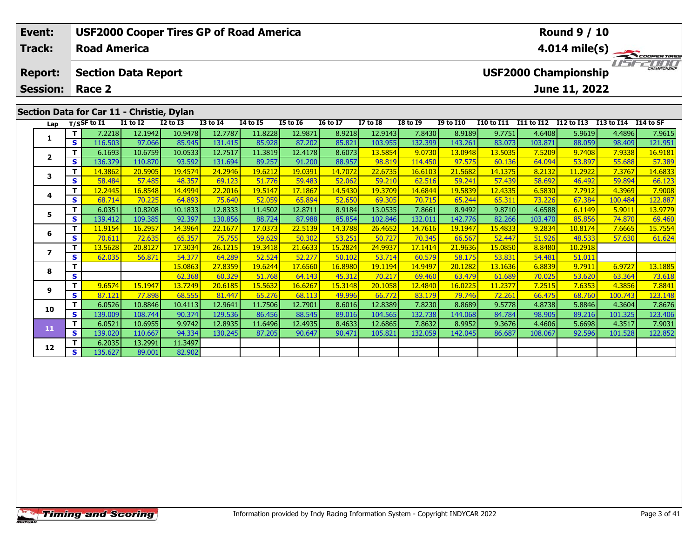| Event:                            |      |                                           |                 | <b>USF2000 Cooper Tires GP of Road America</b> |                 |                                  |                 |                 |                 |                 |                  |                   |            | <b>Round 9 / 10</b>                          |                          |                           |
|-----------------------------------|------|-------------------------------------------|-----------------|------------------------------------------------|-----------------|----------------------------------|-----------------|-----------------|-----------------|-----------------|------------------|-------------------|------------|----------------------------------------------|--------------------------|---------------------------|
| <b>Track:</b>                     |      | <b>Road America</b>                       |                 |                                                |                 |                                  |                 |                 |                 |                 |                  |                   |            |                                              |                          | $4.014 \text{ mile(s)}$   |
| <b>Report:</b><br><b>Session:</b> |      | <b>Section Data Report</b><br>Race 2      |                 |                                                |                 |                                  |                 |                 |                 |                 |                  |                   |            | <b>USF2000 Championship</b><br>June 11, 2022 |                          | <b>LISTENTIANPIONSHIP</b> |
|                                   |      | Section Data for Car 11 - Christie, Dylan |                 |                                                |                 |                                  |                 |                 |                 |                 |                  |                   |            |                                              |                          |                           |
| Lap                               |      | T/SSF to I1                               | <b>I1 to I2</b> | <b>I2 to I3</b>                                | <b>I3 to I4</b> | <b>I4 to I5</b>                  | <b>I5 to I6</b> | <b>16 to 17</b> | <b>I7 to I8</b> | <b>I8 to I9</b> | <b>I9 to I10</b> | <b>I10 to I11</b> | I11 to I12 | I12 to I13                                   | I13 to I14               | I14 to SF                 |
|                                   |      | 7.2218                                    | 12.1942         | 10.9478                                        | 12.7787         | 11.8228                          | 12.9871         | 8.9218          | 12.9143         | 7.8430          | 8.9189           | 9.7751            | 4.6408     | 5.9619                                       | 4.4896                   | 7.9615                    |
| л.                                | -s l | 116.503                                   | 97.066          | 85.945                                         | 131.415         | 85.928                           | 87.202          | 85.821          | 103.955         | 132.399         | 143.261          | 83.073            | 103.871    | 88.059                                       | 98.409                   | 121.951                   |
|                                   |      | 6.1693                                    | 10.6759         | 10.0533                                        | 12.7517         | 11.3819                          | 12.4178         | 8.6073          | 13.5854         | 9.0730          | 13.0948          | 13.5035           | 7.5209     | 9.7408                                       | 7.9338                   | 16.9181                   |
| $\overline{2}$                    | s l  | 136.379                                   | 110.870         | 93.592                                         | 131.694         | 89.257                           | 91.200          | 88.957          | 98.819          | 114.450         | 97.575           | 60.136            | 64.094     | 53.897                                       | 55.688                   | 57.389                    |
|                                   | - 1  | $\overline{110000}$                       | 20F22F          | $\overline{10}$ $\overline{10}$                | 242045          | $\overline{10}$ $\overline{221}$ | 100001          | 1.7727          | 22.777          | $\sqrt{2}$      | $24 - 500$       | . <i>.</i>        | 0.222      | 110000                                       | $\overline{\phantom{a}}$ | $\overline{11}$           |

|                  | S.  | 116.503 | 97.066  | 85.945  | 131.415 | 85.928  | 87.202  | 85.821  | 103.955 | 132.399 | 143.261 | 83.073         | 103.871 | 88.059  | 98.409  | 121.951 |
|------------------|-----|---------|---------|---------|---------|---------|---------|---------|---------|---------|---------|----------------|---------|---------|---------|---------|
|                  |     | 6.1693  | 10.6759 | 10.0533 | 12.7517 | 11.3819 | 12.4178 | 8.6073  | 13.5854 | 9.0730  | 13.0948 | <u>13.5035</u> | 7.5209  | 9.7408  | 7.9338  | 16.9181 |
| $\mathbf{2}$     | S.  | 136.379 | 110.870 | 93.592  | 131.694 | 89.257  | 91.200  | 88.957  | 98.819  | 114.450 | 97.575  | 60.136         | 64.094  | 53.897  | 55.688  | 57.389  |
| 3                |     | 14.3862 | 20.5905 | 19.4574 | 24.2946 | 19.6212 | 19.0391 | 14.7072 | 22.6735 | 16.6103 | 21.5682 | 14.1375        | 8.2132  | 11.2922 | 7.3767  | 14.6833 |
|                  | S   | 58.484  | 57.485  | 48.357  | 69.123  | 51.776  | 59.483  | 52.062  | 59.210  | 62.516  | 59.241  | 57.439         | 58.692  | 46.492  | 59.894  | 66.123  |
| 4                |     | 12.2445 | 16.8548 | 14.4994 | 22.2016 | 19.5147 | 17.1867 | 14.5430 | 19.3709 | 14.6844 | 19.5839 | 12.4335        | 6.5830  | 7.7912  | 4.3969  | 7.9008  |
|                  | S   | 68.714  | 70.225  | 64.893  | 75.640  | 52.059  | 65.894  | 52.650  | 69.305  | 70.715  | 65.244  | 65.311         | 73.226  | 67.384  | 100.484 | 122.887 |
| 5.               |     | 6.0351  | 10.8208 | 10.1833 | 12.8333 | 11.4502 | 12.8711 | 8.9184  | 13.0535 | 7.8661  | 8.9492  | 9.8710         | 4.6588  | 6.1149  | 5.9011  | 13.9779 |
|                  | S   | 139.412 | 109.385 | 92.397  | 130.856 | 88.724  | 87.988  | 85.854  | 102.846 | 132.011 | 142.776 | 82.266         | 103.470 | 85.856  | 74.870  | 69.460  |
| 6                |     | 11.9154 | 16.2957 | 14.3964 | 22.1677 | 17.0373 | 22.5139 | 14.3788 | 26.4652 | 14.7616 | 19.1947 | 15.4833        | 9.2834  | 10.8174 | 7.6665  | 15.7554 |
|                  | S.  | 70.611  | 72.635  | 65.357  | 75.755  | 59.629  | 50.302  | 53.251  | 50.727  | 70.345  | 66.567  | 52.447         | 51.926  | 48.533  | 57.630  | 61.624  |
| $\boldsymbol{7}$ |     | 13.5628 | 20.8127 | 17.3034 | 26.1215 | 19.3418 | 21.6633 | 15.2824 | 24.9937 | 17.1414 | 21.9636 | 15.0850        | 8.8480  | 10.2918 |         |         |
|                  | S   | 62.035  | 56.871  | 54.377  | 64.289  | 52.524  | 52.277  | 50.102  | 53.714  | 60.579  | 58.175  | 53.831         | 54.481  | 51.011  |         |         |
| 8                |     |         |         | 15.0863 | 27.8359 | 19.6244 | 17.6560 | 16.8980 | 19.1194 | 14.9497 | 20.1282 | 13.1636        | 6.8839  | 9.7911  | 6.9727  | 13.1885 |
|                  | S   |         |         | 62.368  | 60.329  | 51.768  | 64.143  | 45.312  | 70.217  | 69.460  | 63.479  | 61.689         | 70.025  | 53.620  | 63.364  | 73.618  |
| 9                | т   | 9.6574  | 15.1947 | 13.7249 | 20.6185 | 15.5632 | 16.6267 | 15.3148 | 20.1058 | 12.4840 | 16.0225 | 11.2377        | 7.2515  | 7.6353  | 4.3856  | 7.8841  |
|                  | S   | 87.121  | 77.898  | 68.555  | 81.447  | 65.276  | 68.113  | 49.996  | 66.772  | 83.179  | 79.746  | 72.261         | 66.475  | 68.760  | 100.743 | 123.148 |
| 10               | т   | 6.0526  | 10.8846 | 10.4113 | 12.9641 | 11.7506 | 12.7901 | 8.6016  | 12.8389 | 7.8230  | 8.8689  | 9.5778         | 4.8738  | 5.8846  | 4.3604  | 7.8676  |
|                  | S.  | 139.009 | 108.744 | 90.374  | 129.536 | 86.456  | 88.545  | 89.016  | 104.565 | 132.738 | 144.068 | 84.784         | 98.905  | 89.216  | 101.325 | 123.406 |
| 11               |     | 6.0521  | 10.6955 | 9.9742  | 12.8935 | 11.6496 | 12.4935 | 8.4633  | 12.6865 | 7.8632  | 8.9952  | 9.3676         | 4.4606  | 5.6698  | 4.3517  | 7.9031  |
|                  | S   | 139.020 | 110.667 | 94.334  | 130.245 | 87.205  | 90.647  | 90.471  | 105.821 | 132.059 | 142.045 | 86.687         | 108.067 | 92.596  | 101.528 | 122.852 |
| 12               |     | 6.2035  | 13.2991 | 11.3497 |         |         |         |         |         |         |         |                |         |         |         |         |
|                  | s l | 135.627 | 89.001  | 82.902  |         |         |         |         |         |         |         |                |         |         |         |         |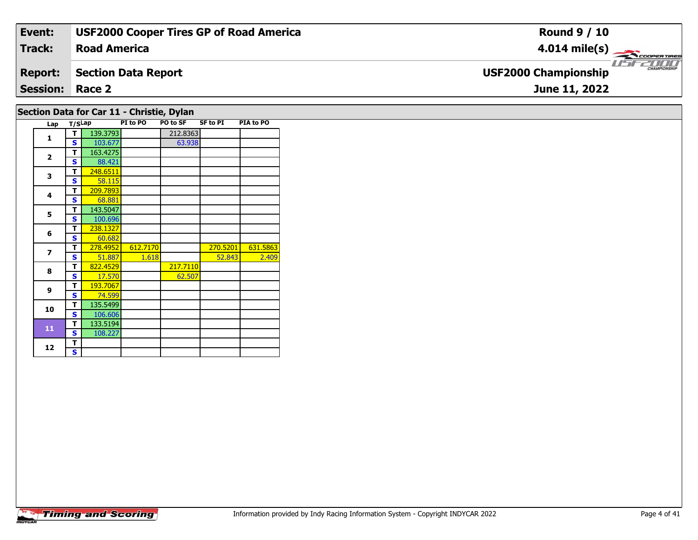| Event:                 | <b>USF2000 Cooper Tires GP of Road America</b> | <b>Round 9 / 10</b>                                     |
|------------------------|------------------------------------------------|---------------------------------------------------------|
| <b>Track:</b>          | <b>Road America</b>                            | $4.014 \text{ mile(s)}$                                 |
| <b>Report:</b>         | <b>Section Data Report</b>                     | <b>LISE CHAMPIONSHIP</b><br><b>USF2000 Championship</b> |
| <b>Session: Race 2</b> |                                                | June 11, 2022                                           |
|                        | Section Data for Car 11 - Christie, Dylan      |                                                         |

| Lap            | T/SLap |          | PI to PO | <b>PO to SF</b> | SF to PI | PIA to PO |
|----------------|--------|----------|----------|-----------------|----------|-----------|
| $\mathbf{1}$   | т      | 139.3793 |          | 212.8363        |          |           |
|                | S      | 103.677  |          | 63.938          |          |           |
| $\overline{2}$ | т      | 163.4275 |          |                 |          |           |
|                | S      | 88.421   |          |                 |          |           |
| 3              | т      | 248.6511 |          |                 |          |           |
|                | S      | 58.115   |          |                 |          |           |
| 4              | т      | 209.7893 |          |                 |          |           |
|                | S      | 68.881   |          |                 |          |           |
| 5              | т      | 143.5047 |          |                 |          |           |
|                | S      | 100.696  |          |                 |          |           |
| 6              | т      | 238.1327 |          |                 |          |           |
|                | S      | 60.682   |          |                 |          |           |
| $\overline{z}$ | т      | 278.4952 | 612.7170 |                 | 270.5201 | 631.5863  |
|                | s      | 51.887   | 1.618    |                 | 52.843   | 2.409     |
| 8              | т      | 822.4529 |          | 217.7110        |          |           |
|                | s      | 17.570   |          | 62.507          |          |           |
| 9              | т      | 193.7067 |          |                 |          |           |
|                | S      | 74.599   |          |                 |          |           |
| 10             | т      | 135.5499 |          |                 |          |           |
|                | S      | 106.606  |          |                 |          |           |
| 11             | т      | 133.5194 |          |                 |          |           |
|                | S      | 108.227  |          |                 |          |           |
| 12             | T      |          |          |                 |          |           |
|                | S      |          |          |                 |          |           |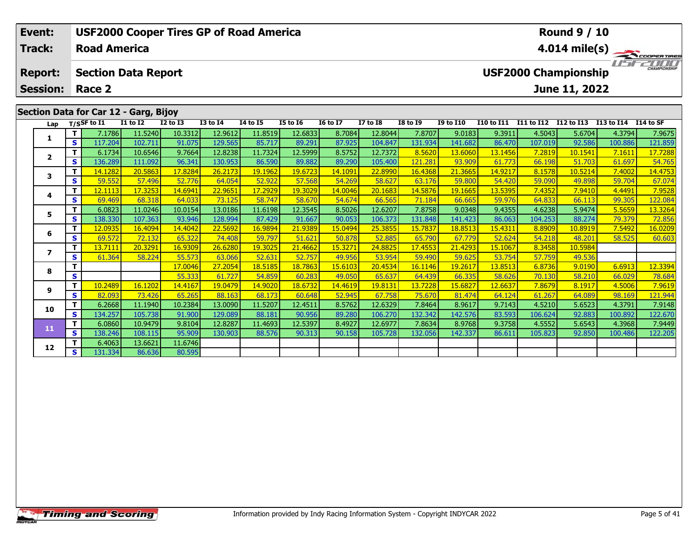| Event:                            |     |                     |                                       |              | <b>USF2000 Cooper Tires GP of Road America</b> |          |                 |                 |                 |                 |                  |            |               | <b>Round 9 / 10</b>                          |            |                     |
|-----------------------------------|-----|---------------------|---------------------------------------|--------------|------------------------------------------------|----------|-----------------|-----------------|-----------------|-----------------|------------------|------------|---------------|----------------------------------------------|------------|---------------------|
| <b>Track:</b>                     |     | <b>Road America</b> |                                       |              |                                                |          |                 |                 |                 |                 |                  |            |               | 4.014 mile(s)                                |            | COOPER TIRES        |
| <b>Report:</b><br><b>Session:</b> |     | Race 2              | <b>Section Data Report</b>            |              |                                                |          |                 |                 |                 |                 |                  |            |               | <b>USF2000 Championship</b><br>June 11, 2022 |            | <b>CHAMPIONSHIP</b> |
|                                   |     |                     |                                       |              |                                                |          |                 |                 |                 |                 |                  |            |               |                                              |            |                     |
|                                   |     |                     | Section Data for Car 12 - Garg, Bijoy |              |                                                |          |                 |                 |                 |                 |                  |            |               |                                              |            |                     |
| Lap                               |     | $T/S$ SF to $I1$    | <b>I1 to I2</b>                       | $I2$ to $I3$ | <b>I3 to I4</b>                                | 14 to 15 | <b>I5 to 16</b> | <b>16 to 17</b> | <b>I7 to I8</b> | <b>I8 to I9</b> | <b>I9 to I10</b> | I10 to I11 | I11 to I12    | I12 to I13                                   | I13 to I14 | I 14 to SF          |
|                                   |     | 7.1786              | 11.5240                               | 10.3312      | 12.9612                                        | 11.8519  | 12.6833         | 8.7084          | 12.8044         | 7.8707          | 9.0183           | 9.3911     | 4.5043        | 5.6704                                       | 4.3794     | 7.9675              |
|                                   | s l | 117.204             | 102.711                               | 91.075       | 129.565                                        | 85.717   | 89.291          | 87.925          | 104.847         | 131.934         | 141.682          | 86.470     | 107.019       | 92.586                                       | 100.886    | 121.859             |
| $\overline{\mathbf{2}}$           |     | 6.1734              | 10.6546                               | 9.7664       | 12.8238                                        | 11.7324  | 12.5999         | 8.5752          | 12.7372         | 8.5620          | 13.6060          | 13.1456    | 7.2819        | 10.1541                                      | 7.1611     | 17.7288             |
|                                   | s l | 136.289             | 111.092                               | 96.341       | 130.953                                        | 86.590   | 89.882          | 89.290          | 105.400         | 121.281         | 93.909           | 61.773     | 66.198        | 51.703                                       | 61.697     | 54.765              |
| 3                                 |     | 14.1282             | 20.5863                               | 17.8284      | 26.2173                                        | 19.1962  | 19.6723         | 14.1091         | 22.8990         | 16.4368         | 21.3665          | 14.9217    | 8.1578        | 10.5214                                      | 7.4002     | 14.4753             |
|                                   | S.  | 59.552              | 57.496                                | 52.776       | 64.054                                         | 52.922   | 57.568          | 54.269          | 58.627          | 63.176          | 59.800           | 54.420     | <b>59.090</b> | 49.898                                       | 59.704     | 67.074              |

4 | **T |** 12.1113| 17.3253| 14.6941| 22.9651| 17.2929| 19.3029| 14.0046| 20.1683| 14.5876| 19.1665| 13.5395| 7.4352| 7.9410| 4.4491| 7.9528<br>- S | 69.469 | 68.318 | 64.033 | 73.125 | 58.747 | 58.670 | 54.674 | 66.565 | 71.1

**<sup>T</sup>** 6.0823 11.0246 10.0154 13.0186 11.6198 12.3545 8.5026 12.6207 7.8758 9.0348 9.4355 4.6238 5.9474 5.5659 13.3264 **<sup>S</sup>** 138.330 107.363 93.946 128.994 87.429 91.667 90.053 106.373 131.848 141.423 86.063 104.253 88.274 79.379 72.856

**<sup>T</sup>** 12.0935 16.4094 14.4042 22.5692 16.9894 21.9389 15.0494 25.3855 15.7837 18.8513 15.4311 8.8909 10.8919 7.5492 16.0209 **<sup>S</sup>** 69.572 72.132 65.322 74.408 59.797 51.621 50.878 52.885 65.790 67.779 52.624 54.218 48.201 58.525 60.603

**<sup>T</sup>** 17.0046 27.2054 18.5185 18.7863 15.6103 20.4534 16.1146 19.2617 13.8513 6.8736 9.0190 6.6913 12.3394 **<sup>S</sup>** 55.333 61.727 54.859 60.283 49.050 65.637 64.439 66.335 58.626 70.130 58.210 66.029 78.684

**<sup>T</sup>** 10.2489 16.1202 14.4167 19.0479 14.9020 18.6732 14.4619 19.8131 13.7228 15.6827 12.6637 7.8679 8.1917 4.5006 7.9619 **<sup>S</sup>** 82.093 73.426 65.265 88.163 68.173 60.648 52.945 67.758 75.670 81.474 64.124 61.267 64.089 98.169 121.944

0 | T | 6.2668| 11.1940| 10.2384| 13.0090| 11.5207| 12.4511| 8.5762| 12.6329| 7.8464| 8.9617| 9.7143| 4.5210| 5.6523| 4.3791| 7.9148<br>| S | 134.257| 105.738| 91.900| 129.089| 88.181| 90.956| 89.280| 106.270| 132.342| 142.57

**<sup>T</sup>** 6.0860 10.9479 9.8104 12.8287 11.4693 12.5397 8.4927 12.6977 7.8634 8.9768 9.3758 4.5552 5.6543 4.3968 7.9449 **<sup>S</sup>** 138.246 108.115 95.909 130.903 88.576 90.313 90.158 105.728 132.056 142.337 86.611 105.823 92.850 100.486 122.205

**<sup>T</sup>** 13.7111 20.3291 16.9309 26.6280 19.3025 21.4662 15.3271 24.8825 17.4553 21.4293 15.1067 8.3458 10.5984 **<sup>S</sup>** 61.364 58.224 55.573 63.066 52.631 52.757 49.956 53.954 59.490 59.625 53.754 57.759 49.536

# **Timing and Scoring**

**<sup>T</sup>** 6.4063 13.6621 11.6746 **<sup>S</sup>** 131.334 86.636 80.595

80.595

**4**

**5**

**6**

**7**

**8**

**9**

**10**

**11**

**12**

122.084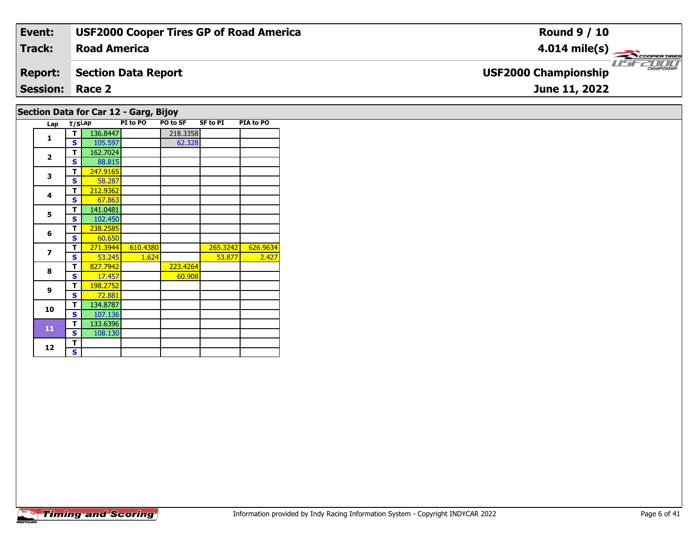| Event:                 | <b>USF2000 Cooper Tires GP of Road America</b> | <b>Round 9 / 10</b>                        |
|------------------------|------------------------------------------------|--------------------------------------------|
| Track:                 | <b>Road America</b>                            | $4.014 \text{ mile(s)}$                    |
| <b>Report:</b>         | <b>Section Data Report</b>                     | CHAMPIONSHI<br><b>USF2000 Championship</b> |
| <b>Session: Race 2</b> |                                                | June 11, 2022                              |
|                        | Section Data for Car 12 - Garg, Bijoy          |                                            |

# **Timing and Scoring**

**Lap T/SLap PI to PO PO to SF SF to PI PIA to PO** 

**T** 271.3944 610.4380 265.3242 626.9634<br>**S** S 53.245 1.624 53.877 2.427

60.908

2.427

**T** 136.8447 218.3358<br> **S** 105.597 62.328

**T** 162.7024<br>**S** 88.815 88.815

**<sup>T</sup>** 247.9165 **<sup>S</sup>** 58.287

**T** 238.2585<br>**S** 60.650 271.3944

 **<sup>T</sup>** 198.2752 **<sup>S</sup>** 72.88172.881

**<sup>T</sup>** 134.8787 **<sup>S</sup>** 107.136

 **<sup>T</sup>** 133.6396 **<sup>S</sup>** 108.130108.130

67.863

**<sup>T</sup>** 827.7942 223.4264 **<sup>S</sup>** 17.457 60.908

**<sup>T</sup>** 212.9362 **<sup>S</sup>** 67.863

**5 T** 141.0481<br>**S** 102.450

**1**

**2**

**3**

**4**

**5**

**6**

**7**

**8**

**9**

**10**

**11**

12  $\frac{1}{s}$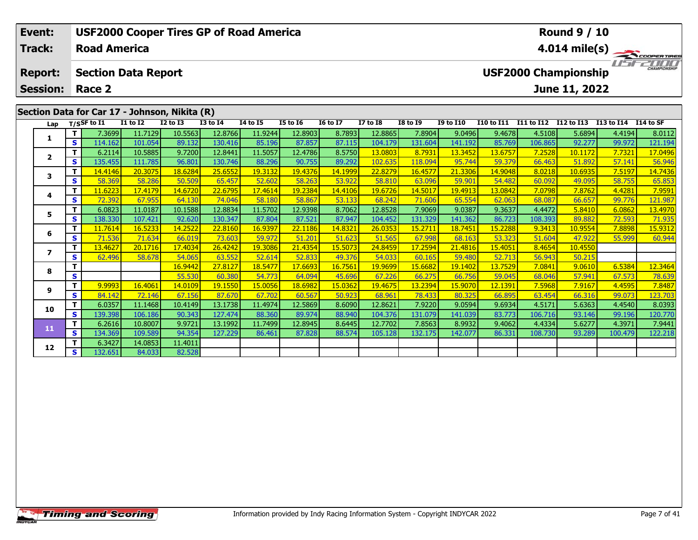| Event:          |          |                            |                 | <b>USF2000 Cooper Tires GP of Road America</b> |                 |          |                 |                 |                 |                 |                  |            |               | <b>Round 9 / 10</b>         |                |                         |
|-----------------|----------|----------------------------|-----------------|------------------------------------------------|-----------------|----------|-----------------|-----------------|-----------------|-----------------|------------------|------------|---------------|-----------------------------|----------------|-------------------------|
| <b>Track:</b>   |          | <b>Road America</b>        |                 |                                                |                 |          |                 |                 |                 |                 |                  |            |               |                             |                | $4.014 \text{ mile(s)}$ |
| <b>Report:</b>  |          | <b>Section Data Report</b> |                 |                                                |                 |          |                 |                 |                 |                 |                  |            |               | <b>USF2000 Championship</b> |                | <b>CHAMPIONSHIP</b>     |
| <b>Session:</b> |          | Race 2                     |                 |                                                |                 |          |                 |                 |                 |                 |                  |            |               | June 11, 2022               |                |                         |
|                 |          |                            |                 | Section Data for Car 17 - Johnson, Nikita (R)  |                 |          |                 |                 |                 |                 |                  |            |               |                             |                |                         |
| Lap             |          | $T/S$ SF to I1             | <b>I1 to I2</b> | $I2$ to $I3$                                   | <b>I3 to I4</b> | 14 to 15 | <b>I5 to 16</b> | <b>16 to 17</b> | <b>I7 to I8</b> | <b>I8 to I9</b> | <b>I9 to I10</b> | I10 to I11 | I11 to I12    | I12 to I13                  | I13 to I14     | I14 to SF               |
|                 |          | 7.3699                     | 11.7129         | 10.5563                                        | 12.8766         | 11.9244  | 12.8903         | 8.7893          | 12.8865         | 7.8904          | 9.0496           | 9.4678     | 4.5108        | 5.6894                      | 4.4194         | 8.0112                  |
|                 | s l      | 114.162                    | 101.054         | 89.132                                         | 130.416         | 85.196   | 87.857          | 87.115          | 104.179         | 131.604         | 141.192          | 85.769     | 106.865       | 92.277                      | 99.972         | 121.194                 |
|                 |          | 6.2114                     | 10.5885         | 9.7200                                         | 12.8441         | 11.5057  | 12.4786         | 8.5750          | 13.0803         | 8.7931          | 13.3452          | 13.6757    | 7.2528        | 10.1172                     | 7.7321         | 17.0496                 |
| $\overline{2}$  | s l      | 135.455                    | 111.785         | 96.801                                         | 130.746         | 88.296   | 90.755          | 89.292          | 102.635         | 118.094         | 95.744           | 59.379     | 66.463        | 51.892                      | 57.141         | 56.946                  |
| 3               |          | 14.4146                    | 20.3075         | 18.6284                                        | 25.6552         | 19.3132  | 19.4376         | 14.1999         | 22.8279         | 16.4577         | 21.3306          | 14.9048    | 8.0218        | 10.6935                     | 7.5197         | 14.7436                 |
|                 | <b>S</b> | 58.369                     | 58.286          | 50.509                                         | 65.457          | 52.602   | 58.263          | 53.922          | 58.810          | 63.096          | 59.901           | 54.482     | 60.092        | 49.095                      | 58.755         | 65.853                  |
|                 | $\tau$ 1 | 11.6002 $\blacksquare$     | 17.4170         | 14.6720                                        | וסמדם בר        | 17A61A   | 10.220A         | 14.4106         | 10.6726         | 14E017          | 10.4012          | 12,0042    | <u>סחדם ד</u> | וראדס ד                     | $A$ $A$ $D$ 01 | 70501                   |

| ∟ap            | ., |                      |         |         |         |         |         |         |         |                      |         |         |         |         |         |         |
|----------------|----|----------------------|---------|---------|---------|---------|---------|---------|---------|----------------------|---------|---------|---------|---------|---------|---------|
|                | Τ. | 7.3699               | 11.7129 | 10.5563 | 12.8766 | 11.9244 | 12.8903 | 8.7893  | 12.8865 | 7.8904               | 9.0496  | 9.4678  | 4.5108  | 5.6894  | 4.4194  | 8.0112  |
|                | S  | 114.162              | 101.054 | 89.132  | 130.416 | 85.196  | 87.857  | 87.115  | 104.179 | 131.604              | 141.192 | 85.769  | 106.865 | 92.277  | 99.972  | 121.194 |
| $\overline{2}$ | т  | 6.2114               | 10.5885 | 9.7200  | 12.8441 | 11.5057 | 12.4786 | 8.5750  | 13.0803 | 8.7931               | 13.3452 | 13.6757 | 7.2528  | 10.1172 | 7.7321  | 17.0496 |
|                | S  | 135.455              | 111.785 | 96.801  | 130.746 | 88.296  | 90.755  | 89.292  | 102.635 | 118.094              | 95.744  | 59.379  | 66.463  | 51.892  | 57.141  | 56.946  |
| 3              | т  | <mark>14.4146</mark> | 20.3075 | 18.6284 | 25.6552 | 19.3132 | 19.4376 | 14.1999 | 22.8279 | 16.4577              | 21.3306 | 14.9048 | 8.0218  | 10.6935 | 7.5197  | 14.7436 |
|                | s  | 58.369               | 58.286  | 50.509  | 65.457  | 52.602  | 58.263  | 53.922  | 58.810  | 63.096               | 59.901  | 54.482  | 60.092  | 49.095  | 58.755  | 65.853  |
| 4              | т  | 11.6223              | 17.4179 | 14.6720 | 22.6795 | 17.4614 | 19.2384 | 14.4106 | 19.6726 | 14.5017              | 19.4913 | 13.0842 | 7.0798  | 7.8762  | 4.4281  | 7.9591  |
|                | S  | 72.392               | 67.955  | 64.130  | 74.046  | 58.180  | 58.867  | 53.133  | 68.242  | 71.606               | 65.554  | 62.063  | 68.087  | 66.657  | 99.776  | 121.987 |
| 5.             |    | 6.0823               | 11.0187 | 10.1588 | 12.8834 | 11.5702 | 12.9398 | 8.7062  | 12.8528 | 7.9069               | 9.0387  | 9.3637  | 4.4472  | 5.8410  | 6.0862  | 13.4970 |
|                | S  | 138.330              | 107.421 | 92.620  | 130.347 | 87.804  | 87.521  | 87.947  | 104.452 | 131.329              | 141.362 | 86.723  | 108.393 | 89.882  | 72.593  | 71.935  |
| 6              |    | 11.7614              | 16.5233 | 14.2522 | 22.8160 | 16.9397 | 22.1186 | 14.8321 | 26.0353 | <mark>15.2711</mark> | 18.7451 | 15.2288 | 9.3413  | 10.9554 | 7.8898  | 15.9312 |
|                | S  | 71.536               | 71.634  | 66.019  | 73.603  | 59.972  | 51.201  | 51.623  | 51.565  | 67.998               | 68.163  | 53.323  | 51.604  | 47.922  | 55.999  | 60.944  |
| 7              | T. | 13.4627              | 20.1716 | 17.4034 | 26.4242 | 19.3086 | 21.4354 | 15.5073 | 24.8459 | 17.2594              | 21.4816 | 15.4051 | 8.4654  | 10.4550 |         |         |
|                | S  | 62.496               | 58.678  | 54.065  | 63.552  | 52.614  | 52.833  | 49.376  | 54.033  | 60.165               | 59.480  | 52.713  | 56.943  | 50.215  |         |         |
| 8              | т  |                      |         | 16.9442 | 27.8127 | 18.5477 | 17.6693 | 16.7561 | 19.9699 | 15.6682              | 19.1402 | 13.7529 | 7.0841  | 9.0610  | 6.5384  | 12.3464 |
|                | S  |                      |         | 55.530  | 60.380  | 54.773  | 64.094  | 45.696  | 67.226  | 66.275               | 66.756  | 59.045  | 68.046  | 57.941  | 67.573  | 78.639  |
| 9              | т  | 9.9993               | 16.4061 | 14.0109 | 19.1550 | 15.0056 | 18.6982 | 15.0362 | 19.4675 | <u>13.2394</u>       | 15.9070 | 12.1391 | 7.5968  | 7.9167  | 4.4595  | 7.8487  |
|                | S. | 84.142               | 72.146  | 67.156  | 87.670  | 67.702  | 60.567  | 50.923  | 68.961  | 78.433               | 80.325  | 66.895  | 63.454  | 66.316  | 99.073  | 123.703 |
| 10             |    | 6.0357               | 11.1468 | 10.4149 | 13.1738 | 11.4974 | 12.5869 | 8.6090  | 12.8621 | 7.9220               | 9.0594  | 9.6934  | 4.5171  | 5.6363  | 4.4540  | 8.0393  |
|                | S  | 139.398              | 106.186 | 90.343  | 127.474 | 88.360  | 89.974  | 88.940  | 104.376 | 131.079              | 141.039 | 83.773  | 106.716 | 93.146  | 99.196  | 120.770 |
| 11             | T. | 6.2616               | 10.8007 | 9.9721  | 13.1992 | 11.7499 | 12.8945 | 8.6445  | 12.7702 | 7.8563               | 8.9932  | 9.4062  | 4.4334  | 5.6277  | 4.3971  | 7.9441  |
|                | S  | 134.369              | 109.589 | 94.354  | 127.229 | 86.461  | 87.828  | 88.574  | 105.128 | 132.175              | 142.077 | 86.331  | 108.730 | 93.289  | 100.479 | 122.218 |
| 12             |    | 6.3427               | 14.0853 | 11.4011 |         |         |         |         |         |                      |         |         |         |         |         |         |
|                | S  | 132.651              | 84.033  | 82.528  |         |         |         |         |         |                      |         |         |         |         |         |         |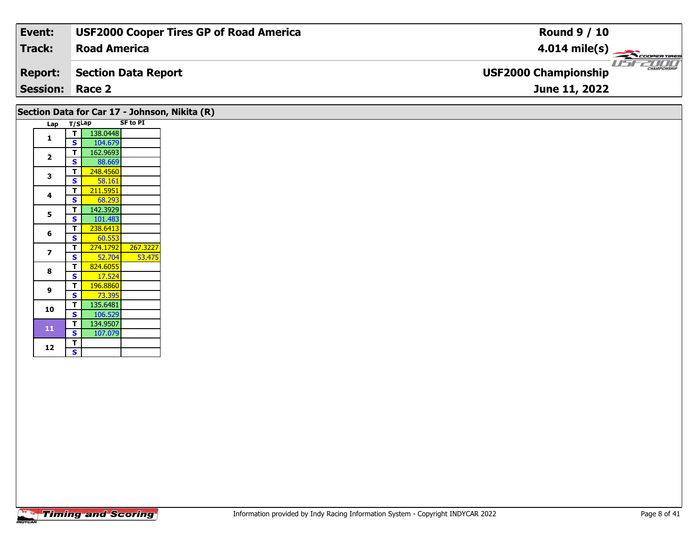| Event:                 | <b>USF2000 Cooper Tires GP of Road America</b> | <b>Round 9 / 10</b>                         |
|------------------------|------------------------------------------------|---------------------------------------------|
| Track:                 | <b>Road America</b>                            | $4.014 \text{ mile(s)}$                     |
| <b>Report:</b>         | Section Data Report                            | CHAMPIONSHIP<br><b>USF2000 Championship</b> |
| <b>Session: Race 2</b> |                                                | <b>June 11, 2022</b>                        |

|                |        |          |                 | Section Data for Car 17 - Johnson, Nikita (R) |
|----------------|--------|----------|-----------------|-----------------------------------------------|
| Lap            | T/SLap |          | <b>SF to PI</b> |                                               |
| 1              | т      | 138.0448 |                 |                                               |
|                | S      | 104.679  |                 |                                               |
| $\overline{2}$ | T      | 162.9693 |                 |                                               |
|                | S      | 88.669   |                 |                                               |
| 3              | т      | 248.4560 |                 |                                               |
|                | S      | 58.161   |                 |                                               |
| 4              | т      | 211.5951 |                 |                                               |
|                | S      | 68.293   |                 |                                               |
| 5              | т      | 142.3929 |                 |                                               |
|                | S      | 101.483  |                 |                                               |
| 6              | т      | 238.6413 |                 |                                               |
|                | S      | 60.553   |                 |                                               |
| $\overline{ }$ | т      | 274.1792 | 267.3227        |                                               |
|                | S      | 52.704   | 53.475          |                                               |
| 8              | т      | 824.6055 |                 |                                               |
|                | S      | 17.524   |                 |                                               |
| 9              | т      | 196.8860 |                 |                                               |
|                | S      | 73.395   |                 |                                               |
| 10             | т      | 135.6481 |                 |                                               |
|                | S      | 106.529  |                 |                                               |
| 11             | т      | 134.9507 |                 |                                               |
|                | S      | 107.079  |                 |                                               |
| 12             | T      |          |                 |                                               |
|                | S      |          |                 |                                               |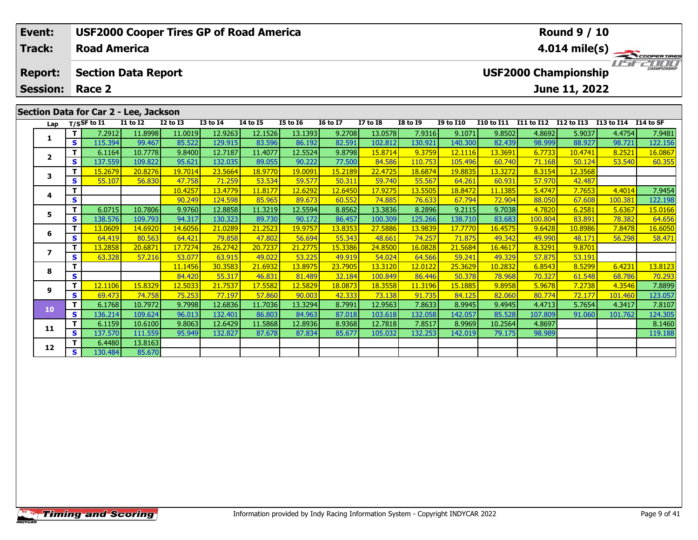| Event:                            |            |                     |                                       |              | <b>USF2000 Cooper Tires GP of Road America</b> |                 |                 |                 |                 |                 |                  |            |                   | <b>Round 9 / 10</b>                          |            |                         |
|-----------------------------------|------------|---------------------|---------------------------------------|--------------|------------------------------------------------|-----------------|-----------------|-----------------|-----------------|-----------------|------------------|------------|-------------------|----------------------------------------------|------------|-------------------------|
| Track:                            |            | <b>Road America</b> |                                       |              |                                                |                 |                 |                 |                 |                 |                  |            |                   |                                              |            | $4.014 \text{ mile(s)}$ |
| <b>Report:</b><br><b>Session:</b> |            | Race 2              | <b>Section Data Report</b>            |              |                                                |                 |                 |                 |                 |                 |                  |            |                   | <b>USF2000 Championship</b><br>June 11, 2022 |            | CHAMPIONSHIP            |
|                                   |            |                     |                                       |              |                                                |                 |                 |                 |                 |                 |                  |            |                   |                                              |            |                         |
|                                   |            |                     | Section Data for Car 2 - Lee, Jackson |              |                                                |                 |                 |                 |                 |                 |                  |            |                   |                                              |            |                         |
| Lap                               |            | $T/S$ SF to I1      | <b>I1 to I2</b>                       | $I2$ to $I3$ | <b>I3 to I4</b>                                | <b>I4 to I5</b> | <b>I5 to 16</b> | <b>16 to 17</b> | <b>I7 to I8</b> | <b>I8 to I9</b> | <b>I9 to I10</b> | I10 to I11 | <b>I11 to I12</b> | I12 to I13                                   | I13 to I14 | I14 to SF               |
| 1                                 |            | 7.2912              | 11.8998                               | 11.0019      | 12.9263                                        | 12.1526         | 13.1393         | 9.2708          | 13.0578         | 7.9316          | 9.1071           | 9.8502     | 4.8692            | 5.9037                                       | 4.4754     | 7.9481                  |
|                                   | <b>SI</b>  | 115.394             | 99.467                                | 85.522       | 129.915                                        | 83.596          | 86.192          | 82.591          | 102.812         | 130.921         | 140.300          | 82.439     | 98.999            | 88.927                                       | 98.721     | 122.156                 |
| $\overline{\mathbf{2}}$           |            | 6.1164              | 10.7778                               | 9.8400       | 12.7187                                        | 11.4077         | 12.5524         | 9.8798          | 15.8714         | 9.3759          | 12.1116          | 13.3691    | 6.7733            | 10.4741                                      | 8.2521     | 16.0867                 |
|                                   | <b>s</b> l | 137.559             | 109.822                               | 95.621       | 132.035                                        | 89.055          | 90.222          | 77.500          | 84.586          | 110.753         | 105.496          | 60.740     | 71.168            | 50.124                                       | 53.540     | 60.355                  |
| 3                                 |            | 15.2679             | 20.8276                               | 19.7014      | 23.5664                                        | 18.9770         | 19.0091         | 15.2189         | 22.4725         | 18.6874         | 19.8835          | 13.3272    | 8.3154            | 12.3568                                      |            |                         |
|                                   | S.         | 55.107              | 56.830                                | 47.758       | <b>71.2591</b>                                 | 53.534          | 59.577          | 50.311          | 59.740          | 55.567          | 64.261           | 60.931     | 57.970            | 42.487                                       |            |                         |

**<sup>T</sup>** 10.4257 13.4779 11.8177 12.6292 12.6450 17.9275 13.5505 18.8472 11.1385 5.4747 7.7653 4.4014 7.9454 **<sup>S</sup>** 90.249 124.598 85.965 89.673 60.552 74.885 76.633 67.794 72.904 88.050 67.608 100.381 122.198

**<sup>T</sup>** 6.0715 10.7806 9.9760 12.8858 11.3219 12.5594 8.8562 13.3836 8.2896 9.2115 9.7038 4.7820 6.2581 5.6367 15.0166 **<sup>S</sup>** 138.576 109.793 94.317 130.323 89.730 90.172 86.457 100.309 125.266 138.710 83.683 100.804 83.891 78.382 64.656

**<sup>T</sup>** 13.0609 14.6920 14.6056 21.0289 21.2523 19.9757 13.8353 27.5886 13.9839 17.7770 16.4575 9.6428 10.8986 7.8478 16.6050 **<sup>S</sup>** 64.419 80.563 64.421 79.858 47.802 56.694 55.343 48.661 74.257 71.875 49.342 49.990 48.171 56.298 58.471

**<sup>T</sup>** 11.1456 30.3583 21.6932 13.8975 23.7905 13.3120 12.0122 25.3629 10.2832 6.8543 8.5299 6.4231 13.8123 **<sup>S</sup>** 84.420 55.317 46.831 81.489 32.184 100.849 86.446 50.378 78.968 70.327 61.548 68.786 70.293

17 12.1106 15.8329 12.5033 21.7537 17.5582 12.5829 18.0873 18.3558 11.3196 15.1885 9.8958 5.9678 7.2738 4.3546<br>S 69.473 74.758 75.253 77.197 57.860 90.003 42.333 73.138 91.735 84.125 82.060 80.774 72.177 101.460 123.057 \$

0 T 6.1768 10.7972| 9.7998| 12.6836| 11.7036| 13.3294| 8.7991| 12.9563| 7.8633| 8.9945| 9.4945| 4.4713| 5.7654| 4.3417| 7.8107<br>S 136.214 109.624 96.013 132.401 86.803 84.963 87.018 103.618 132.058 142.057 85.528 107.809 91

**<sup>T</sup>** 6.1159 10.6100 9.8063 12.6429 11.5868 12.8936 8.9368 12.7818 7.8517 8.9969 10.2564 4.8697 8.1460 **<sup>S</sup>** 137.570 111.559 95.949 132.827 87.678 87.834 85.677 105.032 132.253 142.019 79.175 98.989 119.188

**<sup>T</sup>** 13.2858 20.6871 17.7274 26.2742 20.7237 21.2775 15.3386 24.8500 16.0828 21.5684 16.4617 8.3291 9.8701 **<sup>S</sup>** 63.328 57.216 53.077 63.915 49.022 53.225 49.919 54.024 64.566 59.241 49.329 57.875 53.191

**<sup>T</sup>** 6.4480 13.8163 **<sup>S</sup>** 130.484 85.670

85.670

**4**

**5**

**6**

**7**

**8**

**9**

**10**

**11**

**12**

122.198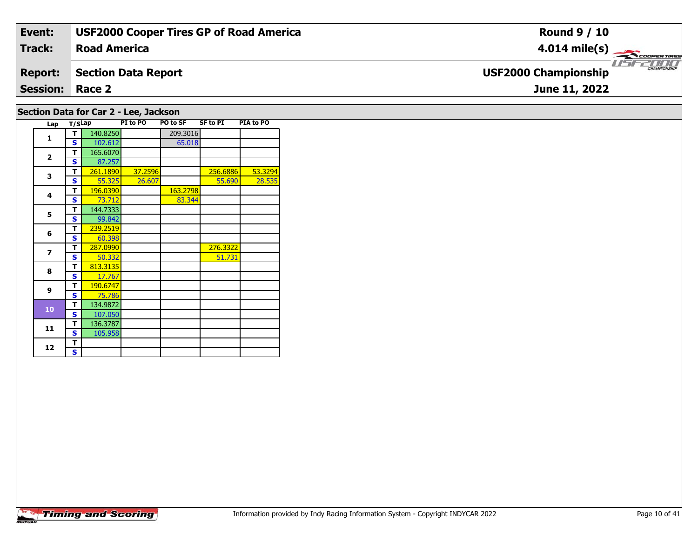| Event:                                | <b>USF2000 Cooper Tires GP of Road America</b> | <b>Round 9 / 10</b>                         |  |  |  |  |  |  |  |  |
|---------------------------------------|------------------------------------------------|---------------------------------------------|--|--|--|--|--|--|--|--|
| Track:                                | <b>Road America</b>                            | $4.014 \text{ mile(s)}$                     |  |  |  |  |  |  |  |  |
| <b>Report:</b>                        | <b>Section Data Report</b>                     | CHAMPIONSHIP<br><b>USF2000 Championship</b> |  |  |  |  |  |  |  |  |
| <b>Session: Race 2</b>                |                                                | June 11, 2022                               |  |  |  |  |  |  |  |  |
| Section Data for Car 2 - Lee, Jackson |                                                |                                             |  |  |  |  |  |  |  |  |

# **Timing and Scoring**

**Lap T/SLap PI to PO PO to SF SF to PI PIA to PO** 

**<sup>T</sup>** 261.1890 37.2596 256.6886 53.3294 **<sup>S</sup>** 55.325 26.607 55.690 28.535

65.018

83.344

51.731

28.535

**T** 140.8250 209.3016<br> **S** 102.612 65.018

**T** 287.0990 276.3322<br>**S** 50.332 51.731

**4 T** 196.0390 163.2798<br>**S** 73.712 83.344

**1**

**2**

**3**

**4**

**5**

**6**

**7**

**8**

**9**

**10**

**11**

12  $\frac{1}{s}$ 

**2 S** 87.257

**5 T** 144.7333<br>**S** 99.842

**T** 239.2519<br>**S** 60.398

**T** 813.3135 17.767

**<sup>T</sup>** 134.9872 **<sup>S</sup>** 107.050

 **<sup>T</sup>** 136.3787 **<sup>S</sup>** 105.958105.958

**<sup>T</sup>** 190.6747 **<sup>S</sup>** 75.786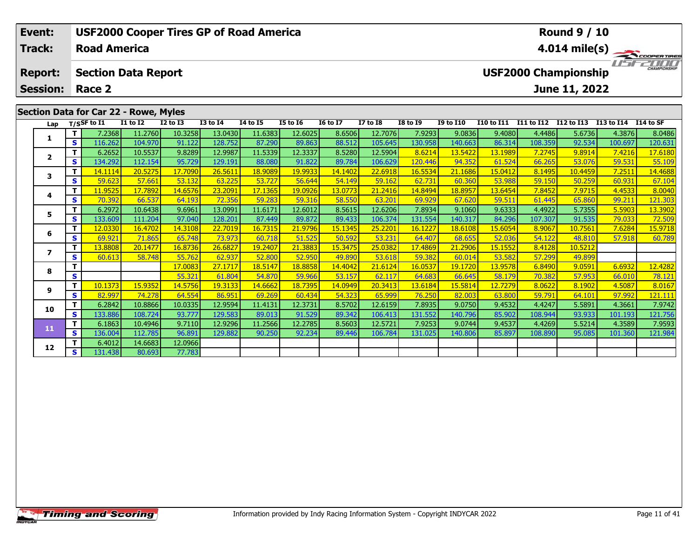| Event:                            |            |                     |                                       |              |                 | <b>USF2000 Cooper Tires GP of Road America</b> |                 |                 |                 |                 |                  |            |            | <b>Round 9 / 10</b>                          |            |                          |
|-----------------------------------|------------|---------------------|---------------------------------------|--------------|-----------------|------------------------------------------------|-----------------|-----------------|-----------------|-----------------|------------------|------------|------------|----------------------------------------------|------------|--------------------------|
| Track:                            |            | <b>Road America</b> |                                       |              |                 |                                                |                 |                 |                 |                 |                  |            |            |                                              |            | $4.014 \text{ mile(s)}$  |
| <b>Report:</b><br><b>Session:</b> |            | Race 2              | <b>Section Data Report</b>            |              |                 |                                                |                 |                 |                 |                 |                  |            |            | <b>USF2000 Championship</b><br>June 11, 2022 |            | <b>LIST CHAMPIONSHIP</b> |
|                                   |            |                     |                                       |              |                 |                                                |                 |                 |                 |                 |                  |            |            |                                              |            |                          |
|                                   |            |                     | Section Data for Car 22 - Rowe, Myles |              |                 |                                                |                 |                 |                 |                 |                  |            |            |                                              |            |                          |
| Lap                               |            | $T/S$ SF to I1      | <b>I1 to I2</b>                       | $I2$ to $I3$ | <b>I3 to I4</b> | 14 to 15                                       | <b>I5 to 16</b> | <b>16 to 17</b> | <b>I7 to I8</b> | <b>I8 to I9</b> | <b>I9 to I10</b> | I10 to I11 | I11 to I12 | <b>I12 to I13</b>                            | I13 to I14 | I14 to SF                |
|                                   |            | 7.2368              | 11.2760                               | 10.3258      | 13.0430         | 11.6383                                        | 12.6025         | 8.6506          | 12.7076         | 7.9293          | 9.0836           | 9.4080     | 4.4486     | 5.6736                                       | 4.3876     | 8.0486                   |
| л.                                | <b>SI</b>  | 116.262             | 104.970                               | 91.122       | 128.752         | 87.290                                         | 89.863          | 88.512          | 105.645         | 130.958         | 140.663          | 86.314     | 108.359    | 92.534                                       | 100.697    | 120.631                  |
| $\overline{\mathbf{2}}$           |            | 6.2652              | 10.5537                               | 9.8289       | 12.9987         | 11.5339                                        | 12.3337         | 8.5280          | 12.5904         | 8.6214          | 13.5422          | 13.1989    | 7.2745     | 9.8914                                       | 7.4216     | 17.6180                  |
|                                   | <b>s</b> l | 134.292             | 112.154                               | 95.729       | 129.191         | 88.080                                         | 91.822          | 89.784          | 106.629         | 120.446         | 94.352           | 61.524     | 66.265     | 53.076                                       | 59.531     | 55.109                   |
|                                   |            | 14.1114             | 20.5275                               | 17.7090      | 26.5611         | 18.9089                                        | 19.9933         | 14.1402         | 22.6918         | 16.5534         | 21.1686          | 15.0412    | 8.1495     | 10.4459                                      | 7.2511     | 14.4688                  |
| 3                                 |            |                     |                                       |              |                 |                                                |                 |                 |                 |                 |                  |            |            |                                              |            |                          |

**<sup>T</sup>** 11.9525 17.7892 14.6576 23.2091 17.1365 19.0926 13.0773 21.2416 14.8494 18.8957 13.6454 7.8452 7.9715 4.4533 8.0040 **<sup>S</sup>** 70.392 66.537 64.193 72.356 59.283 59.316 58.550 63.201 69.929 67.620 59.511 61.445 65.860 99.211 121.303

5 | T | 6.2972| 10.6438| 9.6961| 13.0991| 11.6171| 12.6012| 8.5615| 12.6206| 7.8934| 9.1060| 9.6333| 4.4922| 5.7355| 5.5903| 13.3902<br>| S | 133.609| 111.204| 97.040| 128.201| 87.449| 89.872| 89.433| 106.374| 131.554| 140.31

**<sup>T</sup>** 12.0330 16.4702 14.3108 22.7019 16.7315 21.9796 15.1345 25.2201 16.1227 18.6108 15.6054 8.9067 10.7561 7.6284 15.9718 **<sup>S</sup>** 69.921 71.865 65.748 73.973 60.718 51.525 50.592 53.231 64.407 68.655 52.036 54.122 48.810 57.918 60.789

**<sup>T</sup>** 17.0083 27.1717 18.5147 18.8858 14.4042 21.6124 16.0537 19.1720 13.9578 6.8490 9.0591 6.6932 12.4282 **<sup>S</sup>** 55.321 61.804 54.870 59.966 53.157 62.117 64.683 66.645 58.179 70.382 57.953 66.010 78.121

1 1 10.1373| 15.9352| 14.5756| 19.3133| 14.6662| 18.7395| 14.0949| 20.3413| 13.6184| 15.5814| 12.7279| 8.0622| 8.1902| 4.5087| 8.0167 8.0167<br>| S | 82.997| 74.278| 64.554| 86.951| 69.269| 60.434| 54.323| 65.999| 76.250| 82

**<sup>T</sup>** 6.2842 10.8866 10.0335 12.9594 11.4131 12.3731 8.5702 12.6159 7.8935 9.0750 9.4532 4.4247 5.5891 4.3661 7.9742 **<sup>S</sup>** 133.886 108.724 93.777 129.583 89.013 91.529 89.342 106.413 131.552 140.796 85.902 108.944 93.933 101.193 121.756

1 | T | 6.1863 10.4946 |9.7110 12.9296 11.2566 12.2785 8.5603 12.5721 7.9253 9.0744 9.4537 4.4269 5.5214 4.3589 7.9593<br>- S 136.004 112.785 96.891 129.882 90.250 92.234 89.446 106.784 131.025 140.806 85.897 108.890 95.085 1

**<sup>T</sup>** 13.8808 20.1477 16.8736 26.6827 19.2407 21.3883 15.3475 25.0382 17.4869 21.2906 15.1552 8.4128 10.5212 **<sup>S</sup>** 60.613 58.748 55.762 62.937 52.800 52.950 49.890 53.618 59.382 60.014 53.582 57.299 49.899

# **Timing and Scoring**

**4**

**5**

**6**

**7**

**8**

**9**

**10**

**11**

**12**

**<sup>T</sup>** 6.4012 14.6683 12.0966 **<sup>S</sup>** 131.438 80.693 77.783

77.783

121.303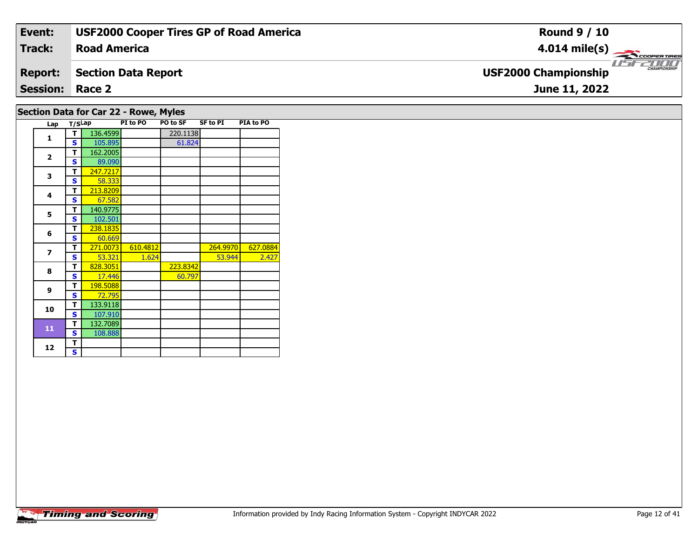| Event:                                | <b>USF2000 Cooper Tires GP of Road America</b> | <b>Round 9 / 10</b>                         |  |  |  |  |  |  |  |  |
|---------------------------------------|------------------------------------------------|---------------------------------------------|--|--|--|--|--|--|--|--|
| <b>Track:</b>                         | <b>Road America</b>                            | $4.014 \text{ mile(s)}$                     |  |  |  |  |  |  |  |  |
| <b>Report:</b>                        | <b>Section Data Report</b>                     | CHAMPIONSHIP<br><b>USF2000 Championship</b> |  |  |  |  |  |  |  |  |
| <b>Session: Race 2</b>                |                                                | June 11, 2022                               |  |  |  |  |  |  |  |  |
| Section Data for Car 22 - Rowe, Myles |                                                |                                             |  |  |  |  |  |  |  |  |

| 3  | ш | 247.7217 |          |          |          |          |
|----|---|----------|----------|----------|----------|----------|
|    | S | 58.333   |          |          |          |          |
|    | т | 213.8209 |          |          |          |          |
| 4  | S | 67.582   |          |          |          |          |
| 5  | т | 140.9775 |          |          |          |          |
|    | S | 102.501  |          |          |          |          |
| 6  | т | 238.1835 |          |          |          |          |
|    | S | 60.669   |          |          |          |          |
| 7  | т | 271.0073 | 610.4812 |          | 264.9970 | 627.0884 |
|    | S | 53.321   | 1.624    |          | 53.944   | 2.427    |
| 8  | т | 828.3051 |          | 223.8342 |          |          |
|    | S | 17.446   |          | 60.797   |          |          |
| 9  | т | 198.5088 |          |          |          |          |
|    | S | 72.795   |          |          |          |          |
| 10 | т | 133.9118 |          |          |          |          |
|    | S | 107.910  |          |          |          |          |
| 11 | т | 132.7089 |          |          |          |          |
|    | S | 108.888  |          |          |          |          |
| 12 | т |          |          |          |          |          |
|    | S |          |          |          |          |          |

**Lap T/SLap PI to PO PO to SF SF to PI PIA to PO** 

61.824

**T** 136.4599 220.1138<br> **S** 105.895 61.824

 **<sup>T</sup>** 162.2005 **<sup>S</sup>** 89.09089.090

**<sup>T</sup>** 247.7217 **<sup>S</sup>** 58.333

**1**

**2**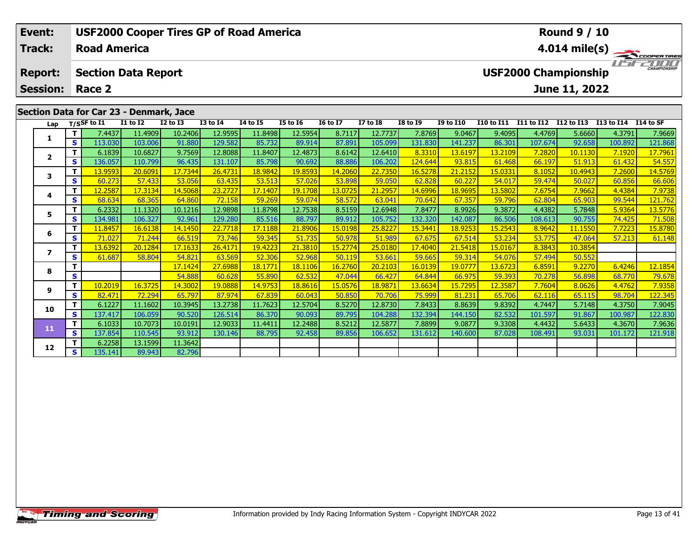| Event:          |     |                          |                                         | <b>USF2000 Cooper Tires GP of Road America</b> |                 |                 |                 |                 |                                         | <b>Round 9 / 10</b> |                  |            |            |                             |                      |                                |
|-----------------|-----|--------------------------|-----------------------------------------|------------------------------------------------|-----------------|-----------------|-----------------|-----------------|-----------------------------------------|---------------------|------------------|------------|------------|-----------------------------|----------------------|--------------------------------|
| <b>Track:</b>   |     | <b>Road America</b>      |                                         |                                                |                 |                 |                 |                 | 4.014 mile(s) $-$<br><b>COOPERTIRES</b> |                     |                  |            |            |                             |                      |                                |
| <b>Report:</b>  |     |                          | <b>Section Data Report</b>              |                                                |                 |                 |                 |                 |                                         |                     |                  |            |            | <b>USF2000 Championship</b> |                      | <b>TITTITI</b><br>CHAMPIONSHIP |
| <b>Session:</b> |     | Race 2                   |                                         |                                                |                 |                 |                 |                 |                                         |                     |                  |            |            | June 11, 2022               |                      |                                |
|                 |     |                          | Section Data for Car 23 - Denmark, Jace |                                                |                 |                 |                 |                 |                                         |                     |                  |            |            |                             |                      |                                |
| Lap             |     | T/SSF to $\overline{11}$ | <b>I1 to I2</b>                         | $I2$ to $I3$                                   | <b>I3 to I4</b> | <b>I4 to I5</b> | <b>I5 to 16</b> | <b>16 to 17</b> | <b>I7 to I8</b>                         | <b>I8 to I9</b>     | <b>I9 to I10</b> | I10 to I11 | I11 to I12 | I12 to I13                  | I13 to I14 I14 to SF |                                |
|                 |     | 7.4437                   | 11.4909                                 | 10.2406                                        | 12.9595         | 11.8498         | 12.5954         | 8.7117          | 12.7737                                 | 7.8769              | 9.0467           | 9.4095     | 4.4769     | 5.6660                      | 4.3791               | 7.9669                         |
| л.              | s l | 113.030                  | 103.006                                 | 91.880                                         | 129.582         | 85.732          | 89.914          | 87.891          | 105.099                                 | 131.830             | 141.237          | 86.301     | 107.674    | 92.658                      | 100.892              | 121.868                        |
| $\overline{2}$  |     | 6.1839                   | 10.6827                                 | 9.7569                                         | 12.8088         | 11.8407         | 12.4873         | 8.6142          | 12.6410                                 | 8.3310              | 13.6197          | 13.2109    | 7.2820     | 10.1130                     | 7.1920               | 17.7961                        |
|                 | S I | 136.057                  | 110.799                                 | 96.435                                         | 131.107         | 85.798          | 90.692          | 88.886          | 106.202                                 | 124.644             | 93.81            | 61.468     | 66.197     | 51.913                      | 61.432               | 54.557                         |

| Lap            |    | T/SSF to I1 | I1 to I2 | <b>I2 to I3</b> | <b>I3 to I4</b> | 14 to 15 | <b>I5 to 16</b> | <b>16 to 17</b> | <b>I7 to I8</b> | <b>I8 to 19</b> | <b>I9 to I10</b> | <b>I10 to I11</b> | <b>I11 to I12</b> | I12 to I13 | I13 to I14 | I14 to SF |
|----------------|----|-------------|----------|-----------------|-----------------|----------|-----------------|-----------------|-----------------|-----------------|------------------|-------------------|-------------------|------------|------------|-----------|
|                | Τ. | 7.4437      | 11.4909  | 10.2406         | 12.9595         | 11.8498  | 12.5954         | 8.7117          | 12.7737         | 7.8769          | 9.0467           | 9.4095            | 4.4769            | 5.6660     | 4.3791     | 7.9669    |
|                | S. | 113.030     | 103.006  | 91.880          | 129.582         | 85.732   | 89.914          | 87.891          | 105.099         | 131.830         | 141.237          | 86.301            | 107.674           | 92.658     | 100.892    | 121.868   |
| $\overline{2}$ | Τ. | 6.1839      | 10.6827  | 9.7569          | 12.8088         | 11.8407  | 12.4873         | 8.6142          | 12.6410         | 8.3310          | 13.6197          | 13.2109           | 7.2820            | 10.1130    | 7.1920     | 17.7961   |
|                | S. | 136.057     | 110.799  | 96.435          | 131.107         | 85.798   | 90.692          | 88.886          | 106.202         | 124.644         | 93.815           | 61.468            | 66.197            | 51.913     | 61.432     | 54.557    |
| 3              | т  | 13.9593     | 20.6091  | 17.7344         | 26.4731         | 18.9842  | 19.8593         | 14.2060         | 22.7350         | 16.5278         | 21.2152          | 15.0331           | 8.1052            | 10.4943    | 7.2600     | 14.5769   |
|                | S. | 60.273      | 57.433   | 53.056          | 63.435          | 53.513   | 57.026          | 53.898          | 59.050          | 62.828          | 60.227           | 54.017            | 59.474            | 50.027     | 60.856     | 66.606    |
| 4              | т  | 12.2587     | 17.3134  | 14.5068         | 23.2727         | 17.1407  | 19.1708         | 13.0725         | 21.2957         | 14.6996         | 18.9695          | 13.5802           | 7.6754            | 7.9662     | 4.4384     | 7.9738    |
|                | S  | 68.634      | 68.365   | 64.860          | 72.158          | 59.269   | 59.074          | 58.572          | 63.041          | 70.642          | 67.357           | 59.796            | 62.804            | 65.903     | 99.544     | 121.762   |
| 5              | т  | 6.2332      | 11.1320  | 10.1216         | 12.9898         | 11.8798  | 12.7538         | 8.5159          | 12.6948         | 7.8477          | 8.9926           | 9.3872            | 4.4382            | 5.7848     | 5.9364     | 13.5776   |
|                | S  | 134.981     | 106.327  | 92.961          | 129.280         | 85.516   | 88.797          | 89.912          | 105.752         | 132.320         | 142.087          | 86.506            | 108.613           | 90.755     | 74.425     | 71.508    |
| 6              | т  | 11.8457     | 16.6138  | 14.1450         | 22.7718         | 17.1188  | 21.8906         | 15.0198         | 25.8227         | 15.3441         | 18.9253          | 15.2543           | 8.9642            | 11.1550    | 7.7223     | 15.8780   |
|                | S  | 71.027      | 71.244   | 66.519          | 73.746          | 59.345   | 51.735          | 50.978          | 51.989          | 67.675          | 67.514           | 53.234            | 53.775            | 47.064     | 57.213     | 61.148    |
|                | т  | 13.6392     | 20.1284  | 17.1633         | 26.4171         | 19.4223  | 21.3810         | 15.2774         | 25.0180         | 17.4040         | 21.5418          | 15.0167           | 8.3843            | 10.3854    |            |           |
|                | S  | 61.687      | 58.804   | 54.821          | 63.569          | 52.306   | 52.968          | 50.119          | 53.661          | 59.665          | 59.314           | 54.076            | 57.494            | 50.552     |            |           |
| 8              | т  |             |          | 17.1424         | 27.6988         | 18.1771  | 18.1106         | 16.2760         | 20.2103         | 16.0139         | 19.0777          | 13.6723           | 6.8591            | 9.2270     | 6.4246     | 12.1854   |
|                | S  |             |          | 54.888          | 60.628          | 55.890   | 62.532          | 47.044          | 66.427          | 64.844          | 66.975           | 59.393            | 70.278            | 56.898     | 68.770     | 79.678    |
| 9              | т  | 10.2019     | 16.3725  | 14.3002         | 19.0888         | 14.9753  | 18.8616         | 15.0576         | 18.9871         | 13.6634         | 15.7295          | 12.3587           | 7.7604            | 8.0626     | 4.4762     | 7.9358    |
|                | S  | 82.471      | 72.294   | 65.797          | 87.974          | 67.839   | 60.043          | 50.850          | 70.706          | 75.999          | 81.231           | 65.706            | 62.116            | 65.115     | 98.704     | 122.345   |
| 10             | т  | 6.1227      | 11.1602  | 10.3945         | 13.2738         | 11.7623  | 12.5704         | 8.5270          | 12.8730         | 7.8433          | 8.8639           | 9.8392            | 4.7447            | 5.7148     | 4.3750     | 7.9045    |
|                | S. | 137.417     | 106.059  | 90.520          | 126.514         | 86.370   | 90.093          | 89.795          | 104.288         | 132.394         | 144.150          | 82.532            | 101.597           | 91.867     | 100.987    | 122.830   |
| 11             |    | 6.1033      | 10.7073  | 10.0191         | 12.9033         | 11.4411  | 12.2488         | 8.5212          | 12.5877         | 7.8899          | 9.0877           | 9.3308            | 4.4432            | 5.6433     | 4.3670     | 7.9636    |
|                | S. | 137.854     | 110.545  | 93.912          | 130.146         | 88.795   | 92.458          | 89.856          | 106.652         | 131.612         | 140,600          | 87.028            | 108.491           | 93.031     | 101.172    | 121.918   |
| 12             |    | 6.2258      | 13.1599  | 11.3642         |                 |          |                 |                 |                 |                 |                  |                   |                   |            |            |           |
|                | S  | 135.141     | 89.943   | 82.796          |                 |          |                 |                 |                 |                 |                  |                   |                   |            |            |           |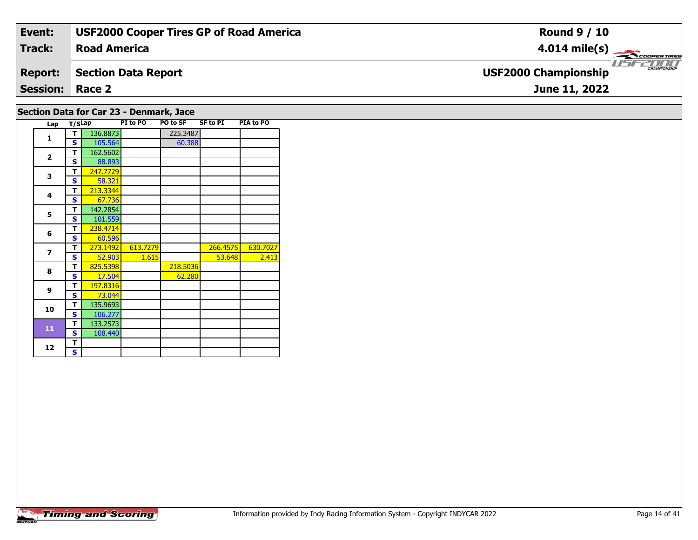| Event:                                  | <b>USF2000 Cooper Tires GP of Road America</b> | <b>Round 9 / 10</b>                                |  |  |  |  |  |  |  |  |
|-----------------------------------------|------------------------------------------------|----------------------------------------------------|--|--|--|--|--|--|--|--|
| <b>Track:</b>                           | <b>Road America</b>                            | $4.014 \text{ mile(s)}$                            |  |  |  |  |  |  |  |  |
| <b>Report:</b>                          | <b>Section Data Report</b>                     | <b>CHAMPIONSHIP</b><br><b>USF2000 Championship</b> |  |  |  |  |  |  |  |  |
| <b>Session: Race 2</b>                  |                                                | June 11, 2022                                      |  |  |  |  |  |  |  |  |
| Section Data for Car 23 - Denmark, Jace |                                                |                                                    |  |  |  |  |  |  |  |  |

| Lap                      | T/SLap |          | PI to PO | PO to SF | <b>SF to PI</b> | PIA to PO |
|--------------------------|--------|----------|----------|----------|-----------------|-----------|
| 1                        | т      | 136.8873 |          | 225.3487 |                 |           |
|                          | S      | 105.564  |          | 60.388   |                 |           |
| $\overline{2}$           | т      | 162.5602 |          |          |                 |           |
|                          | S      | 88.893   |          |          |                 |           |
| 3                        | т      | 247.7729 |          |          |                 |           |
|                          | S      | 58.321   |          |          |                 |           |
| 4                        | т      | 213.3344 |          |          |                 |           |
|                          | S      | 67.736   |          |          |                 |           |
| 5                        | т      | 142.2854 |          |          |                 |           |
|                          | S      | 101.559  |          |          |                 |           |
| 6                        | т      | 238.4714 |          |          |                 |           |
|                          | S      | 60.596   |          |          |                 |           |
| $\overline{\phantom{a}}$ | т      | 273.1492 | 613.7279 |          | 266.4575        | 630.7027  |
|                          | S      | 52.903   | 1.615    |          | 53.648          | 2.413     |
| 8                        | т      | 825.5398 |          | 218.5036 |                 |           |
|                          | S      | 17.504   |          | 62.280   |                 |           |
| 9                        | т      | 197.8316 |          |          |                 |           |
|                          | S      | 73.044   |          |          |                 |           |
| 10                       | т      | 135.9693 |          |          |                 |           |
|                          | S      | 106.277  |          |          |                 |           |
| 11                       | т      | 133.2573 |          |          |                 |           |
|                          | S      | 108.440  |          |          |                 |           |
| 12                       | T      |          |          |          |                 |           |
|                          | S      |          |          |          |                 |           |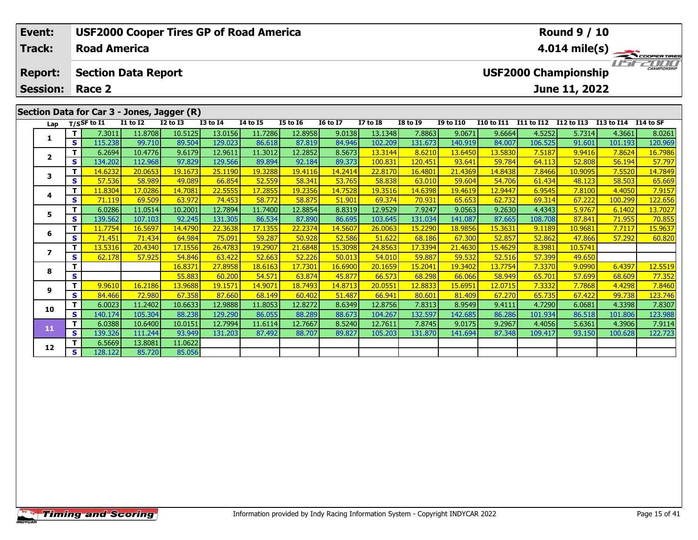| Event:          |     | <b>USF2000 Cooper Tires GP of Road America</b> |                 |              |                 |                 | <b>Round 9 / 10</b> |                 |                 |                 |                  |                   |                             |                   |                      |                     |
|-----------------|-----|------------------------------------------------|-----------------|--------------|-----------------|-----------------|---------------------|-----------------|-----------------|-----------------|------------------|-------------------|-----------------------------|-------------------|----------------------|---------------------|
| <b>Track:</b>   |     | <b>Road America</b>                            |                 |              |                 |                 |                     |                 |                 |                 |                  |                   |                             | 4.014 mile(s) $-$ |                      | COOPERTIRES         |
| <b>Report:</b>  |     | <b>Section Data Report</b>                     |                 |              |                 |                 |                     |                 |                 |                 |                  |                   | <b>USF2000 Championship</b> |                   |                      | <b>CHAMPIONSHIP</b> |
| <b>Session:</b> |     | Race 2                                         |                 |              |                 |                 |                     |                 |                 |                 |                  |                   |                             | June 11, 2022     |                      |                     |
|                 |     |                                                |                 |              |                 |                 |                     |                 |                 |                 |                  |                   |                             |                   |                      |                     |
|                 |     | Section Data for Car 3 - Jones, Jagger (R)     |                 |              |                 |                 |                     |                 |                 |                 |                  |                   |                             |                   |                      |                     |
| Lap             |     | $T/S$ SF to I1                                 | <b>I1 to I2</b> | $I2$ to $I3$ | <b>I3 to I4</b> | <b>I4 to I5</b> | <b>I5 to I6</b>     | <b>16 to 17</b> | <b>I7 to I8</b> | <b>I8 to 19</b> | <b>I9 to I10</b> | <b>I10 to I11</b> | I11 to I12                  | I12 to I13        | I13 to I14 I14 to SF |                     |
|                 |     | 7.3011                                         | 11.8708         | 10.5125      | 13.0156         | 11.7286         | 12.8958             | 9.0138          | 13.1348         | 7.8863          | 9.0671           | 9.6664            | 4.5252                      | 5.7314            | 4.3661               | 8.0261              |
|                 | s l | 115.238                                        | 99.710          | 89.504       | 129.023         | 86.618          | 87.819              | 84.946          | 102.209         | 131.673         | 140.919          | 84.007            | 106.525                     | 91.601            | 101.193              | 120.969             |
| $\overline{2}$  |     | 6.2694                                         | 10.4776         | 9.6179       | 12.9611         | 11.3012         | 12.2852             | 8.5673          | 13.3144         | 8.6210          | 13.6450          | 13.5830           | 7.5187                      | 9.9416            | 7.8624               | 16.7986             |
|                 | s l | 134.202                                        | 112.968         | 97.829       | 129.566         | 89.894          | 92.184              | 89.373          | 100.831         | 120.451         | 93.641           | 59.784            | 64.113                      | 52.808            | 56.194               | 57.797              |
| 3               |     | 14.6232                                        | 20.0653         | 19.1673      | 25.1190         | 19.3288         | 19.4116             | 14.2414         | 22,8170         | 16.4801         | 21.4369          | 14.8438           | 7.8466                      | 10.9095           | 7.5520               | 14.7849             |
|                 | S.  | 57.536                                         | 58.989          | 49.089       | 66.854          | 52.559          | 58.341              | 53.765          | 58.838          | 63.010          | 59.604           | 54.706            | 61.434                      | 48.123            | 58.503               | 65.669              |

**<sup>T</sup>** 11.8304 17.0286 14.7081 22.5555 17.2855 19.2356 14.7528 19.3516 14.6398 19.4619 12.9447 6.9545 7.8100 4.4050 7.9157 **<sup>S</sup>** 71.119 69.509 63.972 74.453 58.772 58.875 51.901 69.374 70.931 65.653 62.732 69.314 67.222 100.299 122.656

**<sup>T</sup>** 6.0286 11.0514 10.2001 12.7894 11.7400 12.8854 8.8319 12.9529 7.9247 9.0563 9.2630 4.4343 5.9767 6.1402 13.7027 **<sup>S</sup>** 139.562 107.103 92.245 131.305 86.534 87.890 86.695 103.645 131.034 141.087 87.665 108.708 87.841 71.955 70.855

**<sup>T</sup>** 11.7754 16.5697 14.4790 22.3638 17.1355 22.2374 14.5607 26.0063 15.2290 18.9856 15.3631 9.1189 10.9681 7.7117 15.9637 **<sup>S</sup>** 71.451 71.434 64.984 75.091 59.287 50.928 52.586 51.622 68.186 67.300 52.857 52.862 47.866 57.292 60.820

**<sup>T</sup>** 16.8371 27.8958 18.6163 17.7301 16.6900 20.1659 15.2041 19.3402 13.7754 7.3370 9.0990 6.4397 12.5519 **<sup>S</sup>** 55.883 60.200 54.571 63.874 45.877 66.573 68.298 66.066 58.949 65.701 57.699 68.609 77.352

<mark>11 9.9610| 16.2186| 13.9688| 19.1571| 14.9071| 18.7493| 14.8713| 20.0551| 12.8833| 15.6951| 12.0715| 7.3332| 7.7868| 4.4298| 7.8460<br>S | 84.466| 72.980| 67.358| 87.660| 68.149| 60.402| 51.487| 66.941| 80.601| 81.409| 67.2</mark>

0 | **T** | 6.0023| 11.2402| 10.6633| 12.9888| 11.8053| 12.8272| 8.6349| 12.8756| 7.8313| 8.9549| 9.4111| 4.7290| 6.0681| 4.3398| 7.8307<br>| S | 140.174 105.304| 88.238| 129.290| 86.055| 88.289| 88.673| 104.267| 132.597| 142.6

**<sup>T</sup>** 6.0388 10.6400 10.0151 12.7994 11.6114 12.7667 8.5240 12.7611 7.8745 9.0175 9.2967 4.4056 5.6361 4.3906 7.9114 **<sup>S</sup>** 139.326 111.244 93.949 131.203 87.492 88.707 89.827 105.203 131.870 141.694 87.348 109.417 93.150 100.628 122.723

**<sup>T</sup>** 13.5316 20.4340 17.1556 26.4783 19.2907 21.6848 15.3098 24.8563 17.3394 21.4630 15.4629 8.3981 10.5741 **<sup>S</sup>** 62.178 57.925 54.846 63.422 52.663 52.226 50.013 54.010 59.887 59.532 52.516 57.399 49.650

## **Timing and Scoring**

**<sup>T</sup>** 6.5669 13.8081 11.0622 **<sup>S</sup>** 128.122 85.720 85.056

85.056

**4**

**5**

**6**

**7**

**8**

**9**

**10**

**11**

**12**

122.656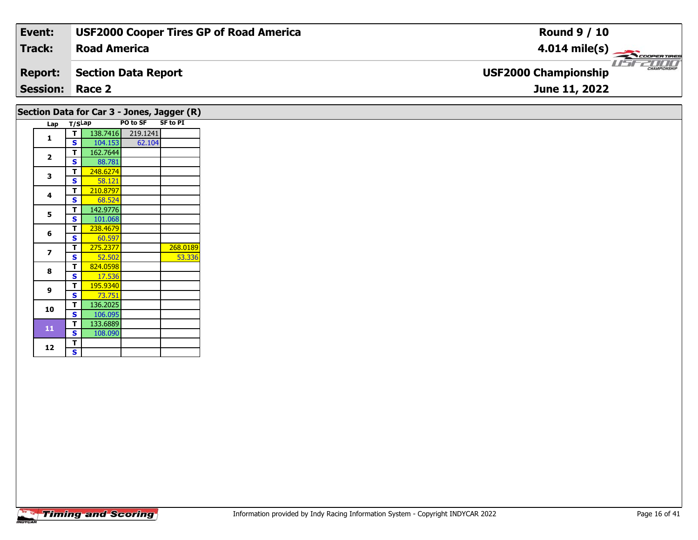| Event:                 | <b>USF2000 Cooper Tires GP of Road America</b> | <b>Round 9 / 10</b>                                |
|------------------------|------------------------------------------------|----------------------------------------------------|
| Track:                 | <b>Road America</b>                            | $4.014 \text{ mile(s)}$                            |
| <b>Report:</b>         | Section Data Report                            | <b>CHAMPIONSHIP</b><br><b>USF2000 Championship</b> |
| <b>Session: Race 2</b> |                                                | June 11, 2022                                      |
|                        |                                                |                                                    |

|     |        |          |          | Section Data for Car 3 - Jones, Jagger (R) |
|-----|--------|----------|----------|--------------------------------------------|
| Lap | T/SLap |          | PO to SF | <b>SF to PI</b>                            |
|     | т      | 138.7416 | 219.1241 |                                            |
| 1   | S      | 104.153  | 62.104   |                                            |
|     | т      | 162.7644 |          |                                            |
| 2   | S      | 88.781   |          |                                            |
|     | т      | 248.6274 |          |                                            |
| 3   | S      | 58.121   |          |                                            |
|     | т      | 210.8797 |          |                                            |
| 4   | S      | 68.524   |          |                                            |
|     | т      | 142.9776 |          |                                            |
| 5   | S      | 101.068  |          |                                            |
|     | T      | 238.4679 |          |                                            |
| 6   | S      | 60.597   |          |                                            |
|     | т      | 275.2377 |          | 268.0189                                   |
| 7   | S      | 52.502   |          | 53.336                                     |
| 8   | T      | 824.0598 |          |                                            |
|     | S      | 17.536   |          |                                            |
| 9   | т      | 195.9340 |          |                                            |
|     | S      | 73.751   |          |                                            |
| 10  | T      | 136.2025 |          |                                            |
|     | S      | 106.095  |          |                                            |
| 11  | т      | 133.6889 |          |                                            |
|     | S      | 108.090  |          |                                            |
| 12  | Т      |          |          |                                            |
|     | Ś      |          |          |                                            |

 $\mathbf{s}$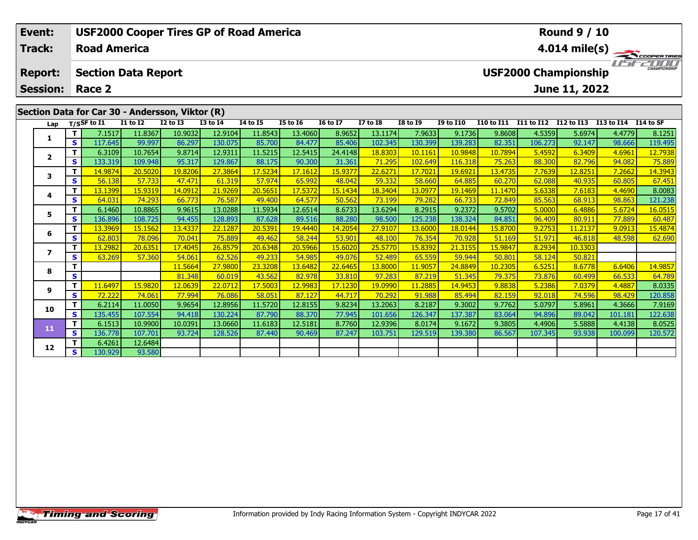| Event:                  |              |                     |                            |                                                 | <b>USF2000 Cooper Tires GP of Road America</b> |                 |                 |                 |                 |                 |                         |                                             |                   | <b>Round 9 / 10</b> |            |           |  |  |  |
|-------------------------|--------------|---------------------|----------------------------|-------------------------------------------------|------------------------------------------------|-----------------|-----------------|-----------------|-----------------|-----------------|-------------------------|---------------------------------------------|-------------------|---------------------|------------|-----------|--|--|--|
| <b>Track:</b>           |              | <b>Road America</b> |                            |                                                 |                                                |                 |                 |                 |                 |                 | $4.014 \text{ mile(s)}$ |                                             |                   |                     |            |           |  |  |  |
| <b>Report:</b>          |              |                     | <b>Section Data Report</b> |                                                 |                                                |                 |                 |                 |                 |                 |                         | CHAMPIONSHIP<br><b>USF2000 Championship</b> |                   |                     |            |           |  |  |  |
| <b>Session:</b>         |              | Race 2              |                            |                                                 |                                                |                 |                 |                 |                 |                 |                         |                                             |                   | June 11, 2022       |            |           |  |  |  |
|                         |              |                     |                            | Section Data for Car 30 - Andersson, Viktor (R) |                                                |                 |                 |                 |                 |                 |                         |                                             |                   |                     |            |           |  |  |  |
| Lap                     |              | $T/S$ SF to $I1$    | <b>I1 to I2</b>            | $I2$ to $I3$                                    | <b>I3 to I4</b>                                | <b>I4 to I5</b> | <b>I5 to I6</b> | <b>16 to 17</b> | <b>I7 to I8</b> | <b>I8 to I9</b> | <b>I9 to I10</b>        | <b>I10 to I11</b>                           | <b>I11 to I12</b> | I12 to I13          | I13 to I14 | I14 to SF |  |  |  |
|                         |              | 7.1517              | 11.8367                    | 10.9032                                         | 12.9104                                        | 11.8543         | 13.4060         | 8.9652          | 13.1174         | 7.9633          | 9.1736                  | 9.8608                                      | 4.5359            | 5.6974              | 4.4779     | 8.1251    |  |  |  |
|                         | s l          | 117.645             | 99.997                     | 86.297                                          | 130.075                                        | 85.700          | 84.477          | 85.406          | 102.345         | 130.399         | 139.283                 | 82.351                                      | 106.273           | 92.147              | 98.666     | 119.495   |  |  |  |
| $\overline{\mathbf{2}}$ |              | 6.3109              | 10.7654                    | 9.8714                                          | 12.9311                                        | 11.5215         | 12.5415         | 24.4148         | 18.8303         | 10.1161         | 10.9848                 | 10.7894                                     | 5.4592            | 6.3409              | 4.6961     | 12.7938   |  |  |  |
|                         | $\mathbf{s}$ | 133.319             | 109.948                    | 95.317                                          | 129.867                                        | 88.175          | 90.300          | 31.361          | 71.295          | 102.649         | 116.318                 | 75.263                                      | 88.300            | 82.796              | 94.082     | 75.889    |  |  |  |
| 3                       |              | 14.9874             | 20.5020                    | 19.8206                                         | 27.3864                                        | 17.5234         | 17.1612         | 15.9377         | 22,6271         | 17.7021         | 19.6921                 | 13.4735                                     | 7.7639            | 12.8251             | 7.2662     | 14.3943   |  |  |  |
|                         | S.           | 56.138              | 57.733                     | 47.471                                          | 61.319                                         | 57.974          | 65.992          | 48.042          | 59.332          | 58.660          | 64.885                  | 60.270                                      | 62.088            | 40.935              | 60.805     | 67.451    |  |  |  |
|                         |              | 13.1399             | 15.9319                    | 14.0912                                         | 21.9269                                        | 20.5651         | 17.5372         | 15.1434         | 18.3404         | 13.0977         | 19.1469                 | 11.1470                                     | 5.6338            | 7.6183              | 4.4690     | 8.0083    |  |  |  |
| 4                       | S.           | 64 031              | 74 293                     | 66 773                                          | <b>765871</b>                                  | 49 400          | 64 577          | 50.562          | <b>73 1991</b>  | <b>79 2821</b>  | 66 733                  | <b>72849</b>                                | 85 563            | <b>68 913</b>       | 98.863     | 121 238   |  |  |  |

|    | S. | 133.319              | 109.948 | 95.317  | 129.867 | 88.175  | 90.300  | 31.361  | 71.295  | 102.649 | 116.318 | 75.263  | 88.300  | 82.796  | 94.082  | 75.889               |
|----|----|----------------------|---------|---------|---------|---------|---------|---------|---------|---------|---------|---------|---------|---------|---------|----------------------|
| 3  | Τ. | 14.9874              | 20.5020 | 19.8206 | 27.3864 | 17.5234 | 17.1612 | 15.9377 | 22,6271 | 17.7021 | 19.6921 | 13.4735 | 7.7639  | 12.8251 | 7.2662  | 14.3943              |
|    | S  | 56.138               | 57.733  | 47.471  | 61.319  | 57.974  | 65.992  | 48.042  | 59.332  | 58.660  | 64.885  | 60.270  | 62.088  | 40.935  | 60.805  | 67.451               |
| 4  |    | <mark>13.1399</mark> | 15.9319 | 14.0912 | 21.9269 | 20.5651 | 17.5372 | 15.1434 | 18.3404 | 13.0977 | 19.1469 | 11.1470 | 5.6338  | 7.6183  | 4.4690  | 8.0083               |
|    | S  | 64.031               | 74.293  | 66.773  | 76.587  | 49.400  | 64.577  | 50.562  | 73.199  | 79.282  | 66.733  | 72.849  | 85.563  | 68.913  | 98.863  | 121.238              |
| 5  | T. | 6.1460               | 10.8865 | 9.9615  | 13.0288 | 11.5934 | 12.6514 | 8.6733  | 13.6294 | 8.2915  | 9.2372  | 9.5702  | 5.0000  | 6.4886  | 5.6724  | 16.0515              |
|    | S. | 136.896              | 108.725 | 94.455  | 128.893 | 87.628  | 89.516  | 88.280  | 98.500  | 125.238 | 138.324 | 84.851  | 96.409  | 80.911  | 77.889  | 60.487               |
| 6  |    | 13.3969              | 15.1562 | 13.4337 | 22.1287 | 20.5391 | 19.4440 | 14.2054 | 27.9107 | 13.6000 | 18.0144 | 15.8700 | 9.2753  | 11.2137 | 9.0913  | 15.4874              |
|    | S  | 62.803               | 78.096  | 70.041  | 75.889  | 49.462  | 58.244  | 53.901  | 48.100  | 76.354  | 70.928  | 51.169  | 51.971  | 46.818  | 48.598  | 62.690               |
|    |    | 13.2982              | 20.6351 | 17.4045 | 26.8579 | 20.6348 | 20.5966 | 15.6020 | 25.5770 | 15.8392 | 21.3155 | 15.9847 | 8.2934  | 10.3303 |         |                      |
|    | S. | 63.269               | 57.360  | 54.061  | 62.526  | 49.233  | 54.985  | 49.076  | 52.489  | 65.559  | 59.944  | 50.801  | 58.124  | 50.821  |         |                      |
| 8  |    |                      |         | 11.5664 | 27.9800 | 23.3208 | 13.6482 | 22.6465 | 13.8000 | 11.9057 | 24.8849 | 10.2305 | 6.5251  | 8.6778  | 6.6406  | <mark>14.9857</mark> |
|    | S  |                      |         | 81.348  | 60.019  | 43.562  | 82.978  | 33.810  | 97.283  | 87.219  | 51.345  | 79.375  | 73.876  | 60.499  | 66.533  | 64.789               |
| 9  |    | 11.6497              | 15.9820 | 12.0639 | 22.0712 | 17.5003 | 12.9983 | 17.1230 | 19.0990 | 11.2885 | 14.9453 | 9.8838  | 5.2386  | 7.0379  | 4.4887  | 8.0335               |
|    | S. | 72.222               | 74.061  | 77.994  | 76.086  | 58.051  | 87.127  | 44.717  | 70.292  | 91.988  | 85.494  | 82.159  | 92.018  | 74.596  | 98.429  | 120.858              |
| 10 |    | 6.2114               | 11.0050 | 9.9654  | 12.8956 | 11.5720 | 12.8155 | 9.8234  | 13.2063 | 8.2187  | 9.3002  | 9.7762  | 5.0797  | 5.8961  | 4.3666  | 7.9169               |
|    | S. | 135.455              | 107.554 | 94.418  | 130.224 | 87.790  | 88.370  | 77.945  | 101.656 | 126.347 | 137.387 | 83.064  | 94.896  | 89.042  | 101.181 | 122.638              |
| 11 | Τ. | 6.1513               | 10.9900 | 10.0391 | 13.0660 | 11.6183 | 12.5181 | 8.7760  | 12.9396 | 8.0174  | 9.1672  | 9.3805  | 4.4906  | 5.5888  | 4.4138  | 8.0525               |
|    | S. | 136.778              | 107.701 | 93.724  | 128.526 | 87.440  | 90.469  | 87.247  | 103.751 | 129.519 | 139.380 | 86.567  | 107.345 | 93.938  | 100.099 | 120.572              |
| 12 |    | 6.4261               | 12.6484 |         |         |         |         |         |         |         |         |         |         |         |         |                      |
|    | S. | 130.929              | 93.580  |         |         |         |         |         |         |         |         |         |         |         |         |                      |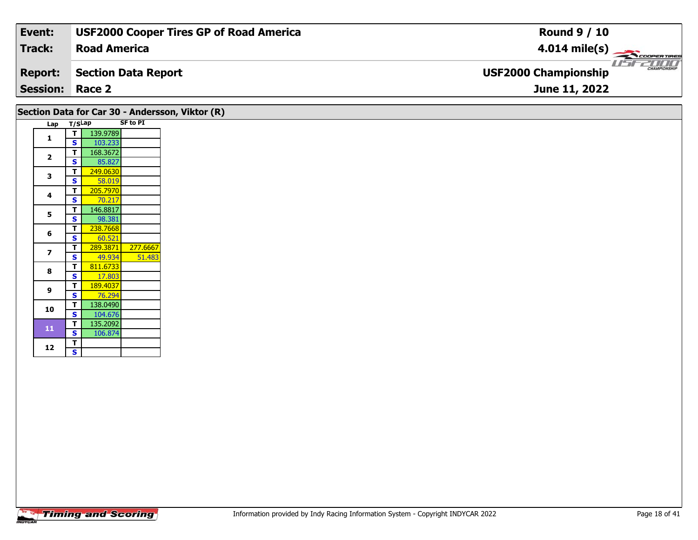| Event:                 | <b>USF2000 Cooper Tires GP of Road America</b> | <b>Round 9 / 10</b>                                |
|------------------------|------------------------------------------------|----------------------------------------------------|
| Track:                 | <b>Road America</b>                            | $4.014 \text{ mile(s)}$                            |
| <b>Report:</b>         | Section Data Report                            | <b>CHAMPIONSHIP</b><br><b>USF2000 Championship</b> |
| <b>Session: Race 2</b> |                                                | June 11, 2022                                      |

#### Lap T/S<sup>Lap</sup> SF to PI **1 <sup>T</sup>** 139.9789 **<sup>S</sup>** 103.233**22 S** 85.827 **3 <sup>T</sup>** 249.0630 **<sup>S</sup>** 58.019 **<sup>T</sup>** 205.7970 **<sup>S</sup>** 70.217**4** $70.217$ **55 T** 146.8817<br>**S** 98.381 **6T** 238.7668<br>**S** 60.521 **T** 289.3871 277.6667<br>**S** 49.934 51.483 **7**51.483 **8 <sup>T</sup>** 811.6733 **<sup>S</sup>** 17.803**9 <sup>T</sup>** 189.4037 **<sup>S</sup>** 76.294 **10 <sup>T</sup>** 138.0490 **<sup>S</sup>** 104.676**Section Data for Car 30 - Andersson, Viktor (R)**

**<sup>T</sup>** 135.2092 **<sup>S</sup>** 106.874

106.874

**11**

12  $\frac{1}{s}$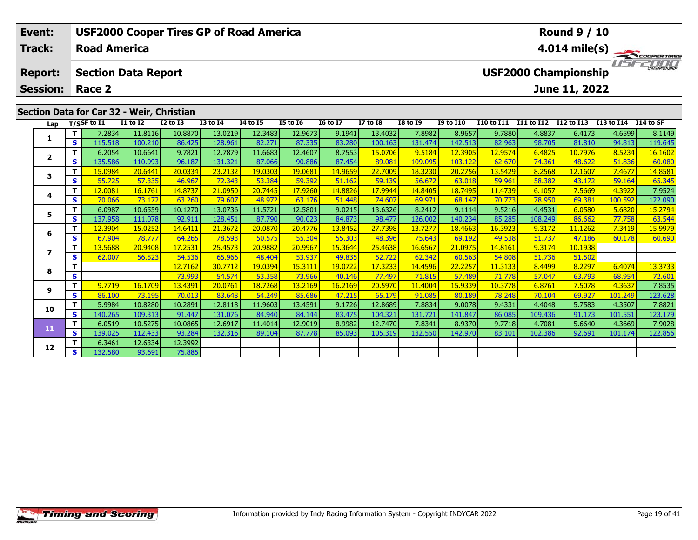| Event:                            |     |                            |              | <b>USF2000 Cooper Tires GP of Road America</b> |              |                 |                 |                 |                 |                 |                  |                   |            | <b>Round 9 / 10</b>                          |            |                               |
|-----------------------------------|-----|----------------------------|--------------|------------------------------------------------|--------------|-----------------|-----------------|-----------------|-----------------|-----------------|------------------|-------------------|------------|----------------------------------------------|------------|-------------------------------|
| <b>Track:</b>                     |     | <b>Road America</b>        |              |                                                |              |                 |                 |                 |                 |                 |                  |                   |            | 4.014 mile(s) $-$                            |            | <b>COOPERTIRES</b>            |
| <b>Report:</b><br><b>Session:</b> |     | <b>Section Data Report</b> |              |                                                |              |                 |                 |                 |                 |                 |                  |                   |            | <b>USF2000 Championship</b><br>June 11, 2022 |            | 7000 D<br><b>CHAMPIONSHIP</b> |
| Race 2                            |     |                            |              |                                                |              |                 |                 |                 |                 |                 |                  |                   |            |                                              |            |                               |
|                                   |     |                            |              | Section Data for Car 32 - Weir, Christian      |              |                 |                 |                 |                 |                 |                  |                   |            |                                              |            |                               |
| Lap                               |     | T/SSF to $I1$              | $I1$ to $I2$ | $I2$ to $I3$                                   | $I3$ to $I4$ | <b>I4 to I5</b> | <b>I5 to I6</b> | <b>16 to 17</b> | <b>I7 to I8</b> | <b>I8 to I9</b> | <b>I9 to I10</b> | <b>I10 to I11</b> | I11 to I12 | I12 to I13                                   | I13 to I14 | I 14 to SF                    |
|                                   |     | 7.2834 l                   | 11.8116      | 10.8870                                        | 13.0219      | 12.3483         | 12.9673         | 9.1941          | 13.4032         | 7.8982          | 8.9657           | 9.7880            | 4.8837     | 6.4173                                       | 4.6599     | 8.1149                        |
| л.                                | s l | 115.518                    | 100.210      | 86.425                                         | 128.961      | 82.271          | 87.335          | 83.280          | 100.163         | 131.474         | 142.513          | 82.963            | 98.705     | 81.810                                       | 94.813     | 119.645                       |
| $\overline{2}$                    |     | 6.2054                     | 10.6641      | 9.7821                                         | 12.7879      | 11.6683         | 12.4607         | 8.7553          | 15.0706         | 9.5184          | 12.3905          | 12.9574           | 6.4825     | 10.7976                                      | 8.5234     | 16.1602                       |
|                                   | S I | 135.586                    | 110.993      | 96.187                                         | 131.321      | 87.066          | 90.886          | 87.454          | 89.081          | 109.095         | 103.122          | 62.670            | 74.361     | 48.622                                       | 51.836     | 60.080                        |

3 | T | 15.0984 20.6441 20.0334 23.2132 19.0303 19.0681 14.9659 22.7009 18.3230 20.2756 13.5429 8.2568 12.1607 7.4677 14.8581<br>- S 5 55.725 57.335 46.967 72.343 53.384 59.392 51.162 59.139 56.672 63.018 59.961 58.382 43.172

4 | **T |** 12.0081 | 16.1761 | 14.8737 | 21.0950 | 20.7445 | 17.9260 | 14.8826 | 17.9944 | 14.8405 | 18.7495 | 11.4739 | 6.1057 | 7.5669 | 4.3922 | 7.9524<br>- | S | 70.066 | 73.172 | 63.260 | 79.607 | 48.972 | 63.176 | 51.448

5 | T | 6.0987| 10.6559| 10.1270| 13.0736| 11.5721| 12.5801| 9.0215| 13.6326| 8.2412| 9.1114| 9.5216| 4.4531| 6.0580| 5.6820| 15.2794<br>| S | 137.958| 111.078| 92.911| 128.451| 87.790| 90.023| 84.873| 98.477| 126.002| 140.23

**<sup>T</sup>** 12.3904 15.0252 14.6411 21.3672 20.0870 20.4776 13.8452 27.7398 13.7277 18.4663 16.3923 9.3172 11.1262 7.3419 15.9979 **<sup>S</sup>** 67.904 78.777 64.265 78.593 50.575 55.304 55.303 48.396 75.643 69.192 49.538 51.737 47.186 60.178 60.690

**<sup>T</sup>** 12.7162 30.7712 19.0394 15.3111 19.0722 17.3233 14.4596 22.2257 11.3133 8.4499 8.2297 6.4074 13.3733 **<sup>S</sup>** 73.993 54.574 53.358 73.966 40.146 77.497 71.815 57.489 71.778 57.047 63.793 68.954 72.601

7.8535 | 1 | 9.7719 | 16.1709 | 13.4391 | 20.0761 | 18.7268 | 13.2169 | 16.2169 | 20.5970 | 11.4004 | 15.9339 |<br>S | 86.100 | 73.195 | 70.013 | 83.648 | 54.249 | 85.686 | 47.215 | 65.179 | 91.085 | 80.189 | 78.248 | 70.104

0 | T | 5.9984| 10.8280| 10.2891| 12.8118| 11.9603| 13.4591| 9.1726| 12.8689| 7.8834| 9.0078| 9.4331| 4.4048| 5.7583| 4.3507| 7.8821<br>| S | 140.265| 109.313| 91.447| 131.076| 84.940| 84.144| 83.475| 104.321| 131.721| 141.84

**<sup>T</sup>** 6.0519 10.5275 10.0865 12.6917 11.4014 12.9019 8.9982 12.7470 7.8341 8.9370 9.7718 4.7081 5.6640 4.3669 7.9028 **<sup>S</sup>** 139.025 112.433 93.284 132.316 89.104 87.778 85.093 105.319 132.550 142.970 83.101 102.386 92.691 101.174 122.856

**<sup>T</sup>** 13.5688 20.9408 17.2531 25.4573 20.9882 20.9967 15.3644 25.4638 16.6567 21.0975 14.8161 9.3174 10.1938 **<sup>S</sup>** 62.007 56.523 54.536 65.966 48.404 53.937 49.835 52.722 62.342 60.563 54.808 51.736 51.502

**<sup>T</sup>** 6.3461 12.6334 12.3992 **<sup>S</sup>** 132.580 93.691 75.885

75.885

**3**

**4**

**5**

**6**

**7**

**8**

**9**

**10**

**11**

**12**

122.090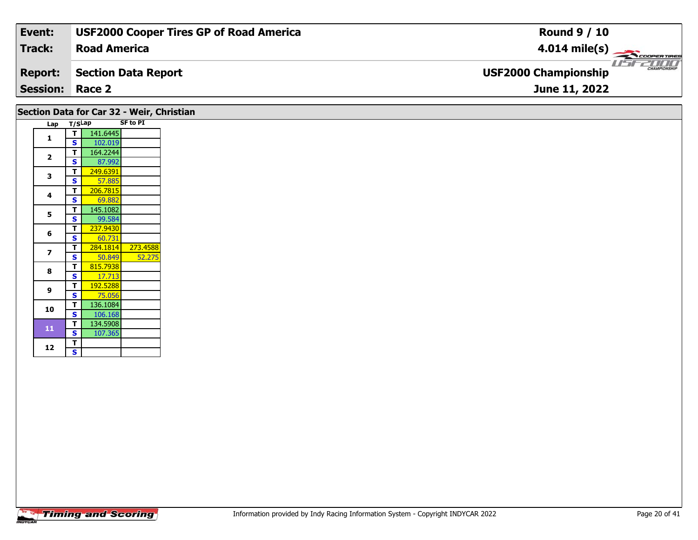| Event:                 | <b>USF2000 Cooper Tires GP of Road America</b> | <b>Round 9 / 10</b>                                |
|------------------------|------------------------------------------------|----------------------------------------------------|
| <b>Track:</b>          | <b>Road America</b>                            | $4.014 \text{ mile(s)}$                            |
| <b>Report:</b>         | Section Data Report                            | <b>CHAMPIONSHIP</b><br><b>USF2000 Championship</b> |
| <b>Session: Race 2</b> |                                                | June 11, 2022                                      |
|                        |                                                |                                                    |

# **Section Data for Car 32 - Weir, Christian**

| Lap | T/SLap                  |          | <b>SF to PI</b> |
|-----|-------------------------|----------|-----------------|
|     | Τ                       | 141.6445 |                 |
| 1   | S                       | 102.019  |                 |
|     | Т                       | 164.2244 |                 |
| 2   | S                       | 87.992   |                 |
|     | Т                       | 249.6391 |                 |
| 3   | S                       | 57.885   |                 |
|     | Т                       | 206.7815 |                 |
| 4   | S                       | 69.882   |                 |
| 5   | т                       | 145.1082 |                 |
|     | S                       | 99.584   |                 |
| 6   | Т                       | 237.9430 |                 |
|     | S                       | 60.731   |                 |
| 7   | Т                       | 284.1814 | 273.4588        |
|     | S                       | 50.849   | 52.275          |
| 8   | Т                       | 815.7938 |                 |
|     | S                       | 17.713   |                 |
| 9   | т                       | 192.5288 |                 |
|     | S                       | 75.056   |                 |
| 10  | Т                       | 136.1084 |                 |
|     | $\overline{\mathbf{s}}$ | 106.168  |                 |
| 11  | т                       | 134.5908 |                 |
|     | S                       | 107.365  |                 |
| 12  | T                       |          |                 |
|     | S                       |          |                 |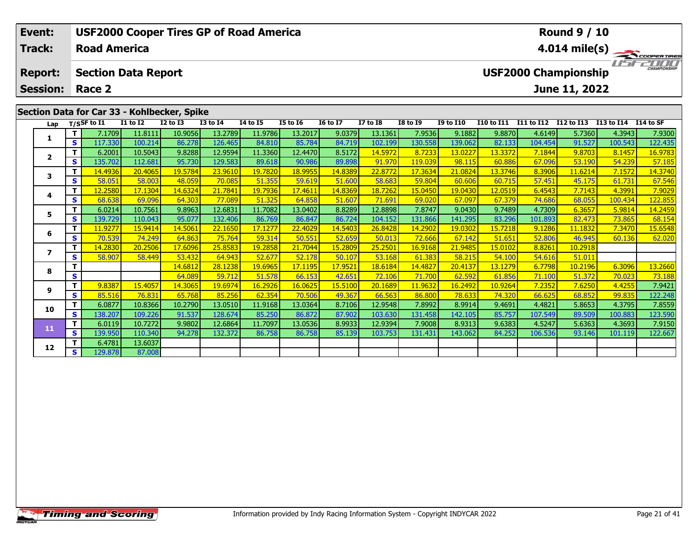| Event:                            |     |                                      |                 | <b>USF2000 Cooper Tires GP of Road America</b> |                 |                 |                 |                 |                 |                 |                  |            |                   | <b>Round 9 / 10</b>                          |                      |                         |
|-----------------------------------|-----|--------------------------------------|-----------------|------------------------------------------------|-----------------|-----------------|-----------------|-----------------|-----------------|-----------------|------------------|------------|-------------------|----------------------------------------------|----------------------|-------------------------|
| Track:                            |     | <b>Road America</b>                  |                 |                                                |                 |                 |                 |                 |                 |                 |                  |            |                   |                                              |                      | $4.014 \text{ mile(s)}$ |
| <b>Report:</b><br><b>Session:</b> |     | <b>Section Data Report</b><br>Race 2 |                 |                                                |                 |                 |                 |                 |                 |                 |                  |            |                   | <b>USF2000 Championship</b><br>June 11, 2022 |                      | TITITI<br>CHAMPIONSHIP  |
|                                   |     |                                      |                 | Section Data for Car 33 - Kohlbecker, Spike    |                 |                 |                 |                 |                 |                 |                  |            |                   |                                              |                      |                         |
| Lap                               |     | T/SSF to I1                          | <b>I1 to I2</b> | $I2$ to $I3$                                   | <b>I3 to I4</b> | <b>I4 to I5</b> | <b>I5 to 16</b> | <b>16 to 17</b> | <b>I7 to I8</b> | <b>I8 to I9</b> | <b>I9 to I10</b> | I10 to I11 | <b>I11 to I12</b> | I12 to I13                                   | I13 to I14 I14 to SF |                         |
|                                   |     | 7.1709                               | 11.8111         | 10.9056                                        | 13.2789         | 11.9786         | 13.2017         | 9.0379          | 13.1361         | 7.9536          | 9.1882           | 9.8870     | 4.6149            | 5.7360                                       | 4.3943               | 7.9300                  |
|                                   | s l | 117.330                              | 100.214         | 86.278                                         | 126.465         | 84.810          | 85.784          | 84.719          | 102.199         | 130.558         | 139.062          | 82.133     | 104.454           | 91.527                                       | 100.543              | 122.435                 |
|                                   |     | 6.2001                               | 10.5043         | 9.8288                                         | 12.9594         | 11.3360         | 12.4470         | 8.5172          | 14.5972         | 8.7233          | 13.0227          | 13.3372    | 7.1844            | 9.8703                                       | 8.1457               | 16.9783                 |
| ◢                                 | S.  | 135.702                              | 112.681         | 95.730                                         | 129.583         | 89.618          | 90.986          | 89.898          | 91.970          | 119.039         | 98.11            | 60.886     | 67.096            | 53.190                                       | 54.239               | 57.185                  |

**<sup>T</sup>** 14.4936 20.4065 19.5784 23.9610 19.7820 18.9955 14.8389 22.8772 17.3634 21.0824 13.3746 8.3906 11.6214 7.1572 14.3740 **<sup>S</sup>** 58.051 58.003 48.059 70.085 51.355 59.619 51.600 58.683 59.804 60.606 60.715 57.451 45.175 61.731 67.546

4 | **T |** 12.2580 | 17.1304 | 14.6324 | 21.7841 | 19.7936 | 17.4611 | 14.8369 | 18.7262 | 15.0450 | 19.0430 | 12.0519 | 6.4543 | 7.7143 | 4.3991 | 7.9029<br>- S | 68.638 | 69.096 | 64.303 | 77.089 | 51.325 | 64.858 | 51.607 |

5 | T | 6.0214| 10.7561| 9.8963| 12.6831| 11.7082| 13.0402| 8.8289| 12.8898| 7.8747| 9.0430| 9.7489| 4.7309| 6.3657| 5.9814| 14.2459<br>| S | 139.729 110.043| 95.077| 132.406| 86.769| 86.847| 86.724| 104.152| 131.866| 141.295

**<sup>T</sup>** 11.9277 15.9414 14.5061 22.1650 17.1277 22.4029 14.5403 26.8428 14.2902 19.0302 15.7218 9.1286 11.1832 7.3470 15.6548 **<sup>S</sup>** 70.539 74.249 64.863 75.764 59.314 50.551 52.659 50.013 72.666 67.142 51.651 52.806 46.945 60.136 62.020

**<sup>T</sup>** 14.6812 28.1238 19.6965 17.1195 17.9521 18.6184 14.4827 20.4137 13.1279 6.7798 10.2196 6.3096 13.2660 **<sup>S</sup>** 64.089 59.712 51.578 66.153 42.651 72.106 71.700 62.592 61.856 71.100 51.372 70.023 73.188

19421 | 9.8387 | 15.4057 | 14.3065 | 19.6974 | 16.2926 | 16.0625 | 15.5100 | 20.1689 | 11.9632 | 16.2492 | 10.9264 | 7.2352 | 7.6250 | 4.4255 | 7.9421 | 9.<br>S | 85.516 | 76.831 | 65.768 | 85.256 | 62.354 | 70.506 | 49.367

0 | T | 6.0877| 10.8366| 10.2790| 13.0510| 11.9168| 13.0364| 8.7106| 12.9548| 7.8992| 8.9914| 9.4691| 4.4821| 5.8653| 4.3795| 7.8559<br>| S | 138.207| 109.226| 91.537| 128.674| 85.250| 86.872| 87.902| 103.630| 131.458| 142.10

**<sup>T</sup>** 6.0119 10.7272 9.9802 12.6864 11.7097 13.0536 8.9933 12.9394 7.9008 8.9313 9.6383 4.5247 5.6363 4.3693 7.9150 **<sup>S</sup>** 139.950 110.340 94.278 132.372 86.758 86.758 85.139 103.753 131.431 143.062 84.252 106.536 93.146 101.119 122.667

**<sup>T</sup>** 14.2830 20.2506 17.6096 25.8583 19.2858 21.7044 15.2809 25.2501 16.9168 21.9485 15.0102 8.8261 10.2918 **<sup>S</sup>** 58.907 58.449 53.432 64.943 52.677 52.178 50.107 53.168 61.383 58.215 54.100 54.616 51.011

**<sup>T</sup>** 6.4781 13.6037 **<sup>S</sup>** 129.878 87.008

87.008

**3**

**4**

**5**

**6**

**7**

**8**

**9**

**10**

**11**

**12**

122.855

122.248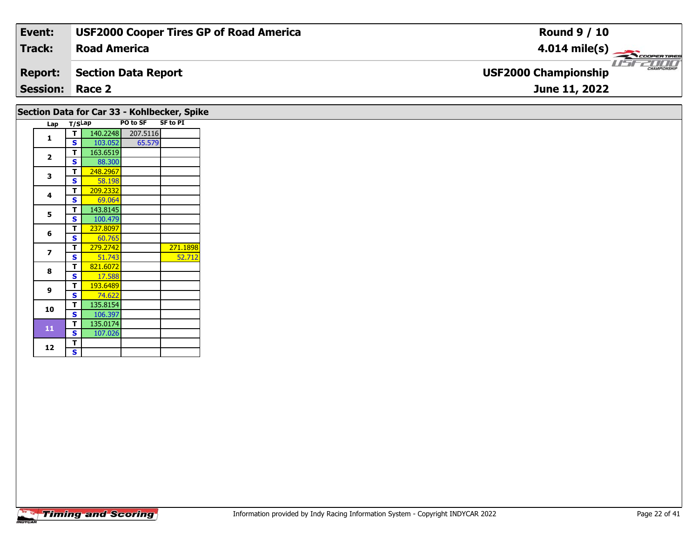| Event:                 | <b>USF2000 Cooper Tires GP of Road America</b> | <b>Round 9 / 10</b>                         |
|------------------------|------------------------------------------------|---------------------------------------------|
| Track:                 | <b>Road America</b>                            | $4.014 \text{ mile(s)}$                     |
| <b>Report:</b>         | Section Data Report                            | CHAMPIONSHIP<br><b>USF2000 Championship</b> |
| <b>Session: Race 2</b> |                                                | June 11, 2022                               |
|                        |                                                |                                             |

### **Lap T/SLap PO to SF SF to PI 1 <sup>T</sup>** 140.2248 207.5116 **<sup>S</sup>** 103.052 65.57965.579 **2**

**Section Data for Car 33 - Kohlbecker, Spike**

| $\overline{2}$ | т | 163.6519 |          |
|----------------|---|----------|----------|
|                | S | 88.300   |          |
| 3              | Т | 248.2967 |          |
|                | S | 58.198   |          |
| 4              | Т | 209.2332 |          |
|                | S | 69.064   |          |
| 5              | Т | 143.8145 |          |
|                | S | 100.479  |          |
| 6              | Т | 237.8097 |          |
|                | S | 60.765   |          |
| 7              | т | 279.2742 | 271.1898 |
|                | S | 51.743   | 52.712   |
| 8              | т | 821.6072 |          |
|                | S | 17.588   |          |
| 9              | т | 193.6489 |          |
|                | S | 74.622   |          |
| 10             | т | 135.8154 |          |
|                | S | 106.397  |          |
| 11             | т | 135.0174 |          |
|                | S | 107.026  |          |
| 12             | Т |          |          |
|                | S |          |          |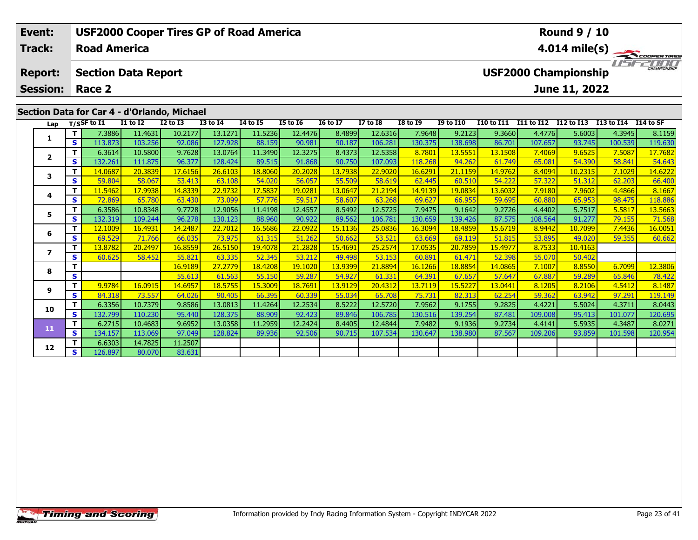| Event:                            |     |                               |                            | <b>USF2000 Cooper Tires GP of Road America</b>                                            |                 |                 |                 |                 |                 |                                                                                                                                                                                                                                                                                                                                                                                      |                  |                               |                   | <b>Round 9 / 10</b>                          |                      |                                                                                                                                                                                                                                                                                                                                                                                                                                 |
|-----------------------------------|-----|-------------------------------|----------------------------|-------------------------------------------------------------------------------------------|-----------------|-----------------|-----------------|-----------------|-----------------|--------------------------------------------------------------------------------------------------------------------------------------------------------------------------------------------------------------------------------------------------------------------------------------------------------------------------------------------------------------------------------------|------------------|-------------------------------|-------------------|----------------------------------------------|----------------------|---------------------------------------------------------------------------------------------------------------------------------------------------------------------------------------------------------------------------------------------------------------------------------------------------------------------------------------------------------------------------------------------------------------------------------|
| <b>Track:</b>                     |     | <b>Road America</b>           |                            |                                                                                           |                 |                 |                 |                 |                 |                                                                                                                                                                                                                                                                                                                                                                                      |                  |                               |                   |                                              |                      | $4.014 \text{ mile(s)}$                                                                                                                                                                                                                                                                                                                                                                                                         |
| <b>Report:</b><br><b>Session:</b> |     | Race 2                        | <b>Section Data Report</b> |                                                                                           |                 |                 |                 |                 |                 |                                                                                                                                                                                                                                                                                                                                                                                      |                  |                               |                   | <b>USF2000 Championship</b><br>June 11, 2022 |                      | $\frac{1}{\sqrt{1-\frac{1}{2}}}\frac{1}{\sqrt{1-\frac{1}{2}}}\frac{1}{\sqrt{1-\frac{1}{2}}}\frac{1}{\sqrt{1-\frac{1}{2}}}\frac{1}{\sqrt{1-\frac{1}{2}}}\frac{1}{\sqrt{1-\frac{1}{2}}}\frac{1}{\sqrt{1-\frac{1}{2}}}\frac{1}{\sqrt{1-\frac{1}{2}}}\frac{1}{\sqrt{1-\frac{1}{2}}}\frac{1}{\sqrt{1-\frac{1}{2}}}\frac{1}{\sqrt{1-\frac{1}{2}}}\frac{1}{\sqrt{1-\frac{1}{2}}}\frac{1}{\sqrt{1-\frac{1}{2}}}\frac{1}{\sqrt{1-\frac{$ |
|                                   |     |                               |                            | Section Data for Car 4 - d'Orlando, Michael                                               |                 |                 |                 |                 |                 |                                                                                                                                                                                                                                                                                                                                                                                      |                  |                               |                   |                                              |                      |                                                                                                                                                                                                                                                                                                                                                                                                                                 |
| Lap                               |     | $T/S$ SF to $I1$              | <b>I1 to I2</b>            | $I2$ to $I3$                                                                              | <b>I3 to I4</b> | <b>I4 to I5</b> | <b>I5 to I6</b> | <b>16 to 17</b> | <b>I7 to I8</b> | <b>I8 to I9</b>                                                                                                                                                                                                                                                                                                                                                                      | <b>I9 to I10</b> | <b>I10 to I11</b>             | <b>I11 to I12</b> | I12 to I13                                   | I13 to I14 I14 to SF |                                                                                                                                                                                                                                                                                                                                                                                                                                 |
|                                   |     | 7.3886                        | 11.4631                    | 10.2177                                                                                   | 13.1271         | 11.5236         | 12.4476         | 8.4899          | 12.6316         | 7.9648                                                                                                                                                                                                                                                                                                                                                                               | 9.2123           | 9.3660                        | 4.4776            | 5.6003                                       | 4.3945               | 8.1159                                                                                                                                                                                                                                                                                                                                                                                                                          |
|                                   | s l | 113.873                       | 103.256                    | 92.086                                                                                    | 127.928         | 88.159          | 90.981          | 90.187          | 106.281         | 130.375                                                                                                                                                                                                                                                                                                                                                                              | 138.698          | 86.701                        | 107.657           | 93.745                                       | 100.539              | 119.630                                                                                                                                                                                                                                                                                                                                                                                                                         |
| $\overline{2}$                    |     | 6.3614                        | 10.5800                    | 9.7628                                                                                    | 13.0764         | 11.3490         | 12.3275         | 8.4373          | 12.5358         | 8.7801                                                                                                                                                                                                                                                                                                                                                                               | 13.5551          | 13.1508                       | 7.4069            | 9.6525                                       | 7.5087               | 17.7682                                                                                                                                                                                                                                                                                                                                                                                                                         |
|                                   | s l | 132.261                       | 111.875                    | 96.377                                                                                    | 128,424         | 89.515          | 91.868          | 90.750          | 107.093         | 118.268                                                                                                                                                                                                                                                                                                                                                                              | 94.262           | 61.749                        | 65.081            | 54.390                                       | 58.841               | 54.643                                                                                                                                                                                                                                                                                                                                                                                                                          |
|                                   | - 1 | $\overline{1}$ $\overline{0}$ | 20.202                     | $\overline{a}$ $\overline{a}$ $\overline{a}$ $\overline{a}$ $\overline{a}$ $\overline{a}$ | $20 - 5402$     | 100000          | 20.222          | 12.702          | 22.002          | $\overline{1}$ $\overline{2}$ $\overline{2}$ $\overline{2}$ $\overline{2}$ $\overline{2}$ $\overline{2}$ $\overline{2}$ $\overline{2}$ $\overline{2}$ $\overline{2}$ $\overline{2}$ $\overline{2}$ $\overline{2}$ $\overline{2}$ $\overline{2}$ $\overline{2}$ $\overline{2}$ $\overline{2}$ $\overline{2}$ $\overline{2}$ $\overline{2}$ $\overline{2}$ $\overline{2}$ $\overline{$ | 24.472           | $\overline{1}$ $\overline{0}$ | 0.4004            |                                              | 7.022                | $\overline{1}$ $\overline{2}$                                                                                                                                                                                                                                                                                                                                                                                                   |

| Lap            |    | T/SSF to I1 | <b>I1 to I2</b> | <b>I2 to I3</b> | <b>I3 to I4</b> | <b>I4 to I5</b> | <b>I5 to 16</b> | <b>16 to 17</b> | <b>I7 to I8</b> | <b>I8 to 19</b> | <b>I9 to I10</b> | <b>I10 to I11</b> | I11 to I12 I12 to I13 |         | I13 to I14 | I14 to SF |
|----------------|----|-------------|-----------------|-----------------|-----------------|-----------------|-----------------|-----------------|-----------------|-----------------|------------------|-------------------|-----------------------|---------|------------|-----------|
|                | T. | 7.3886      | 11.4631         | 10.2177         | 13.1271         | 11.5236         | 12.4476         | 8.4899          | 12.6316         | 7.9648          | 9.2123           | 9.3660            | 4.4776                | 5.6003  | 4.3945     | 8.1159    |
|                | S. | 113.873     | 103.256         | 92.086          | 127.928         | 88.159          | 90.981          | 90.187          | 106.281         | 130.375         | 138.698          | 86.701            | 107.657               | 93.745  | 100.539    | 119.630   |
| $\overline{2}$ | T. | 6.3614      | 10.5800         | 9.7628          | 13.0764         | 11.3490         | 12.3275         | 8.4373          | 12.5358         | 8.7801          | 13.5551          | 13.1508           | 7.4069                | 9.6525  | 7.5087     | 17.7682   |
|                | S  | 132.261     | 111.875         | 96.377          | 128.424         | 89.515          | 91.868          | 90.750          | 107.093         | 118.268         | 94.262           | 61.749            | 65.081                | 54.390  | 58.841     | 54.643    |
| 3              | T. | 14.0687     | 20.3839         | 17.6156         | 26.6103         | 18.8060         | 20.2028         | 13.7938         | 22.9020         | 16.6291         | 21.1159          | 14.9762           | 8.4094                | 10.2315 | 7.1029     | 14.6222   |
|                | S  | 59.804      | 58.067          | 53.413          | 63.108          | 54.020          | 56.057          | 55.509          | 58.619          | 62.445          | 60.510           | 54.222            | 57.322                | 51.312  | 62.203     | 66.400    |
| 4              |    | 11.5462     | 17.9938         | 14.8339         | 22.9732         | 17.5837         | 19.0281         | 13.0647         | 21.2194         | 14.9139         | 19.0834          | 13.6032           | 7.9180                | 7.9602  | 4.4866     | 8.1667    |
|                | S  | 72.869      | 65.780          | 63.430          | 73.099          | 57.776          | 59.517          | 58.607          | 63.268          | 69.627          | 66.955           | 59.695            | 60.880                | 65.953  | 98.475     | 118.886   |
| 5              |    | 6.3586      | 10.8348         | 9.7728          | 12.9056         | 11.4198         | 12.4557         | 8.5492          | 12.5725         | 7.9475          | 9.1642           | 9.2726            | 4.4402                | 5.7517  | 5.5817     | 13.5663   |
|                | S  | 132.319     | 109.244         | 96.278          | 130.123         | 88.960          | 90.922          | 89.562          | 106.781         | 130.659         | 139.426          | 87.575            | 108.564               | 91.277  | 79.155     | 71.568    |
| 6              |    | 12.1009     | 16.4931         | 14.2487         | 22,7012         | 16.5686         | 22.0922         | 15.1136         | 25.0836         | 16.3094         | 18.4859          | 15.6719           | 8.9442                | 10.7099 | 7.4436     | 16.0051   |
|                | S  | 69.529      | 71.766          | 66.035          | 73.975          | 61.315          | 51.262          | 50.662          | 53.521          | 63.669          | 69.119           | 51.815            | 53.895                | 49.020  | 59.355     | 60.662    |
| 7              | т  | 13.8782     | 20.2497         | 16.8559         | 26.5150         | 19.4078         | 21.2828         | 15.4691         | 25.2574         | 17.0535         | 20.7859          | 15.4977           | 8.7533                | 10.4163 |            |           |
|                | S  | 60.625      | 58.452          | 55.821          | 63.335          | 52.345          | 53.212          | 49.498          | 53.153          | 60.891          | 61.471           | 52.398            | 55.070                | 50.402  |            |           |
| 8              | т  |             |                 | 16.9189         | 27.2779         | 18.4208         | 19.1020         | 13.9399         | 21.8894         | 16.1266         | 18.8854          | 14.0865           | 7.1007                | 8.8550  | 6.7099     | 12.3806   |
|                | S  |             |                 | 55.613          | 61.563          | 55.150          | 59.287          | 54.927          | 61.331          | 64.391          | 67.657           | 57.647            | 67.887                | 59.289  | 65.846     | 78.422    |
| 9              | т  | 9.9784      | 16.0915         | 14.6957         | 18.5755         | 15.3009         | 18.7691         | 13.9129         | 20.4312         | 13.7119         | 15.5227          | 13.0441           | 8.1205                | 8.2106  | 4.5412     | 8.1487    |
|                | S  | 84.318      | 73.557          | 64.026          | 90.405          | 66.395          | 60.339          | 55.034          | 65.708          | 75.731          | 82.313           | 62.254            | 59.362                | 63.942  | 97.291     | 119.149   |
| 10             | T. | 6.3356      | 10.7379         | 9.8586          | 13.0813         | 11.4264         | 12.2534         | 8.5222          | 12.5720         | 7.9562          | 9.1755           | 9.2825            | 4.4221                | 5.5024  | 4.3711     | 8.0443    |
|                | S  | 132.799     | 110.230         | 95.440          | 128.375         | 88.909          | 92.423          | 89.846          | 106.785         | 130.516         | 139.254          | 87.481            | 109.008               | 95.413  | 101.077    | 120.695   |
| 11             | T  | 6.2715      | 10.4683         | 9.6952          | 13.0358         | 11.2959         | 12.2424         | 8.4405          | 12.4844         | 7.9482          | 9.1936           | 9.2734            | 4.4141                | 5.5935  | 4.3487     | 8.0271    |
|                | S  | 134.157     | 113.069         | 97.049          | 128.824         | 89.936          | 92.506          | 90.715          | 107.534         | 130.647         | 138.980          | 87.567            | 109.206               | 93.859  | 101.598    | 120.954   |
| 12             | T. | 6.6303      | 14.7825         | 11.2507         |                 |                 |                 |                 |                 |                 |                  |                   |                       |         |            |           |
|                | S. | 126.897     | 80.070          | 83.631          |                 |                 |                 |                 |                 |                 |                  |                   |                       |         |            |           |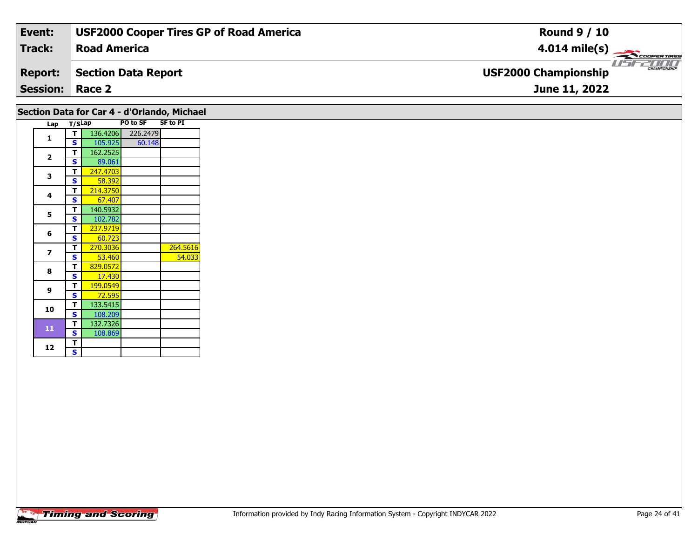| Event:                 | <b>USF2000 Cooper Tires GP of Road America</b> | <b>Round 9 / 10</b>                         |
|------------------------|------------------------------------------------|---------------------------------------------|
| <b>Track:</b>          | <b>Road America</b>                            | $4.014 \text{ mile(s)}$                     |
| <b>Report:</b>         | Section Data Report                            | CHAMPIONSHIP<br><b>USF2000 Championship</b> |
| <b>Session: Race 2</b> |                                                | June 11, 2022                               |

| Section Data for Car 4 - d'Orlando, Michael |              |          |                   |          |
|---------------------------------------------|--------------|----------|-------------------|----------|
| Lap T/SLap                                  |              |          | PO to SF          | SF to PI |
| 1                                           | + T ⊫        |          | 136.4206 226.2479 |          |
|                                             | <b>S</b>     | 105.925  | 60.148            |          |
| $\overline{2}$                              | т            | 162.2525 |                   |          |
|                                             | <b>S</b>     | 89.061   |                   |          |
| 3                                           | T            | 247.4703 |                   |          |
|                                             | S            | 58.392   |                   |          |
| 4                                           | $\mathbf{T}$ | 214.3750 |                   |          |
|                                             | <b>S</b>     | 67.407   |                   |          |
| 5                                           | т            | 140.5932 |                   |          |
|                                             | <b>S</b>     | 102.782  |                   |          |
|                                             | $\mathbf{T}$ | 237.9719 |                   |          |
| 6                                           | <b>S</b>     | 60.723   |                   |          |
|                                             | T            | 270.3036 |                   | 264.5616 |
| $\overline{ }$                              | S            | 53.460   |                   | 54.033   |
|                                             | T            | 829.0572 |                   |          |
| 8                                           | <b>S</b>     | 17.430   |                   |          |
|                                             | т            | 199.0549 |                   |          |
| 9                                           | <b>S</b>     | 72.595   |                   |          |
|                                             | T            | 133.5415 |                   |          |
| 10                                          | <b>S</b>     | 108.209  |                   |          |
|                                             | T.           | 132.7326 |                   |          |
| 11                                          | <b>S</b>     | 108.869  |                   |          |
|                                             | T.           |          |                   |          |
| 12                                          | S            |          |                   |          |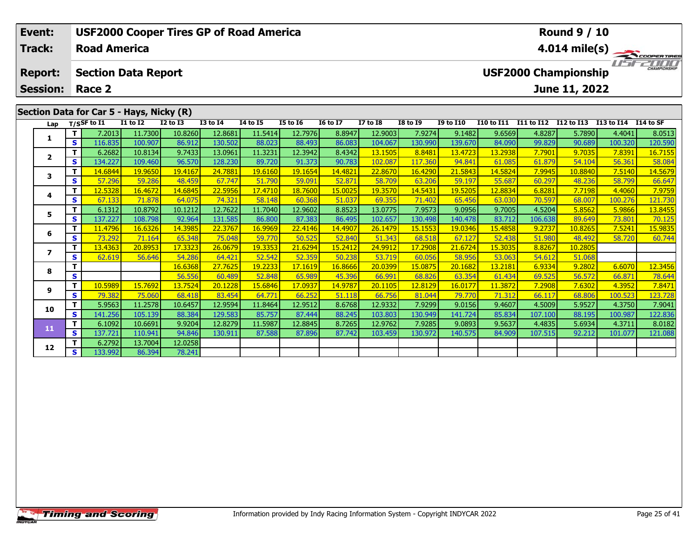| Event:                  |    |                      |                                                             |                 |                 | <b>USF2000 Cooper Tires GP of Road America</b> |                 |                 |                 |                 |                  |                   |            | <b>Round 9 / 10</b>         |                      |                         |
|-------------------------|----|----------------------|-------------------------------------------------------------|-----------------|-----------------|------------------------------------------------|-----------------|-----------------|-----------------|-----------------|------------------|-------------------|------------|-----------------------------|----------------------|-------------------------|
| <b>Track:</b>           |    | <b>Road America</b>  |                                                             |                 |                 |                                                |                 |                 |                 |                 |                  |                   |            |                             |                      | $4.014 \text{ mile(s)}$ |
| <b>Report:</b>          |    |                      | <b>Section Data Report</b>                                  |                 |                 |                                                |                 |                 |                 |                 |                  |                   |            | <b>USF2000 Championship</b> |                      | <b>THE CHAMPIONSHIP</b> |
| <b>Session:</b>         |    | Race 2               |                                                             |                 |                 |                                                |                 |                 |                 |                 |                  |                   |            | June 11, 2022               |                      |                         |
|                         |    | Lap $T/SSF$ to I1    | Section Data for Car 5 - Hays, Nicky (R)<br><b>I1 to I2</b> | <b>I2 to I3</b> | <b>I3 to I4</b> | <b>I4 to I5</b>                                | <b>I5 to 16</b> | <b>16 to 17</b> | <b>I7 to I8</b> | <b>I8 to 19</b> | <b>I9 to I10</b> | <b>I10 to I11</b> | I11 to I12 | I12 to I13                  | I13 to I14 I14 to SF |                         |
|                         |    | 7.2013               | 11.7300                                                     | 10.8260         | 12.8681         | 11.5414                                        | 12.7976         | 8.8947          | 12.9003         | 7.9274          | 9.1482           | 9.6569            | 4.8287     | 5.7890                      | 4.4041               | 8.0513                  |
|                         | S. | 116.835              | 100.907                                                     | 86.912          | 130.502         | 88.023                                         | 88.493          | 86.083          | 104.067         | 130.990         | 139.670          | 84.090            | 99.829     | 90.689                      | 100.320              | 120.590                 |
| $\overline{\mathbf{z}}$ |    | 6.2682               | 10.8134                                                     | 9.7433          | 13.0961         | 11.3231                                        | 12.3942         | 8.4342          | 13.1505         | 8.8481          | 13.4723          | 13.2938           | 7.7901     | 9.7035                      | 7.8391               | 16.7155                 |
|                         | S. | 134.227              | 109.460                                                     | 96.570          | 128.230         | 89.720                                         | 91.373          | 90.783          | 102.087         | 117.360         | 94.841           | 61.085            | 61.879     | 54.104                      | 56.361               | 58.084                  |
| 3                       |    | <mark>14.6844</mark> | <u>19.9650</u>                                              | 19.4167         | 24.7881         | 19.6160                                        | 19.1654         | 14.4821         | 22.8670         | 16.4290         | 21.5843          | 14.5824           | 7.9945     | 10.8840                     | 7.5140               | 14.5679                 |
|                         | S. | 57.296               | 59.286                                                      | 48.459          | 67.747          | 51.790                                         | 59.091          | 52.871          | 58.709          | 63.206          | 59.197           | 55.687            | 60.297     | 48.236                      | 58.799               | 66.647                  |
| 4                       |    | 12.5328              | 16.4672                                                     | 14.6845         | 22.5956         | 17.4710                                        | 18.7600         | 15.0025         | 19.3570         | 14.5431         | 19.5205          | 12.8834           | 6.8281     | 7.7198                      | <b>4.4060</b>        | 7.9759                  |
|                         | S. | 67.133               | 71.878                                                      | 64.075          | 74.321          | 58.148                                         | 60.368          | 51.037          | 69.355          | 71.402          | 65.456           | 63.030            | 70.597     | 68.007                      | 100.276              | 121.730                 |

|    | S  | 67.133  | 71.878  | 64.075  | 74.321  | 58.148  | 60.368  | 51.037  | 69.355  | 71.402  | 65.456  | 63.030  | 70.597  | 68.007  | 100.276 | 121.730 |
|----|----|---------|---------|---------|---------|---------|---------|---------|---------|---------|---------|---------|---------|---------|---------|---------|
| 5  |    | 6.1312  | 10.8792 | 10.1212 | 12.7622 | 11.7040 | 12.9602 | 8.8523  | 13.0775 | 7.9573  | 9.0956  | 9.7005  | 4.5204  | 5.8562  | 5.9866  | 13.8455 |
|    | S  | 137.227 | 108.798 | 92.964  | 131.585 | 86.800  | 87.383  | 86.495  | 102.657 | 130.498 | 140.478 | 83.712  | 106.638 | 89.649  | 73.801  | 70.125  |
| 6  | т  | 11.4796 | 16.6326 | 14.3985 | 22.3767 | 16.9969 | 22.4146 | 14.4907 | 26.1479 | 15.1553 | 19.0346 | 15.4858 | 9.2737  | 10.8265 | 7.5241  | 15.9835 |
|    | S  | 73.292  | 71.164  | 65.348  | 75.048  | 59.770  | 50.525  | 52.840  | 51.343  | 68.518  | 67.127  | 52.438  | 51.980  | 48.492  | 58.720  | 60.744  |
|    | т  | 13.4363 | 20.8953 | 17.3323 | 26.0679 | 19.3353 | 21.6294 | 15.2412 | 24.9912 | 17.2908 | 21.6724 | 15.3035 | 8.8267  | 10.2805 |         |         |
|    | S. | 62.619  | 56.646  | 54.286  | 64.421  | 52.542  | 52.359  | 50.238  | 53.719  | 60.056  | 58.956  | 53.063  | 54.612  | 51.068  |         |         |
| 8  |    |         |         | 16.6368 | 27.7625 | 19.2233 | 17.1619 | 16.8666 | 20.0399 | 15.0875 | 20.1682 | 13.2181 | 6.9334  | 9.2802  | 6.6070  | 12.3456 |
|    | S  |         |         | 56.556  | 60.489  | 52.848  | 65.989  | 45.396  | 66.991  | 68.826  | 63.354  | 61.434  | 69.525  | 56.572  | 66.871  | 78.644  |
| 9  |    | 10.5989 | 15.7692 | 13.7524 | 20.1228 | 15.6846 | 17.0937 | 14.9787 | 20.1105 | 12.8129 | 16.0177 | 11.3872 | 7.2908  | 7.6302  | 4.3952  | 7.8471  |
|    | S. | 79.382  | 75.060  | 68.418  | 83.454  | 64.771  | 66.252  | 51.118  | 66.756  | 81.044  | 79.770  | 71.312  | 66.117  | 68.806  | 100.523 | 123.728 |
| 10 |    | 5.9563  | 11.2578 | 10.6457 | 12.9594 | 11.8464 | 12.9512 | 8.6768  | 12.9332 | 7.9299  | 9.0156  | 9.4607  | 4.5009  | 5.9527  | 4.3750  | 7.9041  |
|    | S. | 141.256 | 105.139 | 88.384  | 129.583 | 85.757  | 87.444  | 88.245  | 103.803 | 130.949 | 141.724 | 85.834  | 107.100 | 88.195  | 100.987 | 122.836 |
| 11 | т  | 6.1092  | 10.6691 | 9.9204  | 12.8279 | 11.5987 | 12.8845 | 8.7265  | 12.9762 | 7.9285  | 9.0893  | 9.5637  | 4.4835  | 5.6934  | 4.3711  | 8.0182  |
|    | S. | 137.721 | 110.941 | 94.846  | 130.911 | 87.588  | 87.896  | 87.742  | 103.459 | 130.972 | 140.575 | 84.909  | 107.515 | 92.212  | 101.077 | 121.088 |
| 12 |    | 6.2792  | 13.7004 | 12.0258 |         |         |         |         |         |         |         |         |         |         |         |         |
|    | S. | 133.992 | 86.394  | 78.241  |         |         |         |         |         |         |         |         |         |         |         |         |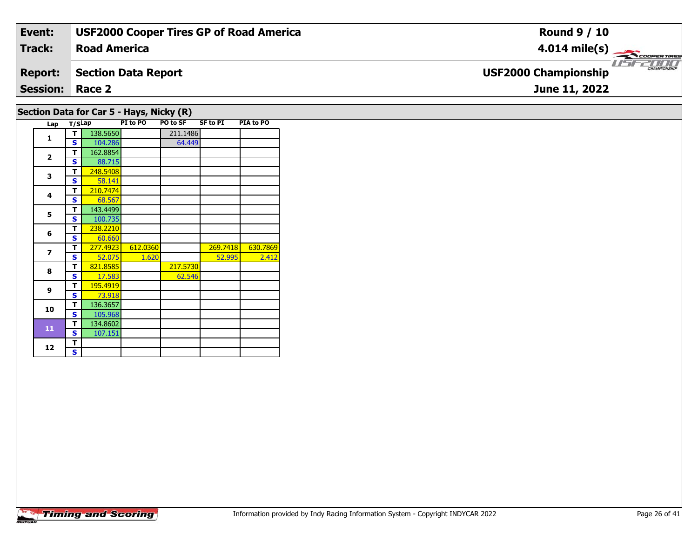| Event:                                   | <b>USF2000 Cooper Tires GP of Road America</b> | <b>Round 9 / 10</b>                         |  |  |  |  |  |  |  |  |
|------------------------------------------|------------------------------------------------|---------------------------------------------|--|--|--|--|--|--|--|--|
| Track:                                   | <b>Road America</b>                            | $4.014 \text{ mile(s)}$                     |  |  |  |  |  |  |  |  |
| <b>Report:</b>                           | Section Data Report                            | CHAMPIONSHIP<br><b>USF2000 Championship</b> |  |  |  |  |  |  |  |  |
| <b>Session: Race 2</b><br>June 11, 2022  |                                                |                                             |  |  |  |  |  |  |  |  |
| Section Data for Car 5 - Hays, Nicky (R) |                                                |                                             |  |  |  |  |  |  |  |  |

| Lap          | T/SLap |          | PI to PO | PO to SF | <b>SF to PI</b> | PIA to PO |
|--------------|--------|----------|----------|----------|-----------------|-----------|
| $\mathbf{1}$ | т      | 138.5650 |          | 211.1486 |                 |           |
|              | S      | 104.286  |          | 64.449   |                 |           |
| $\mathbf{2}$ | т      | 162.8854 |          |          |                 |           |
|              | S      | 88.715   |          |          |                 |           |
| 3            | т      | 248.5408 |          |          |                 |           |
|              | Ś      | 58.141   |          |          |                 |           |
| 4            | т      | 210.7474 |          |          |                 |           |
|              | S      | 68.567   |          |          |                 |           |
| 5            | т      | 143.4499 |          |          |                 |           |
|              | S      | 100.735  |          |          |                 |           |
| 6            | т      | 238.2210 |          |          |                 |           |
|              | S      | 60.660   |          |          |                 |           |
| 7            | т      | 277.4923 | 612.0360 |          | 269.7418        | 630.7869  |
|              | S      | 52.075   | 1.620    |          | 52.995          | 2.412     |
| 8            | т      | 821.8585 |          | 217.5730 |                 |           |
|              | S      | 17.583   |          | 62.546   |                 |           |
| 9            | т      | 195.4919 |          |          |                 |           |
|              | S      | 73.918   |          |          |                 |           |
| 10           | т      | 136.3657 |          |          |                 |           |
|              | S      | 105.968  |          |          |                 |           |
| 11           | т      | 134.8602 |          |          |                 |           |
|              | S      | 107.151  |          |          |                 |           |
| 12           | т      |          |          |          |                 |           |
|              | S      |          |          |          |                 |           |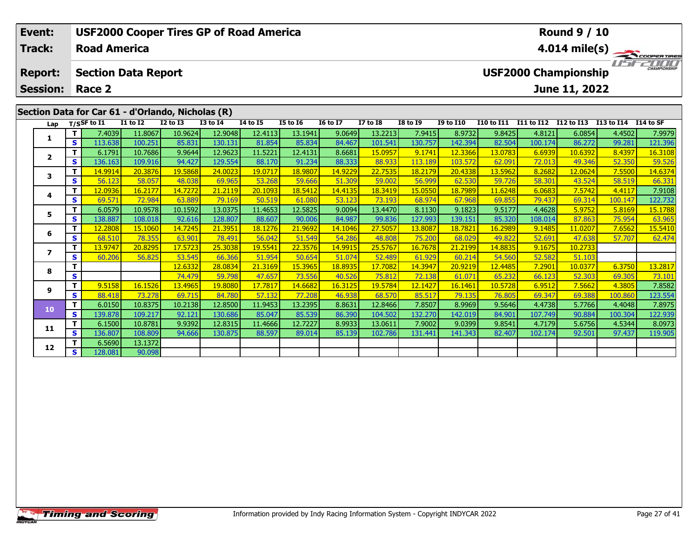| Event:          |            |                                                                                  |              |                 | <b>USF2000 Cooper Tires GP of Road America</b> |                 |                 |                 |                 |                 |                  |                   |                   | <b>Round 9 / 10</b>         |            |                         |
|-----------------|------------|----------------------------------------------------------------------------------|--------------|-----------------|------------------------------------------------|-----------------|-----------------|-----------------|-----------------|-----------------|------------------|-------------------|-------------------|-----------------------------|------------|-------------------------|
| <b>Track:</b>   |            | <b>Road America</b>                                                              |              |                 |                                                |                 |                 |                 |                 |                 |                  |                   |                   |                             |            | $4.014 \text{ mile(s)}$ |
| <b>Report:</b>  |            | <b>Section Data Report</b>                                                       |              |                 |                                                |                 |                 |                 |                 |                 |                  |                   |                   | <b>USF2000 Championship</b> |            | <b>THE CHAMPIONSHIP</b> |
| <b>Session:</b> |            | Race 2                                                                           |              |                 |                                                |                 |                 |                 |                 |                 |                  |                   |                   | June 11, 2022               |            |                         |
| Lap             |            | Section Data for Car 61 - d'Orlando, Nicholas (R)<br>$T/S$ SF to $\overline{11}$ | $I1$ to $I2$ | <b>I2 to I3</b> | <b>I3 to I4</b>                                | <b>I4 to I5</b> | <b>I5 to 16</b> | <b>16 to 17</b> | <b>I7 to I8</b> | <b>I8 to 19</b> | <b>I9 to I10</b> | <b>I10 to I11</b> | <b>I11 to I12</b> | I12 to I13                  | I13 to I14 | I 14 to SF              |
|                 |            | 7.4039                                                                           | 11.8067      | 10.9624         | 12.9048                                        | 12.4113         | 13.1941         | 9.0649          | 13.2213         | 7.9415          | 8.9732           | 9.8425            | 4.8121            | 6.0854                      | 4.4502     | 7.9979                  |
|                 | <b>s</b> l | 113.638                                                                          | 100.251      | 85.831          | 130.131                                        | 81.854          | 85.834          | 84.467          | 101.541         | 130.757         | 142.394          | 82.504            | 100.174           | 86.272                      | 99.281     | 121.396                 |
| $\overline{2}$  |            | 6.1791                                                                           | 10.7686      | 9.9644          | 12.9623                                        | 11.5221         | 12.4131         | 8.6681          | 15.0957         | 9.1741          | 12.3366          | 13.0783           | 6.6939            | 10.6392                     | 8.4397     | 16.3108                 |
|                 | IS I       | 136.163                                                                          | 109.916      | 94.427          | 129.554                                        | 88.170          | 91.234          | 88.333          | 88.933          | 113.189         | 103.572          | 62.091            | 72.013            | 49.346                      | 52.350     | 59.526                  |
| 3               |            | 14.9914                                                                          | 20.3876      | 19,5868         | 24.0023                                        | 19.0717         | 18.9807         | 14.9229         | 22.7535         | 18.2179         | 20.4338          | 13.5962           | 8.2682            | 12.0624                     | 7.5500     | 14.6374                 |
|                 | S.         | 56.123                                                                           | 58.057       | 48.038          | 69.965                                         | 53.268          | 59.666          | 51.309          | 59.002          | 56.999          | 62.530           | 59.726            | 58.301            | 43.524                      | 58.519     | 66.331                  |
| 4               |            | 12.0936                                                                          | 16.2177      | 14.7272         | 21.2119                                        | 20.1093         | 18.5412         | 14.4135         | 18.3419         | 15.0550         | 18.7989          | 11.6248           | 6.0683            | 7.5742                      | 4.4117     | 7.9108                  |
|                 | S          | 69.571                                                                           | 72.984       | 63.889          | 79.169                                         | 50.519          | 61.080          | 53.123          | <b>73.193</b>   | 68.974          | 67.968           | 69.855            | 79.437            | 69.314                      | 100.147    | 122.732                 |

|    | ◡ | <u>UJ.J/ 1</u> | 72.50T  | <u>UJ.UUJ</u> | 73.103  | <u>JU.JIJ</u> | <b>ULLUU</b> | <u>JJ.IZJ</u> | 73.1331 | $00.37 +$ |         | <u>UJ.UJJ</u> | <u>75.TJ7</u> | <u>UJ.JIT</u> | 100.177 | 122.732 |
|----|---|----------------|---------|---------------|---------|---------------|--------------|---------------|---------|-----------|---------|---------------|---------------|---------------|---------|---------|
|    |   | 6.0579         | 10.9578 | 10.1592       | 13.0375 | 11.4653       | 12.5825      | 9.0094        | 13.4470 | 8.1130    | 9.1823  | 9.5177        | 4.4628        | 5.9752        | 5.8169  | 15.1788 |
|    | s | 138.887        | 108.018 | 92.616        | 128.807 | 88.607        | 90.006       | 84.987        | 99.836  | 127.993   | 139.151 | 85.320        | 108.014       | 87.863        | 75.954  | 63.965  |
|    |   | 12.2808        | 15.1060 | 14.7245       | 21.3951 | 18.1276       | 21.9692      | 14.1046       | 27,5057 | 13.8087   | 18.7821 | 16.2989       | 9.1485        | 11.0207       | 7.6562  | 15.5410 |
|    |   | 68.510         | 78.355  | 63.901        | 78.491  | 56.042        | 51.549       | 54.286        | 48.808  | 75.200    | 68.029  | 49.822        | 52.691        | 47.638        | 57.707  | 62.474  |
|    |   | 13.9747        | 20.8295 | 17.5723       | 25.3038 | 19.5541       | 22.3576      | 14.9915       | 25.5767 | 16.7678   | 21.2199 | 14.8835       | 9.1675        | 10.2733       |         |         |
|    |   | 60.206         | 56.825  | 53.545        | 66.366  | 51.954        | 50.654       | 51.074        | 52.489  | 61.929    | 60.214  | 54.560        | 52.582        | 51.103        |         |         |
| 8  |   |                |         | 12.6332       | 28.0834 | 21.3169       | 15.3965      | 18.8935       | 17.7082 | 14.3947   | 20.9219 | 12.4485       | 7.2901        | 10.0377       | 6.3750  | 13.2817 |
|    |   |                |         | 74.479        | 59.798  | 47.657        | 73.556       | 40.526        | 75.812  | 72.138    | 61.07   | 65.232        | 66.123        | 52.303        | 69.305  | 73.101  |
| 9  |   | 9.5158         | 16.1526 | 13.4965       | 19.8080 | 17.7817       | 14.6682      | 16.3125       | 19.5784 | 12.1427   | 16.1461 | 10.5728       | 6.9512        | 7.5662        | 4.3805  | 7.8582  |
|    |   | 88.418         | 73.278  | 69.715        | 84.780  | 57.132        | 77.208       | 46.938        | 68.570  | 85.517    | 79.135  | 76.805        | 69.347        | 69.388        | 100.860 | 123.554 |
| 10 |   | 6.0150         | 10.8375 | 10.2138       | 12.8500 | 11.9453       | 13.2395      | 8.8631        | 12.8466 | 7.8507    | 8.9969  | 9.5646        | 4.4738        | 5.7766        | 4.4048  | 7.8975  |
|    | S | 139.878        | 109.217 | 92.121        | 130.686 | 85.047        | 85.539       | 86.390        | 104.502 | 132.270   | 142.019 | 84.901        | 107.749       | 90.884        | 100.304 | 122.939 |
| 11 |   | 6.1500         | 10.8781 | 9.9392        | 12.8315 | 11.4666       | 12.7227      | 8.9933        | 13.0611 | 7.9002    | 9.0399  | 9.8541        | 4.7179        | 5.6756        | 4.5344  | 8.0973  |
|    |   | 136.807        | 108.809 | 94.666        | 130.875 | 88.597        | 89.014       | 85.139        | 102.786 | 131.441   | 141.343 | 82.407        | 102.174       | 92.501        | 97.437  | 119.905 |
|    |   | 6.5690         | 13.1372 |               |         |               |              |               |         |           |         |               |               |               |         |         |
| 12 |   | 128.081        | 90.098  |               |         |               |              |               |         |           |         |               |               |               |         |         |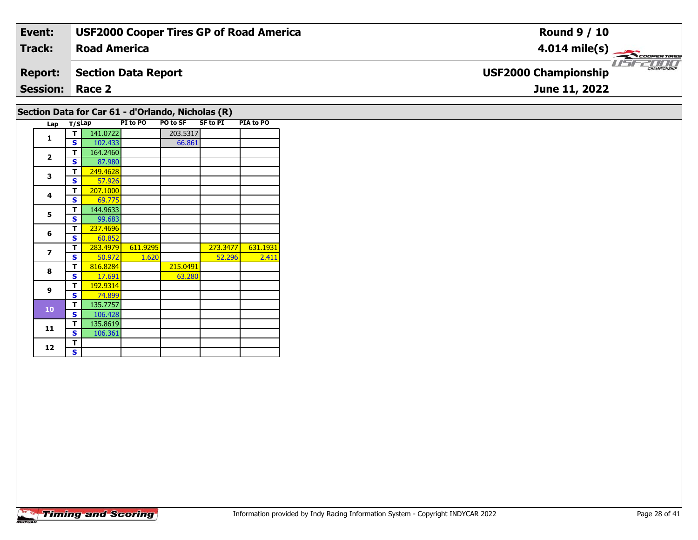| Event:          | <b>USF2000 Cooper Tires GP of Road America</b> | <b>Round 9 / 10</b>                                |
|-----------------|------------------------------------------------|----------------------------------------------------|
| Track:          | <b>Road America</b>                            | $4.014 \text{ mile(s)}$                            |
| <b>Report:</b>  | <b>Section Data Report</b>                     | <b>CHAMPIONSHIP</b><br><b>USF2000 Championship</b> |
| <b>Session:</b> | Race 2                                         | June 11, 2022                                      |
|                 |                                                |                                                    |

# **Section Data for Car 61 - d'Orlando, Nicholas (R)**

| Lap                      | T/SLap |          | PI to PO | <b>PO to SF</b> | <b>SF to PI</b> | PIA to PO |
|--------------------------|--------|----------|----------|-----------------|-----------------|-----------|
| $\mathbf{1}$             | т      | 141.0722 |          | 203.5317        |                 |           |
|                          | S      | 102.433  |          | 66.861          |                 |           |
|                          | т      | 164.2460 |          |                 |                 |           |
| $\mathbf{2}$             | S      | 87.980   |          |                 |                 |           |
| 3                        | T      | 249.4628 |          |                 |                 |           |
|                          | S      | 57.926   |          |                 |                 |           |
| 4                        | T      | 207.1000 |          |                 |                 |           |
|                          | S      | 69.775   |          |                 |                 |           |
| 5                        | T      | 144.9633 |          |                 |                 |           |
|                          | S      | 99.683   |          |                 |                 |           |
| 6                        | т      | 237.4696 |          |                 |                 |           |
|                          | S      | 60.852   |          |                 |                 |           |
| $\overline{\phantom{a}}$ | т      | 283.4979 | 611.9295 |                 | 273.3477        | 631.1931  |
|                          | S      | 50.972   | 1.620    |                 | 52.296          | 2.411     |
| 8                        | T      | 816.8284 |          | 215.0491        |                 |           |
|                          | S      | 17.691   |          | 63.280          |                 |           |
| 9                        | T      | 192.9314 |          |                 |                 |           |
|                          | S      | 74.899   |          |                 |                 |           |
| 10                       | T      | 135.7757 |          |                 |                 |           |
|                          | S      | 106.428  |          |                 |                 |           |
| 11                       | T      | 135.8619 |          |                 |                 |           |
|                          | S      | 106.361  |          |                 |                 |           |
| 12                       | T      |          |          |                 |                 |           |
|                          | S      |          |          |                 |                 |           |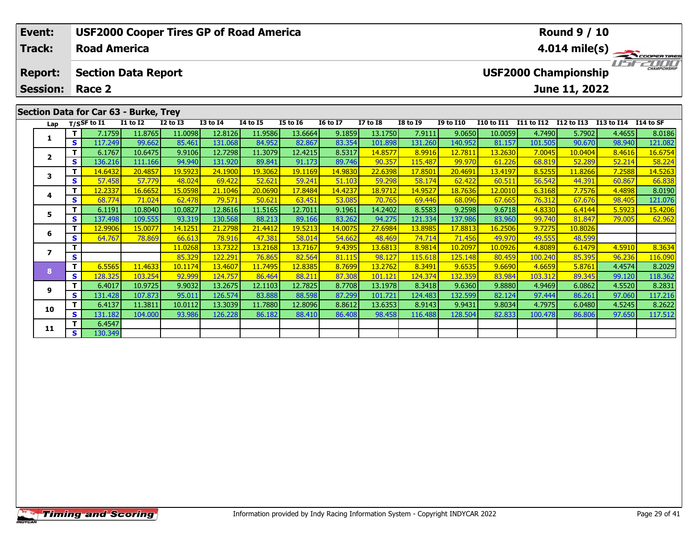| Event:                  |      |                     |                                       | <b>USF2000 Cooper Tires GP of Road America</b> |                 |                 |                 |                 |                 |                 |                  |            |                   | <b>Round 9 / 10</b>         |            |                         |
|-------------------------|------|---------------------|---------------------------------------|------------------------------------------------|-----------------|-----------------|-----------------|-----------------|-----------------|-----------------|------------------|------------|-------------------|-----------------------------|------------|-------------------------|
| Track:                  |      | <b>Road America</b> |                                       |                                                |                 |                 |                 |                 |                 |                 |                  |            |                   |                             |            | $4.014 \text{ mile(s)}$ |
| <b>Report:</b>          |      |                     | <b>Section Data Report</b>            |                                                |                 |                 |                 |                 |                 |                 |                  |            |                   | <b>USF2000 Championship</b> |            | <b>CHAMPIONSHIP</b>     |
| <b>Session:</b>         |      | Race 2              |                                       |                                                |                 |                 |                 |                 |                 |                 |                  |            |                   | June 11, 2022               |            |                         |
|                         |      |                     | Section Data for Car 63 - Burke, Trey |                                                |                 |                 |                 |                 |                 |                 |                  |            |                   |                             |            |                         |
| Lap                     |      | $T/S$ SF to I1      | <b>I1 to I2</b>                       | <b>I2 to I3</b>                                | <b>I3 to I4</b> | <b>14 to 15</b> | <b>I5 to 16</b> | <b>16 to 17</b> | <b>I7 to I8</b> | <b>I8 to I9</b> | <b>I9 to I10</b> | I10 to I11 | <b>I11 to I12</b> | I12 to I13                  | I13 to I14 | I14 to SF               |
|                         |      | 7.1759              | 11.8765                               | 11.0098                                        | 12.8126         | 11.9586         | 13.6664         | 9.1859          | 13.1750         | 7.9111          | 9.0650           | 10.0059    | 4.7490            | 5.7902                      | 4.4655     | 8.0186                  |
| 1                       | IS I | 117.249             | 99.662                                | 85.461                                         | 131.068         | 84.952          | 82.867          | 83.354          | 101.898         | 131.260         | 140.952          | 81.157     | 101.505           | 90.670                      | 98.940     | 121.082                 |
| $\overline{\mathbf{2}}$ |      | 6.1767              | 10.6475                               | 9.9106                                         | 12.7298         | 11.3079         | 12.4215         | 8.5317          | 14.8577         | 8.9916          | 12.7811          | 13.2630    | 7.0045            | 10.0404                     | 8.4616     | 16.6754                 |
|                         | IS I | 136.216             | 111.166                               | 94.940                                         | 131.920         | 89.841          | 91.173          | 89.746          | 90.357          | 115.487         | 99.970           | 61.226     | 68.819            | 52.289                      | 52.214     | 58.224                  |
| 3                       |      | 14.6432             | 20.4857                               | 19.5923                                        | 24.1900         | 19.3062         | 19.1169         | 14.9830         | 22.6398         | 17.8501         | 20.4691          | 13.4197    | 8.5255            | 11.8266                     | 7.2588     | 14.5263                 |
|                         | S.   | 57.458              | 57.779                                | 48.024                                         | 69.422          | 52.621          | 59.241          | 51.103          | 59.298          | 58.174          | 62.422           | 60.511     | 56.542            | 44.391                      | 60.867     | 66.838                  |

4 | **T |** 12.2337 | 16.6652 | 15.0598 | 21.1046 | 20.0690 | 17.8484 | 14.4237 | 18.9712 | 14.9527 | 18.7636 | 12.0010 | 6.3168 | 7.7576 | 4.4898 | 8.0190<br>- | S | 68.774 | 71.024 | 62.478 | 79.571 | 50.621 | 63.451 | 53.085

5 | T | 6.1191 10.8040 10.0827 12.8616 11.5165 12.7011 9.1961 14.2402 8.5583 9.2598 9.6718 4.8330 6.4144 5.5923 15.4206<br>5 | S | 137.498 109.555 93.319 130.568 88.213 89.166 83.262 94.275 121.334 137.986 83.960 99.740 81.84

**<sup>T</sup>** 11.0268 13.7322 13.2168 13.7167 9.4395 13.6813 8.9814 10.2097 10.0926 4.8089 6.1479 4.5910 8.3634 **<sup>S</sup>** 85.329 122.291 76.865 82.564 81.115 98.127 115.618 125.148 80.459 100.240 85.395 96.236 116.090

8 T | 6.5565 11.4633 10.1174 13.4607 11.7495 12.8385 8.7699 13.2762 8.3491 9.6535 9.6690 4.6659 5.8761 4.4574 8.2029<br>8 S 128.325 103.254 92.999 124.757 86.464 88.211 87.308 101.121 124.374 132.359 83.984 103.312 89.345 99.

17 10.9725 19.9032 13.2675 12.1103 12.7825 8.7708 13.1978 8.3418 9.6360 9.8880 4.9469 6.0862 4.5520 8.2831 .<br>S 3 131.428 107.873 95.011 126.574 83.888 88.598 87.299 101.721 124.483 132.599 82.124 97.444 86.261 97.060 117.

0 | T | 6.4137 11.3811 10.0112 13.3039 11.7880 12.8096 8.8612 13.6353 8.9143 9.9431 9.8034 4.7975 6.0480 4.5245 8.2622<br>| S 131.182 104.000 93.986 126.228 86.182 88.410 86.408 98.458 116.488 128.504 82.833 100.478 86.806 97

**<sup>T</sup>** 12.9906 15.0077 14.1251 21.2798 21.4412 19.5213 14.0075 27.6984 13.8985 17.8813 16.2506 9.7275 10.8026 **<sup>S</sup>** 64.767 78.869 66.613 78.916 47.381 58.014 54.662 48.469 74.714 71.456 49.970 49.555 48.599

**4**

**5**

**6**

**7**

**8**

**9**

**10**

**11**

**<sup>T</sup>** 6.4547 **<sup>S</sup>** 130.349

121.076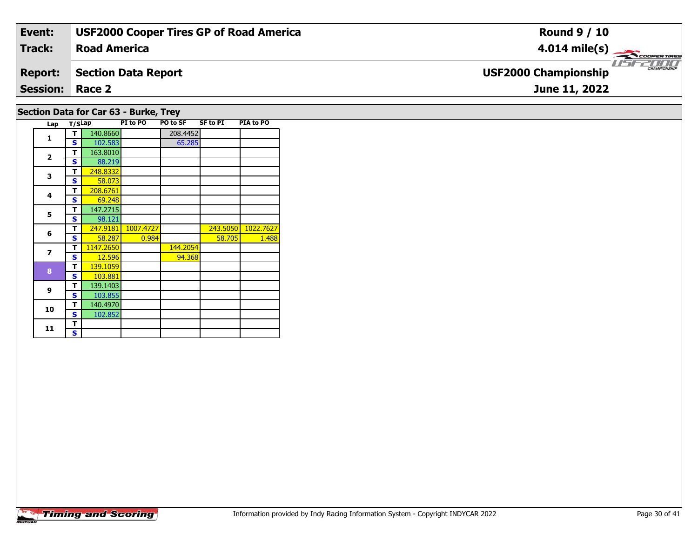| Event:                                                                                                                                                                                                                                                                                                                                    | <b>USF2000 Cooper Tires GP of Road America</b> | <b>Round 9 / 10</b>                                |  |  |  |  |  |  |  |  |
|-------------------------------------------------------------------------------------------------------------------------------------------------------------------------------------------------------------------------------------------------------------------------------------------------------------------------------------------|------------------------------------------------|----------------------------------------------------|--|--|--|--|--|--|--|--|
| Track:                                                                                                                                                                                                                                                                                                                                    | <b>Road America</b>                            | $4.014 \text{ mile(s)}$                            |  |  |  |  |  |  |  |  |
| <b>Report:</b>                                                                                                                                                                                                                                                                                                                            | Section Data Report                            | <b>CHAMPIONSHIP</b><br><b>USF2000 Championship</b> |  |  |  |  |  |  |  |  |
| <b>Session: Race 2</b><br>June 11, 2022                                                                                                                                                                                                                                                                                                   |                                                |                                                    |  |  |  |  |  |  |  |  |
| $C_{\text{c}}$ $C_{\text{c}}$ $D_{\text{c}}$ $D_{\text{c}}$ $D_{\text{c}}$ $D_{\text{c}}$ $D_{\text{c}}$ $D_{\text{c}}$ $D_{\text{c}}$ $D_{\text{c}}$ $D_{\text{c}}$ $D_{\text{c}}$ $D_{\text{c}}$ $D_{\text{c}}$ $D_{\text{c}}$ $D_{\text{c}}$ $D_{\text{c}}$ $D_{\text{c}}$ $D_{\text{c}}$ $D_{\text{c}}$ $D_{\text{c}}$ $D_{\text{c}}$ |                                                |                                                    |  |  |  |  |  |  |  |  |

| SECUDII DALA IUI CAI 03 - BUINE, ITEY |     |        |           |           |          |          |           |  |  |  |  |  |
|---------------------------------------|-----|--------|-----------|-----------|----------|----------|-----------|--|--|--|--|--|
|                                       | Lap | T/SLap |           | PI to PO  | PO to SF | SF to PI | PIA to PO |  |  |  |  |  |
|                                       | 1   | т      | 140.8660  |           | 208.4452 |          |           |  |  |  |  |  |
|                                       |     | S      | 102.583   |           | 65.285   |          |           |  |  |  |  |  |
|                                       |     | т      | 163.8010  |           |          |          |           |  |  |  |  |  |
|                                       | 2   | S      | 88.219    |           |          |          |           |  |  |  |  |  |
|                                       | 3   | т      | 248.8332  |           |          |          |           |  |  |  |  |  |
|                                       |     | S      | 58.073    |           |          |          |           |  |  |  |  |  |
|                                       | 4   | т      | 208.6761  |           |          |          |           |  |  |  |  |  |
|                                       |     | S      | 69.248    |           |          |          |           |  |  |  |  |  |
|                                       | 5   | т      | 147.2715  |           |          |          |           |  |  |  |  |  |
|                                       |     | s      | 98.121    |           |          |          |           |  |  |  |  |  |
|                                       | 6   | т      | 247.9181  | 1007.4727 |          | 243.5050 | 1022.7627 |  |  |  |  |  |
|                                       |     | S      | 58.287    | 0.984     |          | 58.705   | 1.488     |  |  |  |  |  |
|                                       | 7   | т      | 1147.2650 |           | 144.2054 |          |           |  |  |  |  |  |
|                                       |     | S      | 12.596    |           | 94.368   |          |           |  |  |  |  |  |
|                                       | 8   | т      | 139.1059  |           |          |          |           |  |  |  |  |  |
|                                       |     | S      | 103.881   |           |          |          |           |  |  |  |  |  |
|                                       | 9   | т      | 139.1403  |           |          |          |           |  |  |  |  |  |
|                                       |     | S      | 103.855   |           |          |          |           |  |  |  |  |  |
|                                       |     | т      | 140.4970  |           |          |          |           |  |  |  |  |  |
|                                       | 10  | S      | 102.852   |           |          |          |           |  |  |  |  |  |

**11**1  $\frac{1}{s}$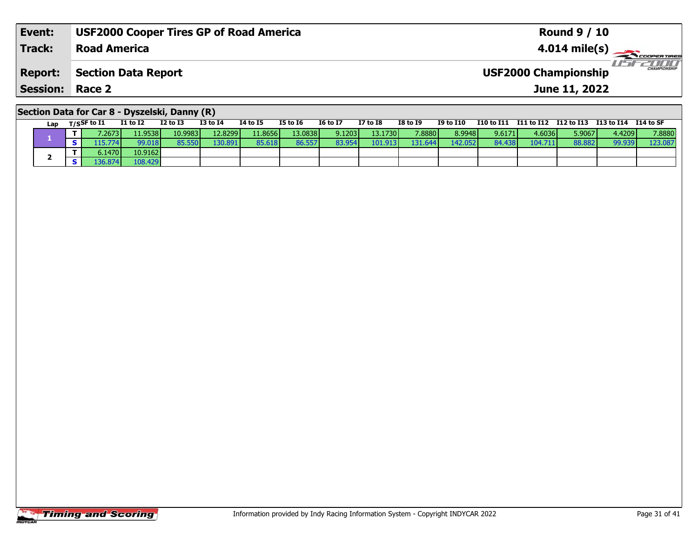| Event:                                        | <b>USF2000 Cooper Tires GP of Road America</b> | <b>Round 9 / 10</b>                                |  |  |  |  |  |  |  |  |
|-----------------------------------------------|------------------------------------------------|----------------------------------------------------|--|--|--|--|--|--|--|--|
| <b>Track:</b>                                 | <b>Road America</b>                            | $4.014 \text{ mile(s)}$                            |  |  |  |  |  |  |  |  |
| <b>Report:</b>                                | Section Data Report                            | <b>CHAMPIONSHIP</b><br><b>USF2000 Championship</b> |  |  |  |  |  |  |  |  |
| <b>Session: Race 2</b>                        |                                                | June 11, 2022                                      |  |  |  |  |  |  |  |  |
| Section Data for Car 8 - Dyszelski, Danny (R) |                                                |                                                    |  |  |  |  |  |  |  |  |

**Lap T/SSF to I1 I1 to I2 I2 to I3 I3 to I4 I4 to I5 I5 to I6 I6 to I7 I7 to I8 I8 to I9 I9 to I10 I10 to I11 I11 to I12 I12 to I13 I13 to I14 I14 to SF** 

**<sup>T</sup>** 7.2673 11.9538 10.9983 12.8299 11.8656 13.0838 9.1203 13.1730 7.8880 8.9948 9.6171 4.6036 5.9067 4.4209 7.8880 **<sup>S</sup>** 115.774 99.018 85.550 130.891 85.618 86.557 83.954 101.913 131.644 142.052 84.438 104.711 88.882 99.939 123.087

# **Timing and Scoring**

**1**

**2**

**<sup>T</sup>** 6.1470 10.9162 **<sup>S</sup>** 136.874 108.429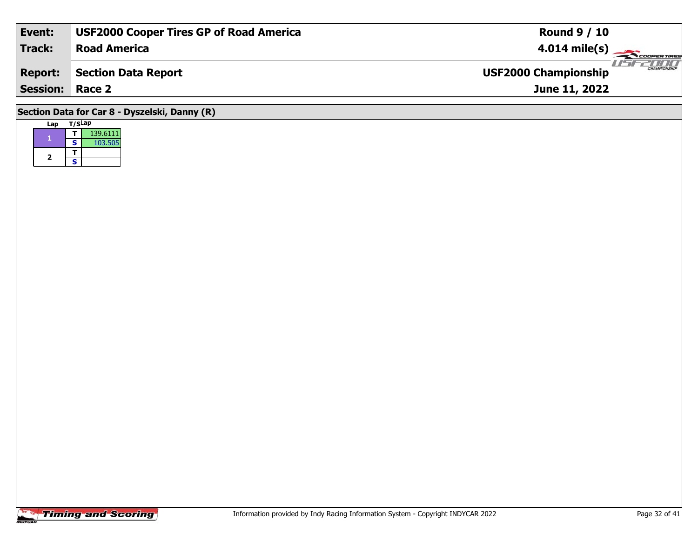| Event:                                        | <b>USF2000 Cooper Tires GP of Road America</b> | <b>Round 9 / 10</b>                                |  |  |  |  |  |  |  |  |
|-----------------------------------------------|------------------------------------------------|----------------------------------------------------|--|--|--|--|--|--|--|--|
| <b>Track:</b>                                 | <b>Road America</b>                            | $4.014 \text{ mile(s)}$                            |  |  |  |  |  |  |  |  |
| <b>Report:</b>                                | Section Data Report                            | <b>CHAMPIONSHIP</b><br><b>USF2000 Championship</b> |  |  |  |  |  |  |  |  |
| <b>Session: Race 2</b>                        |                                                | June 11, 2022                                      |  |  |  |  |  |  |  |  |
| Section Data for Car 8 - Dyszelski, Danny (R) |                                                |                                                    |  |  |  |  |  |  |  |  |

**Lap T/SLap** 

2  $\frac{1}{s}$ 

1 **T** 139.6111<br>**S** 103.505

**1**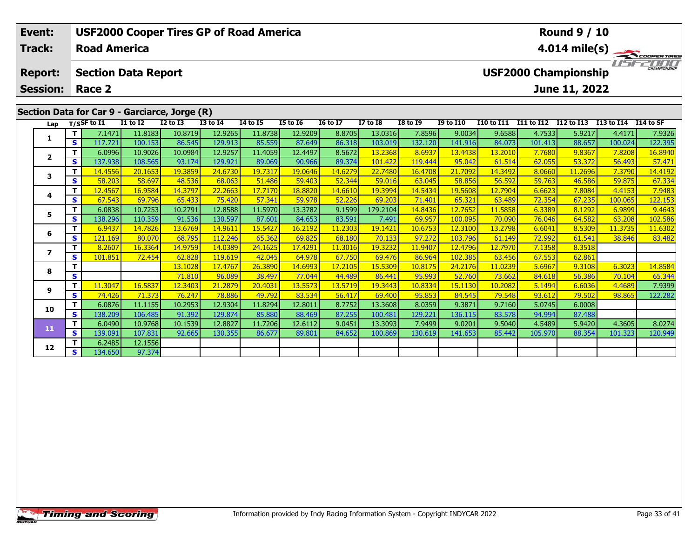| Event:                               |            |                                | <b>USF2000 Cooper Tires GP of Road America</b> |                                               |                 |                 |                 |                 |                 |                         |                                                    |                   |            | <b>Round 9 / 10</b> |            |            |  |  |  |
|--------------------------------------|------------|--------------------------------|------------------------------------------------|-----------------------------------------------|-----------------|-----------------|-----------------|-----------------|-----------------|-------------------------|----------------------------------------------------|-------------------|------------|---------------------|------------|------------|--|--|--|
| <b>Track:</b><br><b>Road America</b> |            |                                |                                                |                                               |                 |                 |                 |                 |                 | $4.014 \text{ mile(s)}$ |                                                    |                   |            |                     |            |            |  |  |  |
| <b>Report:</b>                       |            | <b>Section Data Report</b>     |                                                |                                               |                 |                 |                 |                 |                 |                         | <b>CHAMPIONSHIP</b><br><b>USF2000 Championship</b> |                   |            |                     |            |            |  |  |  |
| <b>Session:</b>                      |            | Race 2                         |                                                |                                               |                 |                 |                 |                 |                 |                         |                                                    |                   |            | June 11, 2022       |            |            |  |  |  |
|                                      |            |                                |                                                |                                               |                 |                 |                 |                 |                 |                         |                                                    |                   |            |                     |            |            |  |  |  |
|                                      |            |                                |                                                | Section Data for Car 9 - Garciarce, Jorge (R) |                 |                 |                 |                 |                 |                         |                                                    |                   |            |                     |            |            |  |  |  |
|                                      |            | Lap $T/SSF$ to $\overline{11}$ | <b>I1 to I2</b>                                | $I2$ to $I3$                                  | <b>I3 to I4</b> | <b>I4 to I5</b> | <b>I5 to 16</b> | <b>16 to 17</b> | <b>I7 to I8</b> | <b>I8 to 19</b>         | <b>I9 to I10</b>                                   | <b>I10 to I11</b> | I11 to I12 | I12 to I13          | I13 to I14 | I 14 to SF |  |  |  |
| 1                                    |            | 7.1471                         | 11.8183                                        | 10.8719                                       | 12.9265         | 11.8738         | 12.9209         | 8.8705          | 13.0316         | 7.8596                  | 9.0034                                             | 9.6588            | 4.7533     | 5.9217              | 4.4171     | 7.9326     |  |  |  |
|                                      | <b>s</b> l | 117.721                        | 100.153                                        | 86.545                                        | 129.913         | 85.559          | 87.649          | 86.318          | 103.019         | 132.120                 | 141.916                                            | 84.073            | 101.413    | 88.657              | 100.024    | 122.395    |  |  |  |
| $\mathbf{z}$                         |            | 6.0996                         | 10.9026                                        | 10.0984                                       | 12.9257         | 11.4059         | 12.4497         | 8.5672          | 13.2368         | 8.6937                  | 13.4438                                            | 13.2010           | 7.7680     | 9.8367              | 7.8208     | 16.8940    |  |  |  |
|                                      | -s l       | 137.938                        | 108.565                                        | 93.174                                        | 129.921         | 89.069          | 90.966          | 89.374          | 101.422         | 119.444                 | 95.042                                             | 61.514            | 62.055     | 53.372              | 56.493     | 57.471     |  |  |  |
| 3                                    |            | 14.4556                        | 20.1653                                        | 19.3859                                       | 24.6730         | 19.7317         | 19.0646         | 14.6279         | 22.7480         | 16.4708                 | 21.7092                                            | 14.3492           | 8.0660     | 11.2696             | 7.3790     | 14.4192    |  |  |  |
|                                      | S.         | 58.203                         | 58.697                                         | 48.536                                        | 68.063          | 51.486          | 59.403          | 52.344          | 59.016          | 63.045                  | 58.856                                             | 56.592            | 59.763     | 46.586              | 59.875     | 67.334     |  |  |  |

## **4**4 | **T |** 12.4567| 16.9584| 14.3797| 22.2663| 17.7170| 18.8820| 14.6610| 19.3994| 14.5434| 19.5608| 12.7904| 6.6623| 7.8084| 4.4153| 7.9483<br>- S | 67.543 | 69.796| 65.433| 75.420| 57.341| 59.978| 52.226| 69.203| 71.401| 65. 122.153 **5 <sup>T</sup>** 6.0838 10.7253 10.2791 12.8588 11.5970 13.3782 9.1599 179.2104 14.8436 12.7652 11.5858 6.3389 8.1292 6.9899 9.4643 **<sup>S</sup>** 138.296 110.359 91.536 130.597 87.601 84.653 83.591 7.491 69.957 100.095 70.090 76.046 64.582 63.208 102.586**6 <sup>T</sup>** 6.9437 14.7826 13.6769 14.9611 15.5427 16.2192 11.2303 19.1421 10.6753 12.3100 13.2798 6.6041 8.5309 11.3735 11.6302 **<sup>S</sup>** 121.169 80.070 68.795 112.246 65.362 69.825 68.180 70.133 97.272 103.796 61.149 72.992 61.541 38.846 83.482**7 <sup>T</sup>** 8.2607 16.3364 14.9759 14.0389 24.1625 17.4291 11.3016 19.3232 11.9407 12.4796 12.7970 7.1358 8.3518 **<sup>S</sup>** 101.851 72.454 62.828 119.619 42.045 64.978 67.750 69.476 86.964 102.385 63.456 67.553 62.861**8 <sup>T</sup>** 13.1028 17.4767 26.3890 14.6993 17.2105 15.5309 10.8175 24.2176 11.0239 5.6967 9.3108 6.3023 14.8584 **<sup>S</sup>** 71.810 96.089 38.497 77.044 44.489 86.441 95.993 52.760 73.662 84.618 56.386 70.104 65.344**9**1 11.3047 16.5837 12.3403 21.2879 20.4031 13.5573 13.5719 19.3443 10.8334 15.1130 10.2082 5.1494 6.6036 4.4689<br>S S 74.426 71.373 76.247 78.886 49.792 83.534 56.417 69.400 95.853 84.545 79.548 93.612 79.502 98.865 122.282 122.282 **10 <sup>T</sup>** 6.0876 11.1155 10.2953 12.9304 11.8294 12.8011 8.7752 13.3608 8.0359 9.3871 9.7160 5.0745 6.0008 **<sup>S</sup>** 138.209 106.485 91.392 129.874 85.880 88.469 87.255 100.481 129.221 136.115 83.578 94.994 87.488**11**1 | 1 | 6.0490| 10.9768| 10.1539| 12.8827| 11.7206| 12.6112| 9.0451| 13.3093| 7.9499| 9.0201| 9.5040| 4.5489| 5.9420| 4.3605| 8.0274<br>- S | 139.091| 107.831| 92.665| 130.355| 86.677| 89.801| 84.652| 100.869| 130.619| 141.65 **12 <sup>T</sup>** 6.2485 12.1556 **<sup>S</sup>** 134.650 97.37497.374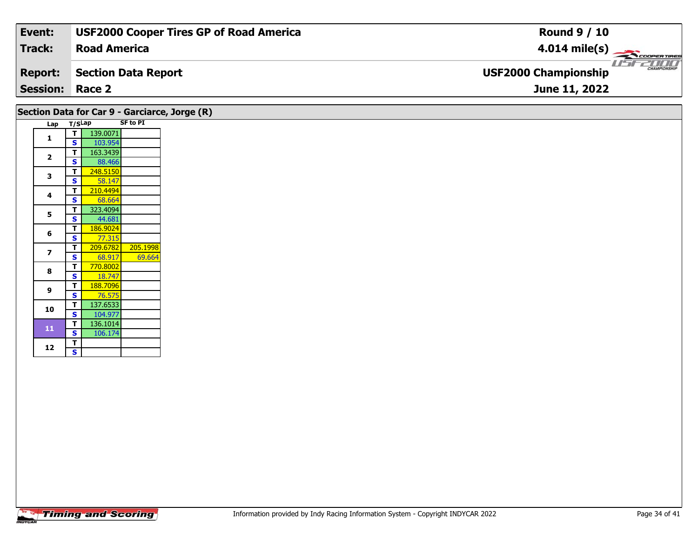| Track:<br><b>Road America</b><br>$4.014 \text{ mile(s)}$             |              |
|----------------------------------------------------------------------|--------------|
|                                                                      |              |
| <b>USF2000 Championship</b><br><b>Report:</b><br>Section Data Report | CHAMPIONSHIP |
| <b>Session: Race 2</b><br>June 11, 2022                              |              |

#### Lap T/SLap SF to PI **1 <sup>T</sup>** 139.0071 **<sup>S</sup>** 103.954**2T** 163.3439<br>**S** 88.466 88.466 **3T** 248.5150 **T** 210.4494 **4**68.664 **55 T** 323.4094<br>**S** 44.681 **6 <sup>T</sup>** 186.9024 **<sup>S</sup>** 77.315**7 <sup>T</sup>** 209.6782 205.1998 **<sup>S</sup>** 68.917 69.66469.664 **8T** 770.8002 18.747 **9 <sup>T</sup>** 188.7096 **<sup>S</sup>** 76.575 **10 <sup>T</sup>** 137.6533 **<sup>S</sup>** 104.977 **<sup>T</sup>** 136.1014 **<sup>S</sup>** 106.174**11**106.174 **Section Data for Car 9 - Garciarce, Jorge (R)**

12  $\frac{1}{s}$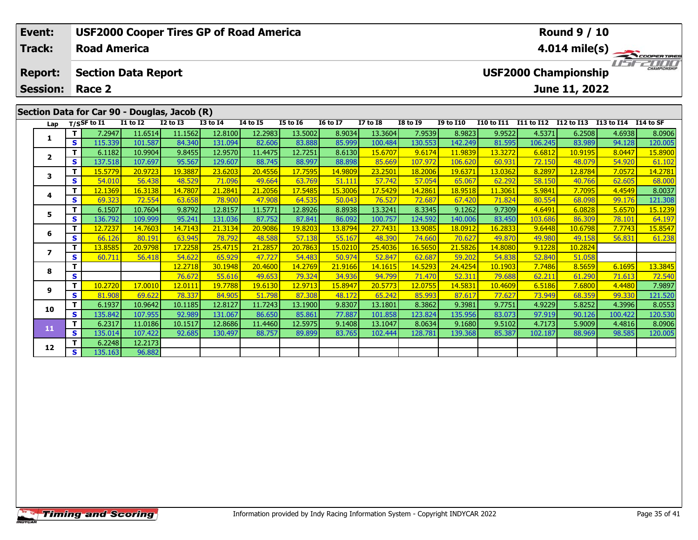| <b>USF2000 Cooper Tires GP of Road America</b><br>Event: |     |                            |                 |              |                 |                 |                 |                 |                 |                 | <b>Round 9 / 10</b>                          |                   |                   |               |                      |                         |  |  |
|----------------------------------------------------------|-----|----------------------------|-----------------|--------------|-----------------|-----------------|-----------------|-----------------|-----------------|-----------------|----------------------------------------------|-------------------|-------------------|---------------|----------------------|-------------------------|--|--|
| <b>Track:</b>                                            |     | <b>Road America</b>        |                 |              |                 |                 |                 |                 |                 |                 |                                              |                   |                   |               |                      | $4.014 \text{ mile(s)}$ |  |  |
| <b>Report:</b>                                           |     | <b>Section Data Report</b> |                 |              |                 |                 |                 |                 |                 |                 | $\frac{1}{1}$<br><b>USF2000 Championship</b> |                   |                   |               |                      |                         |  |  |
| <b>Session:</b>                                          |     | Race 2                     |                 |              |                 |                 |                 |                 |                 |                 |                                              |                   |                   | June 11, 2022 |                      |                         |  |  |
| Section Data for Car 90 - Douglas, Jacob (R)             |     |                            |                 |              |                 |                 |                 |                 |                 |                 |                                              |                   |                   |               |                      |                         |  |  |
|                                                          |     | Lap $T/SSF$ to I1          | <b>I1 to I2</b> | $I2$ to $I3$ | <b>I3 to I4</b> | <b>I4 to I5</b> | <b>I5 to I6</b> | <b>16 to 17</b> | <b>I7 to I8</b> | <b>I8 to I9</b> | <b>I9 to I10</b>                             | <b>I10 to I11</b> | <b>I11 to I12</b> | I12 to I13    | I13 to I14 I14 to SF |                         |  |  |
|                                                          |     | 7.2947                     | 11.6514         | 11.1562      | 12.8100         | 12.2983         | 13.5002         | 8.9034          | 13.3604         | 7.9539          | 8.9823                                       | 9.9522            | 4.5371            | 6.2508        | 4.6938               | 8.0906                  |  |  |
|                                                          | s l | 115.339                    | 101.587         | 84.340       | 131.094         | 82.606          | 83.888          | 85.999          | 100.484         | 130.553         | 142.249                                      | 81.595            | 106.245           | 83.989        | 94.128               | 120.005                 |  |  |
|                                                          |     | 6.1182                     | 10.9904         | 9.8455       | 12.9570         | 11.4475         | 12.7251         | 8.6130          | 15.6707         | 9.6174          | 11.9839                                      | 13.3272           | 6.6812            | 10.9195       | 8.0447               | 15.8900                 |  |  |
| $\overline{2}$                                           | s l | 137.518                    | 107.697         | 95.567       | 129.607         | 88.745          | 88.997          | 88.898          | 85.669          | 107.972         | 106.620                                      | 60.931            | 72.150            | 48.079        | 54.920               | 61.102                  |  |  |
| 3                                                        |     | 15.5779                    | 20.9723         | 19.3887      | 23.6203         | 20.4556         | 17.7595         | 14.9809         | 23.2501         | 18.2006         | 19.6371                                      | 13.0362           | 8.2897            | 12.8784       | 7.0572               | 14.2781                 |  |  |
|                                                          | S.  | 54.010                     | 56.438          | 48.529       | 71.096          | 49.664          | 63.769          | 51.111          | 57.742          | 57.054          | 65.067                                       | 62.292            | 58.150            | 40.766        | 62.605               | 68.000                  |  |  |
|                                                          |     | 12.1369                    | 16.3138         | 14.7807      | 21.2841         | 21.2056         | 17.5485         | 15.3006         | 17.5429         | 14.2861         | 18.9518                                      | 11.3061           | 5.9841            | 7.7095        | 4.4549               | 8.0037                  |  |  |
| 4                                                        | S.  | 69.323                     | 72.554          | 63.658       | <b>78.900</b>   | 47.908          | 64.535          | 50.043          | 76.527          | 72.687          | 67.420                                       | 71.824            | 80.554            | 68.098        | 99.176               | 121.308                 |  |  |

5 | T | 6.1507| 10.7604| 9.8792| 12.8157| 11.5771| 12.8926| 8.8938| 13.3241| 8.3345| 9.1262| 9.7309| 4.6491| 6.0828| 5.6570| 15.1239<br>| S | 136.792| 109.999| 95.241| 131.036| 87.752| 87.841| 86.092| 100.757| 124.592| 140.00

**<sup>T</sup>** 12.7237 14.7603 14.7143 21.3134 20.9086 19.8203 13.8794 27.7431 13.9085 18.0912 16.2833 9.6448 10.6798 7.7743 15.8547 **<sup>S</sup>** 66.126 80.191 63.945 78.792 48.588 57.138 55.167 48.390 74.660 70.627 49.870 49.980 49.158 56.831 61.238

**<sup>T</sup>** 12.2718 30.1948 20.4600 14.2769 21.9166 14.1615 14.5293 24.4254 10.1903 7.7486 8.5659 6.1695 13.3845 **<sup>S</sup>** 76.672 55.616 49.653 79.324 34.936 94.799 71.470 52.311 79.688 62.211 61.290 71.613 72.540

17 10.2720| 17.0010| 12.0111| 19.7788| 19.6130| 12.9713| 15.8947| 20.5773| 12.0755| 14.5831| 10.4609| 6.5186| 7.6800| 4.4480| 7.9897 .<br>S | 81.908| 69.622| 78.337| 84.905| 51.798| 87.308| 48.172| 65.242| 85.993| 87.617| 77

0 | T | 6.1937| 10.9642| 10.1185| 12.8127| 11.7243| 13.1900| 9.8307| 13.1801| 8.3862| 9.3981| 9.7751| 4.9229| 5.8252| 4.3996| 8.0553<br>| S | 135.842| 107.955| 92.989| 131.067| 86.650| 85.861| 77.887| 101.858| 123.824| 135.95

1 | T | 6.2317 11.0186 10.1517 12.8686 11.4460 12.5975 9.1408 13.1047 8.0634 9.1680 9.5102 4.7173 5.9009 4.4816 8.0906<br>- S 135.014 107.422 92.685 130.497 88.757 89.899 83.765 102.444 128.781 139.368 85.387 102.187 88.969 9

**<sup>T</sup>** 13.8585 20.9798 17.2258 25.4715 21.2857 20.7863 15.0210 25.4036 16.5650 21.5826 14.8080 9.1228 10.2824 **<sup>S</sup>** 60.711 56.418 54.622 65.929 47.727 54.483 50.974 52.847 62.687 59.202 54.838 52.840 51.058

## **Timing and Scoring**

**<sup>T</sup>** 6.2248 12.2173 **<sup>S</sup>** 135.163 96.882

96.882

**5**

**6**

**7**

**8**

**9**

**10**

**11**

**12**

121.308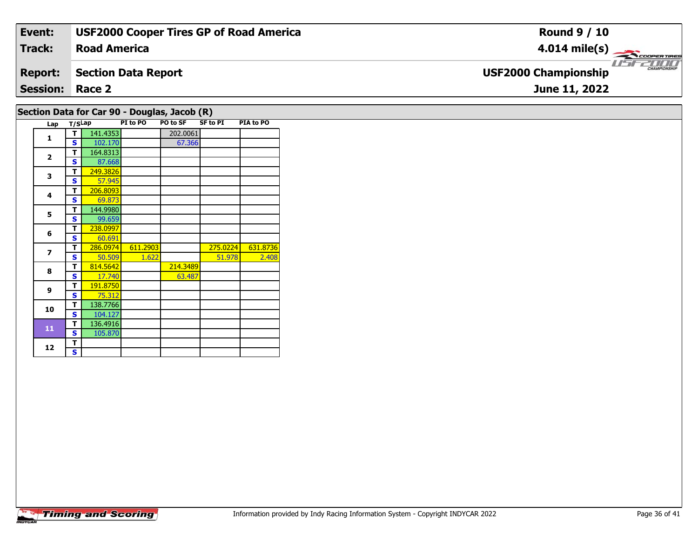| Event:                                       | <b>USF2000 Cooper Tires GP of Road America</b> | <b>Round 9 / 10</b>                                |  |  |  |  |  |  |  |  |  |
|----------------------------------------------|------------------------------------------------|----------------------------------------------------|--|--|--|--|--|--|--|--|--|
| Track:                                       | <b>Road America</b>                            | $4.014 \text{ mile(s)}$                            |  |  |  |  |  |  |  |  |  |
| <b>Report:</b>                               | <b>Section Data Report</b>                     | <b>CHAMPIONSHIP</b><br><b>USF2000 Championship</b> |  |  |  |  |  |  |  |  |  |
| <b>Session: Race 2</b><br>June 11, 2022      |                                                |                                                    |  |  |  |  |  |  |  |  |  |
| Section Data for Car 90 - Douglas, Jacob (R) |                                                |                                                    |  |  |  |  |  |  |  |  |  |

| Lap            | T/SLap |          | PI to PO | PO to SF | <b>SF to PI</b> | PIA to PO |
|----------------|--------|----------|----------|----------|-----------------|-----------|
| 1              | т      | 141.4353 |          | 202.0061 |                 |           |
|                | S      | 102.170  |          | 67.366   |                 |           |
| $\overline{2}$ | т      | 164.8313 |          |          |                 |           |
|                | S      | 87.668   |          |          |                 |           |
| 3              | т      | 249.3826 |          |          |                 |           |
|                | S      | 57.945   |          |          |                 |           |
| 4              | т      | 206.8093 |          |          |                 |           |
|                | S      | 69.873   |          |          |                 |           |
| 5              | т      | 144.9980 |          |          |                 |           |
|                | S      | 99.659   |          |          |                 |           |
| 6              | т      | 238.0997 |          |          |                 |           |
|                | S      | 60.691   |          |          |                 |           |
| $\overline{z}$ | т      | 286.0974 | 611.2903 |          | 275.0224        | 631.8736  |
|                | S      | 50.509   | 1.622    |          | 51.978          | 2.408     |
| 8              | т      | 814.5642 |          | 214.3489 |                 |           |
|                | S      | 17.740   |          | 63.487   |                 |           |
| 9              | т      | 191.8750 |          |          |                 |           |
|                | S      | 75.312   |          |          |                 |           |
| 10             | т      | 138.7766 |          |          |                 |           |
|                | S      | 104.127  |          |          |                 |           |
| 11             | т      | 136.4916 |          |          |                 |           |
|                | S      | 105.870  |          |          |                 |           |
|                | т      |          |          |          |                 |           |
| 12             | S      |          |          |          |                 |           |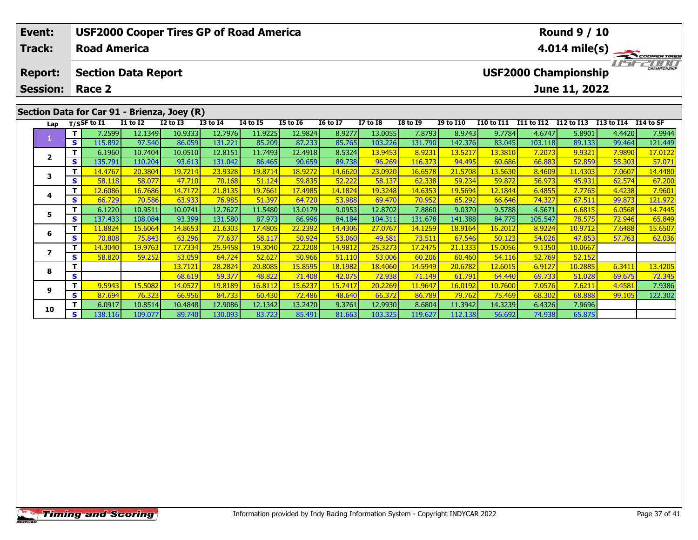| <b>USF2000 Cooper Tires GP of Road America</b><br>Event: |      |                                                      |                 |              |              |                 |                 |                  |                  |                 |                         | <b>Round 9 / 10</b> |            |                                              |            |                     |  |
|----------------------------------------------------------|------|------------------------------------------------------|-----------------|--------------|--------------|-----------------|-----------------|------------------|------------------|-----------------|-------------------------|---------------------|------------|----------------------------------------------|------------|---------------------|--|
| <b>Track:</b>                                            |      | <b>Road America</b>                                  |                 |              |              |                 |                 |                  |                  |                 | $4.014 \text{ mile(s)}$ |                     |            |                                              |            |                     |  |
| <b>Report:</b>                                           |      | <b>Section Data Report</b><br><b>Session: Race 2</b> |                 |              |              |                 |                 |                  |                  |                 |                         |                     |            | <b>USF2000 Championship</b><br>June 11, 2022 |            | <b>CHAMPIONSHIP</b> |  |
| Section Data for Car 91 - Brienza, Joey (R)              |      |                                                      |                 |              |              |                 |                 |                  |                  |                 |                         |                     |            |                                              |            |                     |  |
|                                                          |      | Lap $T/SSF$ to I1                                    | <b>I1 to I2</b> | $I2$ to $I3$ | $I3$ to $I4$ | <b>I4 to I5</b> | <b>I5 to 16</b> | <b>16 to 17</b>  | <b>I7 to I8</b>  | <b>I8 to I9</b> | <b>I9 to I10</b>        | I10 to I11          | I11 to I12 | I12 to I13                                   | I13 to I14 | I14 to SF           |  |
|                                                          |      | 7.2599                                               | 12.1349         | 10.9333      | 12.7976      | 11.9225         | 12.9824         | 8.9277           | 13.0055          | 7.8793          | 8.9743                  | 9.7784              | 4.6747     | 5.8901                                       | 4.4420     | 7.9944              |  |
|                                                          | -s l | 115.892                                              | 97.540          | 86.059       | 131.221      | 85.209          | 87.233          | 85.765           | 103.226          | 131.790         | 142.376                 | 83.045              | 103.118    | 89.133                                       | 99.464     | 121.449             |  |
|                                                          |      | 6.1960                                               | 10.7404         | 10.0510      | 12.8151      | 11.7493         | 12.4918         | 8.5324           | 13.9453          | 8.9231          | 13.5217                 | 13.3810             | 7.2073     | 9.9321                                       | 7.9890     | 17.0122             |  |
| $\overline{2}$                                           | IS I | 135.791                                              | 110.204         | 93.613       | 131.042      | 86.465          | 90.659          | 89.738           | 96.269           | 116.373         | 94.495                  | 60.686              | 66.883     | 52.859                                       | 55.303     | 57.071              |  |
|                                                          | τ.   | 14 4767 <b>I</b>                                     | 20.3804         | 197214       | 239328       | 19 8714         | 18 9272 L       | 14 6620 <b>1</b> | <u>่วว กดวกโ</u> | 16 6578         | 21 5708                 | 13 5630 <b>1</b>    | R4609      | 11 4303 <b>1</b>                             | 7.0607     | 144480              |  |

| Lap |    | $T/S$ SF to I1 | <b>I1 to I2</b> | <b>I2 to I3</b>      | <b>I3 to I4</b> | 14 to 15 | I5 to 16 | <b>16 to 17</b> | I7 to I8               | <b>I8 to I9</b> | <b>I9 to I10</b> | I10 to I11 | I11 to I12 | I12 to I13 | I13 to I14 | I14 to SF |
|-----|----|----------------|-----------------|----------------------|-----------------|----------|----------|-----------------|------------------------|-----------------|------------------|------------|------------|------------|------------|-----------|
|     |    | 7.2599         | 12.1349         | 10.9333              | 12.7976         | 11.9225  | 12.9824  | 8.9277          | 13.0055                | 7.8793          | 8.9743           | 9.7784     | 4.6747     | 5.8901     | 4.4420     | 7.9944    |
|     | S. | 115.892        | 97.540          | 86.059               | 131.221         | 85.209   | 87.233   | 85.765          | 103.226                | 131.790         | 142.376          | 83.045     | 103.118    | 89.133     | 99.464     | 121.449   |
|     |    | 6.1960         | 10.7404         | 10.0510              | 12.8151         | 11.7493  | 12.4918  | 8.5324          | 13.9453                | 8.9231          | 13.5217          | 13.3810    | 7.2073     | 9.9321     | 7.9890     | 17.0122   |
|     | S. | 135.791        | 110.204         | 93.613               | 131.042         | 86.465   | 90.659   | 89.738          | 96.269                 | 116.373         | 94.495           | 60.686     | 66.883     | 52.859     | 55.303     | 57.071    |
| 3   |    | 14.4767        | 20.3804         | 19.7214              | 23.9328         | 19.8714  | 18.9272  | 14.6620         | 23.0920                | 16.6578         | 21.5708          | 13.5630    | 8.4609     | 11.4303    | 7.0607     | 14.4480   |
|     | S  | 58.118         | 58.077          | 47.710               | 70.168          | 51.124   | 59.835   | 52.222          | 58.137                 | 62.338          | 59.234           | 59.872     | 56.973     | 45.931     | 62.574     | 67.200    |
| 4   |    | 12.6086        | 16.7686         | 14.7172              | 21.8135         | 19.7661  | 17.4985  | 14.1824         | 19.3248 <mark> </mark> | 14.6353         | <u> 19.5694 </u> | 12.1844    | 6.4855     | 7.7765     | 4.4238     | 7.9601    |
|     | S  | 66.729         | 70.586          | 63.933               | 76.985          | 51.397   | 64.720   | 53.988          | 69.470                 | 70.952          | 65.292           | 66.646     | 74.327     | 67.51      | 99.873     | 121.972   |
| 5   |    | 6.1220         | 10.9511         | 10.0741              | 12.7627         | 11.5480  | 13.0179  | 9.0953          | 12.8702                | 7.8860          | 9.0370           | 9.5788     | 4.5671     | 6.6815     | 6.0568     | 14.7445   |
|     | S. | 137.433        | 108.084         | 93.399               | 131.580         | 87.973   | 86.996   | 84.184          | 104.311                | 131.678         | 141.388          | 84.775     | 105.547    | 78.575     | 72.946     | 65.849    |
| 6   | Τ. | 11.8824        | 15.6064         | <mark>14.8653</mark> | 21.6303         | 17.4805  | 22.2392  | 14.4306         | 27.0767                | 14.1259         | 18.9164          | 16.2012    | 8.9224     | 10.9712    | 7.6488     | 15.6507   |
|     | S. | 70.808         | 75.843          | 63.296               | 77.637          | 58.117   | 50.924   | 53.060          | 49.581                 | 73.511          | 67.546           | 50.123     | 54.026     | 47.853     | 57.763     | 62.036    |
|     |    | 14.3040        | 19.9763         | 17.7334              | 25.9458         | 19.3040  | 22.2208  | 14.9812         | 25.3273                | 17.2475         | 21.1333          | 15.0056    | 9.1350     | 10.0667    |            |           |
|     | S. | 58.820         | 59.252          | 53.059               | 64.724          | 52.627   | 50.966   | 51.110          | 53.006                 | 60.206          | 60.460           | 54.116     | 52.769     | 52.152     |            |           |
| 8   |    |                |                 | 13.7121              | 28.2824         | 20.8085  | 15.8595  | 18.1982         | 18.4060                | 14.5949         | 20.6782          | 12.6015    | 6.9127     | 10.2885    | 6.3411     | 13.4205   |
|     | S. |                |                 | 68.619               | 59.377          | 48.822   | 71.408   | 42.075          | 72.938                 | 71.149          | 61.791           | 64.440     | 69.733     | 51.028     | 69.675     | 72.345    |
| 9   |    | 9.5943         | 15.5082         | 14.0527              | 19.8189         | 16.8112  | 15.6237  | 15.7417         | 20.2269                | 11.9647         | 16.0192          | 10.7600    | 7.0576     | 7.6211     | 4.4581     | 7.9386    |
|     | S  | 87.694         | 76.323          | 66.956               | 84.733          | 60.430   | 72.486   | 48.640          | 66.372                 | 86.789          | 79.762           | 75.469     | 68.302     | 68.888     | 99.105     | 122.302   |
| 10  |    | 6.0917         | 10.8514         | 10.4848              | 12.9086         | 12.1342  | 13.2470  | 9.3761          | 12.9930                | 8.6804          | 11.3942          | 14.3239    | 6.4326     | 7.9696     |            |           |
|     | S. | 138.116        | 109.077         | 89.740               | 130.093         | 83.723   | 85.491   | 81.663          | 103.325                | 119.627         | 112.138          | 56.692     | 74.938     | 65.875     |            |           |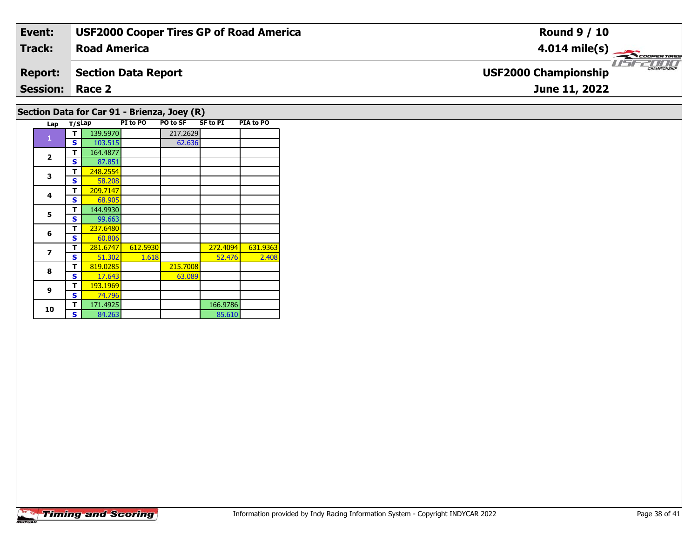| Event:                                      | <b>USF2000 Cooper Tires GP of Road America</b> | <b>Round 9 / 10</b>                         |  |  |  |  |  |  |  |  |
|---------------------------------------------|------------------------------------------------|---------------------------------------------|--|--|--|--|--|--|--|--|
| Track:                                      | <b>Road America</b>                            | $4.014 \text{ mile(s)}$                     |  |  |  |  |  |  |  |  |
| <b>Report:</b>                              | <b>Section Data Report</b>                     | CHAMPIONSHIP<br><b>USF2000 Championship</b> |  |  |  |  |  |  |  |  |
| <b>Session: Race 2</b><br>June 11, 2022     |                                                |                                             |  |  |  |  |  |  |  |  |
| Section Data for Car 91 - Brienza, Joey (R) |                                                |                                             |  |  |  |  |  |  |  |  |

| Lap            | T/SLap       |          | PI to PO | PO to SF | <b>SF to PI</b> | PIA to PO |
|----------------|--------------|----------|----------|----------|-----------------|-----------|
|                | т            | 139.5970 |          | 217.2629 |                 |           |
| 1              | S            | 103.515  |          | 62.636   |                 |           |
|                | т            | 164.4877 |          |          |                 |           |
| $\mathbf{2}$   | S            | 87.851   |          |          |                 |           |
| 3              | т            | 248.2554 |          |          |                 |           |
|                | S            | 58.208   |          |          |                 |           |
| 4              | т            | 209.7147 |          |          |                 |           |
|                | S            | 68.905   |          |          |                 |           |
| 5              | т            | 144.9930 |          |          |                 |           |
|                | S            | 99.663   |          |          |                 |           |
| 6              | т            | 237.6480 |          |          |                 |           |
|                | S            | 60.806   |          |          |                 |           |
| $\overline{ }$ | т            | 281.6747 | 612.5930 |          | 272.4094        | 631.9363  |
|                | S            | 51.302   | 1.618    |          | 52.476          | 2.408     |
| 8              | т            | 819.0285 |          | 215.7008 |                 |           |
|                | S            | 17.643   |          | 63.089   |                 |           |
| 9              | т            | 193.1969 |          |          |                 |           |
|                | $\mathbf{s}$ | 74.796   |          |          |                 |           |
| 10             | т            | 171.4925 |          |          | 166.9786        |           |
|                | S            | 84.263   |          |          | 85.610          |           |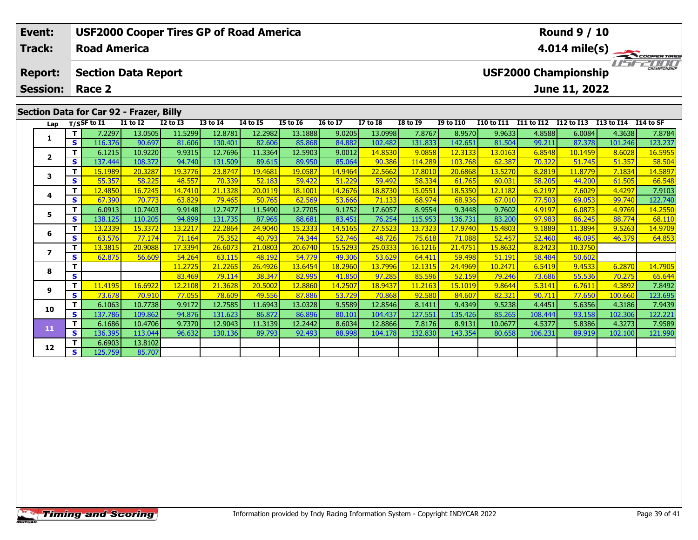| Event:                                             |                                         |         | <b>USF2000 Cooper Tires GP of Road America</b> |                 |              |                 |          |                 |                 |                 |                 |                                                                                                         | <b>Round 9 / 10</b> |                   |            |                      |         |
|----------------------------------------------------|-----------------------------------------|---------|------------------------------------------------|-----------------|--------------|-----------------|----------|-----------------|-----------------|-----------------|-----------------|---------------------------------------------------------------------------------------------------------|---------------------|-------------------|------------|----------------------|---------|
| <b>Track:</b><br><b>Report:</b><br><b>Session:</b> |                                         |         | <b>Road America</b>                            |                 |              |                 |          |                 |                 |                 |                 | 4.014 mile(s) $-$<br>COOPERTIRES<br><b>CHAMPIONSHIP</b><br><b>USF2000 Championship</b><br>June 11, 2022 |                     |                   |            |                      |         |
|                                                    |                                         |         | <b>Section Data Report</b><br>Race 2           |                 |              |                 |          |                 |                 |                 |                 |                                                                                                         |                     |                   |            |                      |         |
|                                                    |                                         |         |                                                |                 |              |                 |          |                 |                 |                 |                 |                                                                                                         |                     |                   |            |                      |         |
|                                                    | Section Data for Car 92 - Frazer, Billy |         |                                                |                 |              |                 |          |                 |                 |                 |                 |                                                                                                         |                     |                   |            |                      |         |
|                                                    |                                         |         | Lap $T/SSF$ to $\overline{11}$                 | <b>I1 to I2</b> | $I2$ to $I3$ | <b>I3 to I4</b> | 14 to 15 | <b>I5 to I6</b> | <b>16 to 17</b> | <b>I7 to I8</b> | <b>I8 to I9</b> | <b>I9 to I10</b>                                                                                        | <b>I10 to I11</b>   | <b>I11 to I12</b> | I12 to I13 | I13 to I14 I14 to SF |         |
|                                                    |                                         |         | 7.2297                                         | 13.0505         | 11.5299      | 12.8781         | 12.2982  | 13.1888         | 9.0205          | 13.0998         | 7.8767          | 8.9570                                                                                                  | 9.9633              | 4.8588            | 6.0084     | 4.3638               | 7.8784  |
| ı.                                                 | IS I                                    | 116.376 | 90.697                                         | 81.606          | 130.401      | 82.606          | 85.868   | 84.882          | 102.482         | 131.833         | 142.651         | 81.504                                                                                                  | 99.211              | 87.378            | 101.246    | 123.237              |         |
| $\overline{\mathbf{z}}$                            |                                         |         | 6.1215                                         | 10.9220         | 9.9315       | 12.7696         | 11.3364  | 12.5903         | 9.0012          | 14.8530         | 9.0858          | 12.3133                                                                                                 | 13.0163             | 6.8548            | 10.1459    | 8.6028               | 16.5955 |
|                                                    |                                         | s l     | 137.444                                        | 108.372         | 94.740       | 131.509         | 89.615   | 89.950          | 85.064          | 90.386          | 114.289         | 103.768                                                                                                 | 62.387              | 70.322            | 51.745     | 51.357               | 58.504  |
|                                                    | 3                                       |         | 15.1989                                        | 20.3287         | 19.3776      | 23.8747         | 19.4681  | 19.0587         | 14.9464         | 22.5662         | 17.8010         | 20.6868                                                                                                 | 13.5270             | 8.2819            | 11.8779    | 7.1834               | 14.5897 |
|                                                    |                                         | S.      | 55.357                                         | 58.225          | 48.557       | 70.339          | 52.183   | 59.422          | 51.229          | 59.492          | 58.334          | 61.765                                                                                                  | 60.031              | 58.205            | 44.200     | 61.505               | 66.548  |

4 | **T |** 12.4850| 16.7245| 14.7410| 21.1328| 20.0119| 18.1001| 14.2676| 18.8730| 15.0551| 18.5350| 12.1182| 6.2197| 7.6029| 4.4297| 7.9103<br>- S | 67.390 | 70.773 | 63.829 | 79.465 | 50.765 | 62.569 | 53.666 | 71.133 | 68.9

**<sup>T</sup>** 6.0913 10.7403 9.9148 12.7477 11.5490 12.7705 9.1752 17.6057 8.9554 9.3448 9.7602 4.9197 6.0873 4.9769 14.2550 **<sup>S</sup>** 138.125 110.205 94.899 131.735 87.965 88.681 83.451 76.254 115.953 136.731 83.200 97.983 86.245 88.774 68.110

**<sup>T</sup>** 13.2339 15.3372 13.2217 22.2864 24.9040 15.2333 14.5165 27.5523 13.7323 17.9740 15.4803 9.1889 11.3894 9.5263 14.9709 **<sup>S</sup>** 63.576 77.174 71.164 75.352 40.793 74.344 52.746 48.726 75.618 71.088 52.457 52.460 46.095 46.379 64.853

**<sup>T</sup>** 11.2725 21.2265 26.4926 13.6454 18.2960 13.7996 12.1315 24.4969 10.2471 6.5419 9.4533 6.2870 14.7905 **<sup>S</sup>** 83.469 79.114 38.347 82.995 41.850 97.285 85.596 52.159 79.246 73.686 55.536 70.275 65.644

1 11.4195| 16.6922| 12.2108| 21.3628| 20.5002| 12.8860| 14.2507| 18.9437| 11.2163| 15.1019| 9.8644| 5.3141| 6.7611| 4.3892| 7.8492| 7.8492|<br>Sina 19.73.678| 70.910| 77.055| 78.609| 49.556| 87.886| 53.729| 70.868| 92.580| 84

0 | T | 6.1063| 10.7738| 9.9172| 12.7585| 11.6943| 13.0328| 9.5589| 12.8546| 8.1411| 9.4349| 9.5238| 4.4451| 5.6356| 4.3186| 7.9439<br>| S | 137.786| 109.862| 94.876| 131.623| 86.872| 86.896| 80.101| 104.437| 127.551| 135.426

**<sup>T</sup>** 6.1686 10.4706 9.7370 12.9043 11.3139 12.2442 8.6034 12.8866 7.8176 8.9131 10.0677 4.5377 5.8386 4.3273 7.9589 **<sup>S</sup>** 136.395 113.044 96.632 130.136 89.793 92.493 88.998 104.178 132.830 143.354 80.658 106.231 89.919 102.100 121.990

**<sup>T</sup>** 13.3815 20.9088 17.3394 26.6073 21.0803 20.6740 15.5293 25.0333 16.1216 21.4751 15.8632 8.2423 10.3750 **<sup>S</sup>** 62.875 56.609 54.264 63.115 48.192 54.779 49.306 53.629 64.411 59.498 51.191 58.484 50.602

## **Timing and Scoring**

**<sup>T</sup>** 6.6903 13.8102 **<sup>S</sup>** 125.759 85.707

85.707

**4**

**5**

**6**

**7**

**8**

**9**

**10**

**11**

**12**

122.740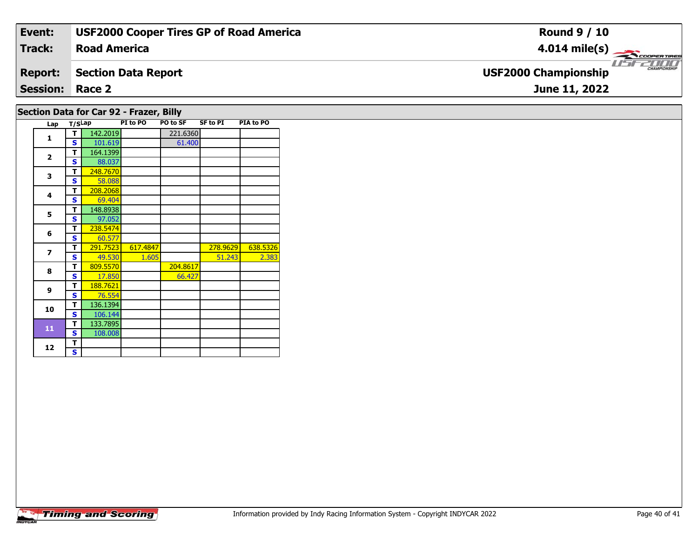| Event:                                  | <b>USF2000 Cooper Tires GP of Road America</b> | <b>Round 9 / 10</b>                                |  |  |  |  |
|-----------------------------------------|------------------------------------------------|----------------------------------------------------|--|--|--|--|
| <b>Track:</b>                           | <b>Road America</b>                            | $4.014 \text{ mile(s)}$                            |  |  |  |  |
| <b>Report:</b>                          | <b>Section Data Report</b>                     | <b>CHAMPIONSHIP</b><br><b>USF2000 Championship</b> |  |  |  |  |
| <b>Session: Race 2</b>                  |                                                | June 11, 2022                                      |  |  |  |  |
| Section Data for Car 92 - Frazer, Billy |                                                |                                                    |  |  |  |  |

|  | Lap                     | T/SLap |          | PI to PO | <b>PO to SF</b> | <b>SF to PI</b> | PIA to PO |
|--|-------------------------|--------|----------|----------|-----------------|-----------------|-----------|
|  | $\mathbf{1}$            | т      | 142.2019 |          | 221.6360        |                 |           |
|  |                         | S      | 101.619  |          | 61.400          |                 |           |
|  | $\overline{2}$          | т      | 164.1399 |          |                 |                 |           |
|  |                         | S      | 88.037   |          |                 |                 |           |
|  | 3                       | т      | 248.7670 |          |                 |                 |           |
|  |                         | S      | 58.088   |          |                 |                 |           |
|  | 4                       | т      | 208.2068 |          |                 |                 |           |
|  |                         | S      | 69.404   |          |                 |                 |           |
|  | 5                       | т      | 148.8938 |          |                 |                 |           |
|  |                         | S      | 97.052   |          |                 |                 |           |
|  | 6                       | т      | 238.5474 |          |                 |                 |           |
|  |                         | S      | 60.577   |          |                 |                 |           |
|  | $\overline{\mathbf{z}}$ | т      | 291.7523 | 617.4847 |                 | 278.9629        | 638.5326  |
|  |                         | S      | 49.530   | 1.605    |                 | 51.243          | 2.383     |
|  | 8                       | т      | 809.5570 |          | 204.8617        |                 |           |
|  |                         | S      | 17.850   |          | 66.427          |                 |           |
|  | 9                       | т      | 188.7621 |          |                 |                 |           |
|  |                         | S      | 76.554   |          |                 |                 |           |
|  | 10                      | т      | 136.1394 |          |                 |                 |           |
|  |                         | S      | 106.144  |          |                 |                 |           |
|  | $\overline{11}$         | т      | 133.7895 |          |                 |                 |           |
|  |                         | S      | 108.008  |          |                 |                 |           |
|  | 12                      | Т      |          |          |                 |                 |           |
|  |                         | S.     |          |          |                 |                 |           |